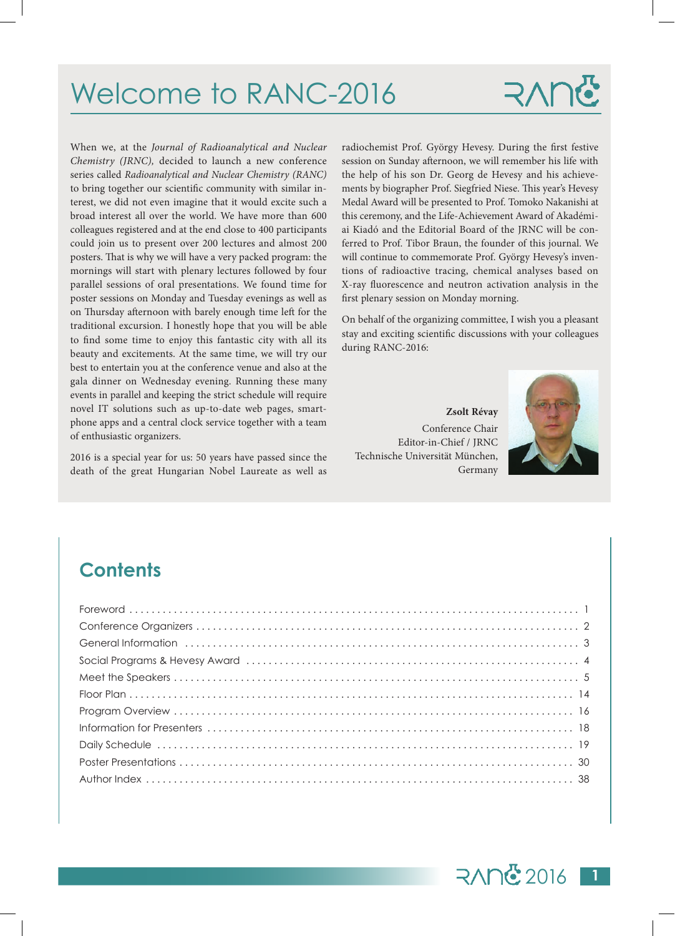## Welcome to RANC-2016

# RAY

When we, at the *Journal of Radioanalytical and Nuclear Chemistry (JRNC),* decided to launch a new conference series called *Radioanalytical and Nuclear Chemistry (RANC)* to bring together our scientific community with similar interest, we did not even imagine that it would excite such a broad interest all over the world. We have more than 600 colleagues registered and at the end close to 400 participants could join us to present over 200 lectures and almost 200 posters. That is why we will have a very packed program: the mornings will start with plenary lectures followed by four parallel sessions of oral presentations. We found time for poster sessions on Monday and Tuesday evenings as well as on Thursday afternoon with barely enough time left for the traditional excursion. I honestly hope that you will be able to find some time to enjoy this fantastic city with all its beauty and excitements. At the same time, we will try our best to entertain you at the conference venue and also at the gala dinner on Wednesday evening. Running these many events in parallel and keeping the strict schedule will require novel IT solutions such as up-to-date web pages, smartphone apps and a central clock service together with a team of enthusiastic organizers.

2016 is a special year for us: 50 years have passed since the death of the great Hungarian Nobel Laureate as well as

radiochemist Prof. György Hevesy. During the first festive session on Sunday afternoon, we will remember his life with the help of his son Dr. Georg de Hevesy and his achievements by biographer Prof. Siegfried Niese. This year's Hevesy Medal Award will be presented to Prof. Tomoko Nakanishi at this ceremony, and the Life-Achievement Award of Akadémiai Kiadó and the Editorial Board of the JRNC will be conferred to Prof. Tibor Braun, the founder of this journal. We will continue to commemorate Prof. György Hevesy's inventions of radioactive tracing, chemical analyses based on X-ray fluorescence and neutron activation analysis in the first plenary session on Monday morning.

On behalf of the organizing committee, I wish you a pleasant stay and exciting scientific discussions with your colleagues during RANC-2016:

**Zsolt Révay** Conference Chair Editor-in-Chief / JRNC Technische Universität München, Germany



### **Contents**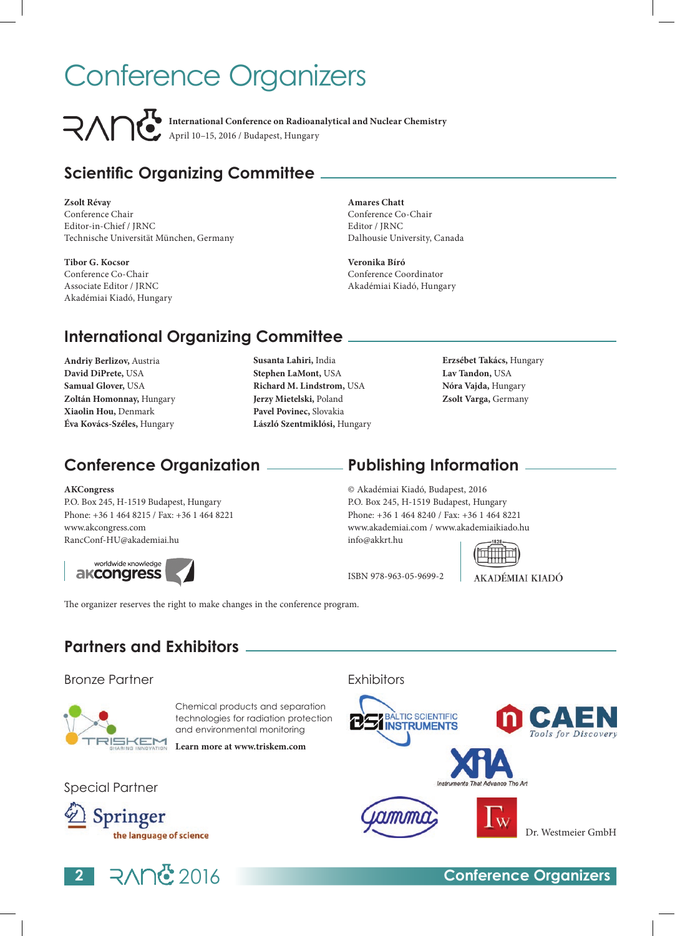# Conference Organizers

**International Conference on Radioanalytical and Nuclear Chemistry** April 10–15, 2016 / Budapest, Hungary

### **Scientific Organizing Committee**

**Zsolt Révay** Conference Chair Editor-in-Chief / JRNC Technische Universität München, Germany

**Tibor G. Kocsor** Conference Co-Chair Associate Editor / JRNC Akadémiai Kiadó, Hungary **Amares Chatt** Conference Co-Chair Editor / JRNC Dalhousie University, Canada

**Veronika Bíró** Conference Coordinator Akadémiai Kiadó, Hungary

### **International Organizing Committee**

- **Andriy Berlizov,** Austria **David DiPrete,** USA **Samual Glover,** USA **Zoltán Homonnay,** Hungary **Xiaolin Hou,** Denmark **Éva Kovács-Széles,** Hungary
- **Susanta Lahiri,** India **Stephen LaMont,** USA **Richard M. Lindstrom,** USA **Jerzy Mietelski,** Poland **Pavel Povinec,** Slovakia **László Szentmiklósi,** Hungary
- **Erzsébet Takács,** Hungary **Lav Tandon,** USA **Nóra Vajda,** Hungary **Zsolt Varga,** Germany

### **Conference Organization Publishing Information**

#### **AKCongress**

P.O. Box 245, H-1519 Budapest, Hungary Phone: +36 1 464 8215 / Fax: +36 1 464 8221 www.akcongress.com RancConf-HU@akademiai.hu



© Akadémiai Kiadó, Budapest, 2016 P.O. Box 245, H-1519 Budapest, Hungary Phone: +36 1 464 8240 / Fax: +36 1 464 8221 www.akademiai.com / www.akademiaikiado.hu info@akkrt.hu



ISBN 978-963-05-9699-2

AKADÉMIAI KIADÓ

**Partners and Exhibitors**

The organizer reserves the right to make changes in the conference program.

#### Bronze Partner



Chemical products and separation technologies for radiation protection and environmental monitoring

**Learn more at www.triskem.com**

Special Partner





### **BALTIC SCIENTIFIC INSTRUMENTS**

**Exhibitors** 





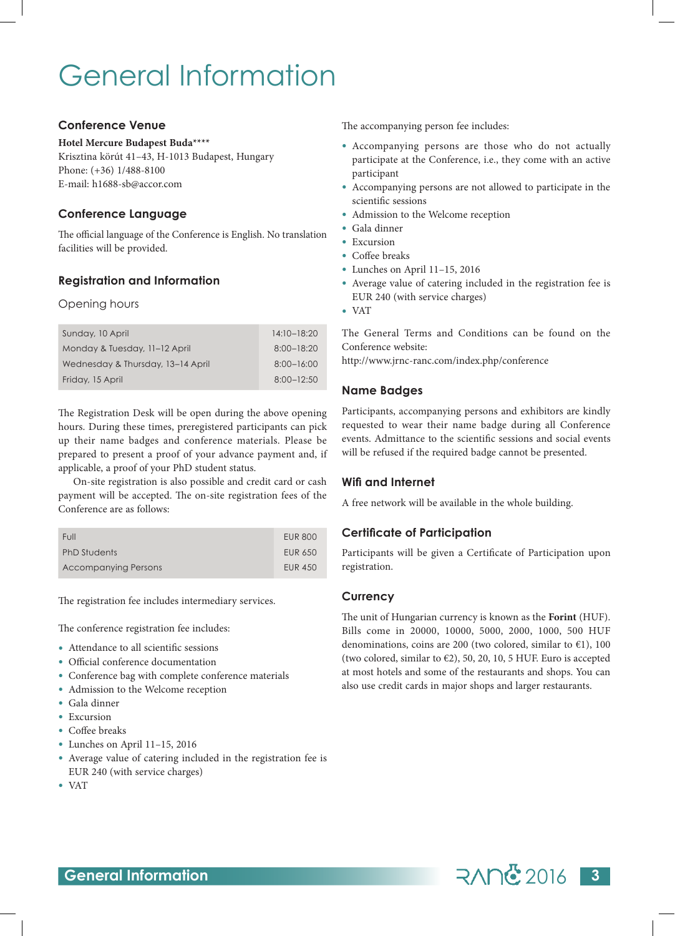## General Information

#### **Conference Venue**

#### **Hotel Mercure Budapest Buda\*\*\*\***

Krisztina körút 41–43, H-1013 Budapest, Hungary Phone: (+36) 1/488-8100 E-mail: h1688-sb@accor.com

#### **Conference Language**

The official language of the Conference is English. No translation facilities will be provided.

#### **Registration and Information**

#### Opening hours

| Sunday, 10 April                  | $14:10-18:20$  |
|-----------------------------------|----------------|
| Monday & Tuesday, 11-12 April     | $8:00 - 18:20$ |
| Wednesday & Thursday, 13-14 April | $8:00 - 16:00$ |
| Friday, 15 April                  | $8:00 - 12:50$ |

The Registration Desk will be open during the above opening hours. During these times, preregistered participants can pick up their name badges and conference materials. Please be prepared to present a proof of your advance payment and, if applicable, a proof of your PhD student status.

On-site registration is also possible and credit card or cash payment will be accepted. The on-site registration fees of the Conference are as follows:

| Full                        | <b>EUR 800</b> |
|-----------------------------|----------------|
| <b>PhD Students</b>         | EUR 650        |
| <b>Accompanying Persons</b> | <b>EUR 450</b> |

The registration fee includes intermediary services.

The conference registration fee includes:

- Attendance to all scientific sessions
- Official conference documentation
- Conference bag with complete conference materials
- Admission to the Welcome reception
- Gala dinner
- Excursion
- Coffee breaks
- Lunches on April 11–15, 2016
- Average value of catering included in the registration fee is EUR 240 (with service charges)
- VAT

The accompanying person fee includes:

- Accompanying persons are those who do not actually participate at the Conference, i.e., they come with an active participant
- Accompanying persons are not allowed to participate in the scientific sessions
- Admission to the Welcome reception
- Gala dinner
- Excursion
- Coffee breaks
- Lunches on April 11–15, 2016
- Average value of catering included in the registration fee is EUR 240 (with service charges)
- VAT

The General Terms and Conditions can be found on the Conference website:

http://www.jrnc-ranc.com/index.php/conference

#### **Name Badges**

Participants, accompanying persons and exhibitors are kindly requested to wear their name badge during all Conference events. Admittance to the scientific sessions and social events will be refused if the required badge cannot be presented.

#### **Wifi and Internet**

A free network will be available in the whole building.

#### **Certificate of Participation**

Participants will be given a Certificate of Participation upon registration.

#### **Currency**

The unit of Hungarian currency is known as the **Forint** (HUF). Bills come in 20000, 10000, 5000, 2000, 1000, 500 HUF denominations, coins are 200 (two colored, similar to  $E$ 1), 100 (two colored, similar to  $\epsilon$ 2), 50, 20, 10, 5 HUF. Euro is accepted at most hotels and some of the restaurants and shops. You can also use credit cards in major shops and larger restaurants.

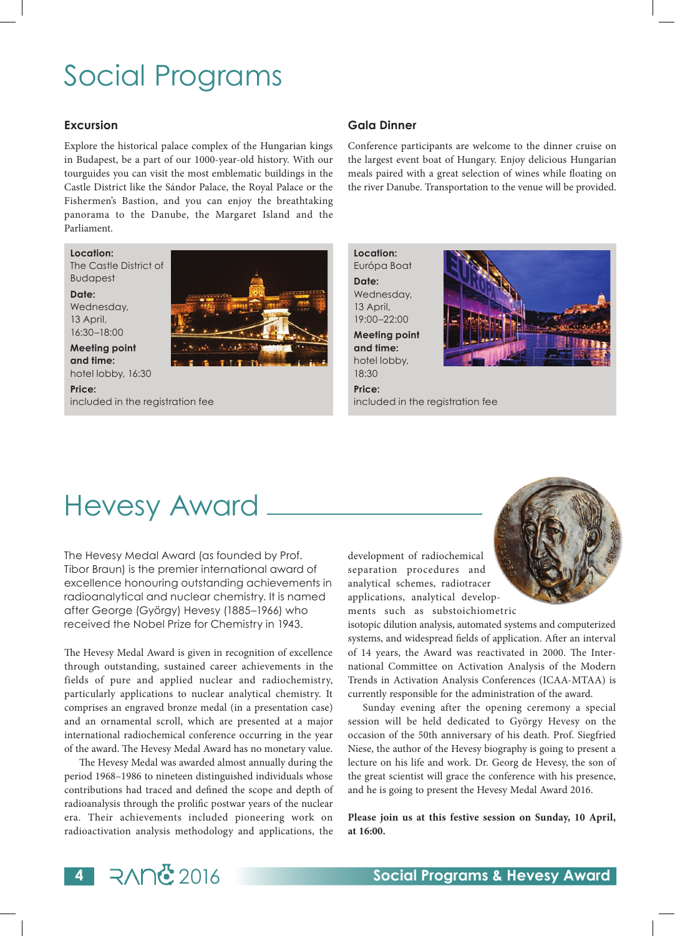## Social Programs

#### **Excursion**

Explore the historical palace complex of the Hungarian kings in Budapest, be a part of our 1000-year-old history. With our tourguides you can visit the most emblematic buildings in the Castle District like the Sándor Palace, the Royal Palace or the Fishermen's Bastion, and you can enjoy the breathtaking panorama to the Danube, the Margaret Island and the Parliament.

**Location:**  The Castle District of

Budapest **Date:** 

Wednesday, 13 April, 16:30–18:00

**Meeting point and time:**  hotel lobby, 16:30

**Price:**  included in the registration fee

#### **Gala Dinner**

Conference participants are welcome to the dinner cruise on the largest event boat of Hungary. Enjoy delicious Hungarian meals paired with a great selection of wines while floating on the river Danube. Transportation to the venue will be provided.

**Location:**  Európa Boat **Date:**  Wednesday, 13 April, 19:00–22:00

**Meeting point and time:**  hotel lobby,

18:30 **Price:** 



included in the registration fee

## Hevesy Award

The Hevesy Medal Award (as founded by Prof. Tibor Braun) is the premier international award of excellence honouring outstanding achievements in radioanalytical and nuclear chemistry. It is named after George (György) Hevesy (1885–1966) who received the Nobel Prize for Chemistry in 1943.

The Hevesy Medal Award is given in recognition of excellence through outstanding, sustained career achievements in the fields of pure and applied nuclear and radiochemistry, particularly applications to nuclear analytical chemistry. It comprises an engraved bronze medal (in a presentation case) and an ornamental scroll, which are presented at a major international radiochemical conference occurring in the year of the award. The Hevesy Medal Award has no monetary value.

The Hevesy Medal was awarded almost annually during the period 1968–1986 to nineteen distinguished individuals whose contributions had traced and defined the scope and depth of radioanalysis through the prolific postwar years of the nuclear era. Their achievements included pioneering work on radioactivation analysis methodology and applications, the

development of radiochemical separation procedures and analytical schemes, radiotracer applications, analytical developments such as substoichiometric

isotopic dilution analysis, automated systems and computerized systems, and widespread fields of application. After an interval of 14 years, the Award was reactivated in 2000. The International Committee on Activation Analysis of the Modern Trends in Activation Analysis Conferences (ICAA-MTAA) is currently responsible for the administration of the award.

Sunday evening after the opening ceremony a special session will be held dedicated to György Hevesy on the occasion of the 50th anniversary of his death. Prof. Siegfried Niese, the author of the Hevesy biography is going to present a lecture on his life and work. Dr. Georg de Hevesy, the son of the great scientist will grace the conference with his presence, and he is going to present the Hevesy Medal Award 2016.

**Please join us at this festive session on Sunday, 10 April, at 16:00.**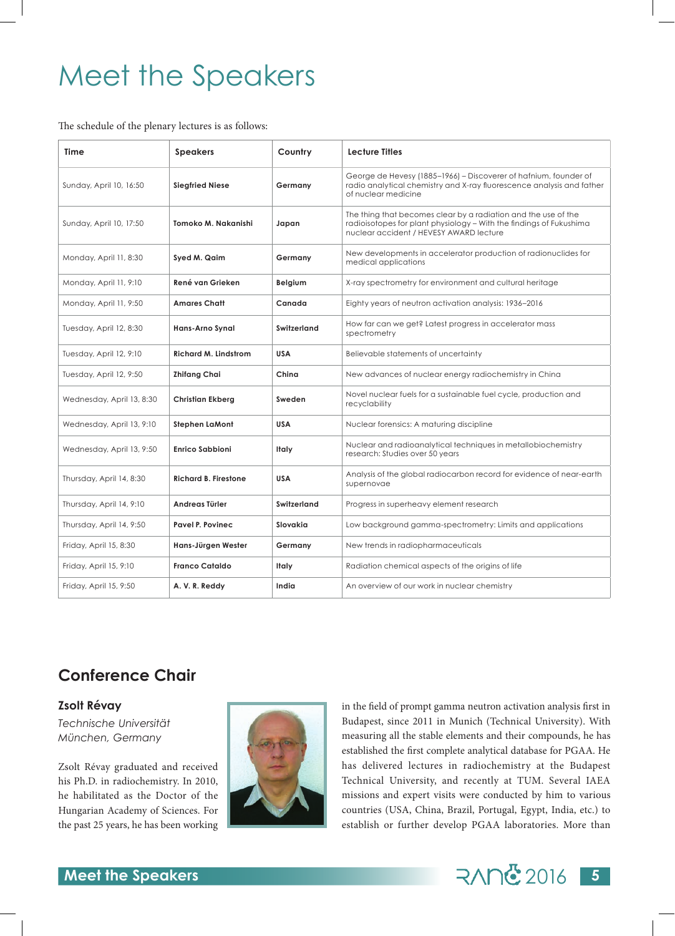## Meet the Speakers

The schedule of the plenary lectures is as follows:

| <b>Time</b>               | <b>Speakers</b>             | Country     | <b>Lecture Titles</b>                                                                                                                                                            |  |  |  |  |  |  |  |  |
|---------------------------|-----------------------------|-------------|----------------------------------------------------------------------------------------------------------------------------------------------------------------------------------|--|--|--|--|--|--|--|--|
| Sunday, April 10, 16:50   | <b>Siegfried Niese</b>      | Germany     | George de Hevesy (1885–1966) – Discoverer of hafnium, founder of<br>radio analytical chemistry and X-ray fluorescence analysis and father<br>of nuclear medicine                 |  |  |  |  |  |  |  |  |
| Sunday, April 10, 17:50   | Tomoko M. Nakanishi         | Japan       | The thing that becomes clear by a radiation and the use of the<br>radioisotopes for plant physiology - With the findings of Fukushima<br>nuclear accident / HEVESY AWARD lecture |  |  |  |  |  |  |  |  |
| Monday, April 11, 8:30    | Syed M. Qaim                | Germany     | New developments in accelerator production of radionuclides for<br>medical applications                                                                                          |  |  |  |  |  |  |  |  |
| Monday, April 11, 9:10    | René van Grieken            | Belgium     | X-ray spectrometry for environment and cultural heritage                                                                                                                         |  |  |  |  |  |  |  |  |
| Monday, April 11, 9:50    | <b>Amares Chatt</b>         | Canada      | Eighty years of neutron activation analysis: 1936-2016                                                                                                                           |  |  |  |  |  |  |  |  |
| Tuesday, April 12, 8:30   | <b>Hans-Arno Synal</b>      | Switzerland | How far can we get? Latest progress in accelerator mass<br>spectrometry                                                                                                          |  |  |  |  |  |  |  |  |
| Tuesday, April 12, 9:10   | <b>Richard M. Lindstrom</b> | <b>USA</b>  | Believable statements of uncertainty                                                                                                                                             |  |  |  |  |  |  |  |  |
| Tuesday, April 12, 9:50   | <b>Zhifang Chai</b>         | China       | New advances of nuclear energy radiochemistry in China                                                                                                                           |  |  |  |  |  |  |  |  |
| Wednesday, April 13, 8:30 | <b>Christian Ekberg</b>     | Sweden      | Novel nuclear fuels for a sustainable fuel cycle, production and<br>recyclability                                                                                                |  |  |  |  |  |  |  |  |
| Wednesday, April 13, 9:10 | <b>Stephen LaMont</b>       | <b>USA</b>  | Nuclear forensics: A maturing discipline                                                                                                                                         |  |  |  |  |  |  |  |  |
| Wednesday, April 13, 9:50 | <b>Enrico Sabbioni</b>      | Italy       | Nuclear and radioanalytical techniques in metallobiochemistry<br>research: Studies over 50 years                                                                                 |  |  |  |  |  |  |  |  |
| Thursday, April 14, 8:30  | <b>Richard B. Firestone</b> | <b>USA</b>  | Analysis of the global radiocarbon record for evidence of near-earth<br>supernovae                                                                                               |  |  |  |  |  |  |  |  |
| Thursday, April 14, 9:10  | Andreas Türler              | Switzerland | Progress in superheavy element research                                                                                                                                          |  |  |  |  |  |  |  |  |
| Thursday, April 14, 9:50  | <b>Pavel P. Povinec</b>     | Slovakia    | Low background gamma-spectrometry: Limits and applications                                                                                                                       |  |  |  |  |  |  |  |  |
| Friday, April 15, 8:30    | Hans-Jürgen Wester          | Germany     | New trends in radiopharmaceuticals                                                                                                                                               |  |  |  |  |  |  |  |  |
| Friday, April 15, 9:10    | <b>Franco Cataldo</b>       | Italy       | Radiation chemical aspects of the origins of life                                                                                                                                |  |  |  |  |  |  |  |  |
| Friday, April 15, 9:50    | A. V. R. Reddy              | India       | An overview of our work in nuclear chemistry                                                                                                                                     |  |  |  |  |  |  |  |  |

### **Conference Chair**

#### **Zsolt Révay**

*Technische Universität München, Germany*

Zsolt Révay graduated and received his Ph.D. in radiochemistry. In 2010, he habilitated as the Doctor of the Hungarian Academy of Sciences. For the past 25 years, he has been working



in the field of prompt gamma neutron activation analysis first in Budapest, since 2011 in Munich (Technical University). With measuring all the stable elements and their compounds, he has established the first complete analytical database for PGAA. He has delivered lectures in radiochemistry at the Budapest Technical University, and recently at TUM. Several IAEA missions and expert visits were conducted by him to various countries (USA, China, Brazil, Portugal, Egypt, India, etc.) to establish or further develop PGAA laboratories. More than

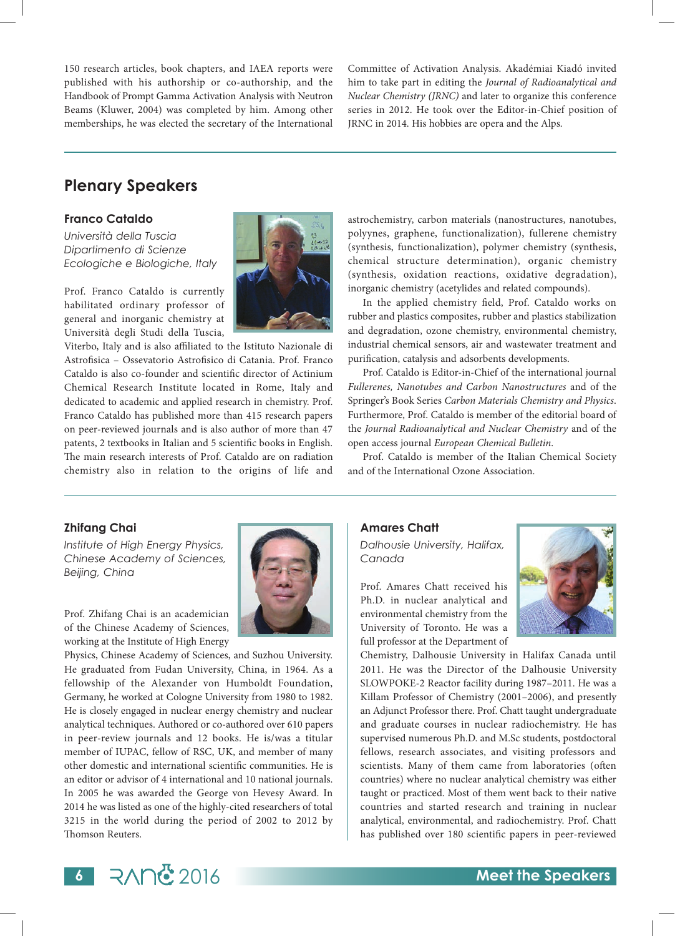150 research articles, book chapters, and IAEA reports were published with his authorship or co-authorship, and the Handbook of Prompt Gamma Activation Analysis with Neutron Beams (Kluwer, 2004) was completed by him. Among other memberships, he was elected the secretary of the International Committee of Activation Analysis. Akadémiai Kiadó invited him to take part in editing the *Journal of Radioanalytical and Nuclear Chemistry (JRNC)* and later to organize this conference series in 2012. He took over the Editor-in-Chief position of JRNC in 2014. His hobbies are opera and the Alps.

### **Plenary Speakers**

#### **Franco Cataldo**

*Università della Tuscia Dipartimento di Scienze Ecologiche e Biologiche, Italy*

Prof. Franco Cataldo is currently habilitated ordinary professor of general and inorganic chemistry at Università degli Studi della Tuscia,

Viterbo, Italy and is also affiliated to the Istituto Nazionale di Astrofisica – Ossevatorio Astrofisico di Catania. Prof. Franco Cataldo is also co-founder and scientific director of Actinium Chemical Research Institute located in Rome, Italy and dedicated to academic and applied research in chemistry. Prof. Franco Cataldo has published more than 415 research papers on peer-reviewed journals and is also author of more than 47 patents, 2 textbooks in Italian and 5 scientific books in English. The main research interests of Prof. Cataldo are on radiation chemistry also in relation to the origins of life and astrochemistry, carbon materials (nanostructures, nanotubes, polyynes, graphene, functionalization), fullerene chemistry (synthesis, functionalization), polymer chemistry (synthesis, chemical structure determination), organic chemistry (synthesis, oxidation reactions, oxidative degradation), inorganic chemistry (acetylides and related compounds).

In the applied chemistry field, Prof. Cataldo works on rubber and plastics composites, rubber and plastics stabilization and degradation, ozone chemistry, environmental chemistry, industrial chemical sensors, air and wastewater treatment and purification, catalysis and adsorbents developments.

Prof. Cataldo is Editor-in-Chief of the international journal *Fullerenes, Nanotubes and Carbon Nanostructures* and of the Springer's Book Series *Carbon Materials Chemistry and Physics*. Furthermore, Prof. Cataldo is member of the editorial board of the *Journal Radioanalytical and Nuclear Chemistry* and of the open access journal *European Chemical Bulletin*.

Prof. Cataldo is member of the Italian Chemical Society and of the International Ozone Association.

#### **Zhifang Chai**

*Institute of High Energy Physics, Chinese Academy of Sciences, Beijing, China*

Prof. Zhifang Chai is an academician of the Chinese Academy of Sciences, working at the Institute of High Energy

Physics, Chinese Academy of Sciences, and Suzhou University. He graduated from Fudan University, China, in 1964. As a fellowship of the Alexander von Humboldt Foundation, Germany, he worked at Cologne University from 1980 to 1982. He is closely engaged in nuclear energy chemistry and nuclear analytical techniques. Authored or co-authored over 610 papers in peer-review journals and 12 books. He is/was a titular member of IUPAC, fellow of RSC, UK, and member of many other domestic and international scientific communities. He is an editor or advisor of 4 international and 10 national journals. In 2005 he was awarded the George von Hevesy Award. In 2014 he was listed as one of the highly-cited researchers of total 3215 in the world during the period of 2002 to 2012 by Thomson Reuters.



*Dalhousie University, Halifax, Canada*

Prof. Amares Chatt received his Ph.D. in nuclear analytical and environmental chemistry from the University of Toronto. He was a full professor at the Department of



Chemistry, Dalhousie University in Halifax Canada until 2011. He was the Director of the Dalhousie University SLOWPOKE-2 Reactor facility during 1987–2011. He was a Killam Professor of Chemistry (2001–2006), and presently an Adjunct Professor there. Prof. Chatt taught undergraduate and graduate courses in nuclear radiochemistry. He has supervised numerous Ph.D. and M.Sc students, postdoctoral fellows, research associates, and visiting professors and scientists. Many of them came from laboratories (often countries) where no nuclear analytical chemistry was either taught or practiced. Most of them went back to their native countries and started research and training in nuclear analytical, environmental, and radiochemistry. Prof. Chatt has published over 180 scientific papers in peer-reviewed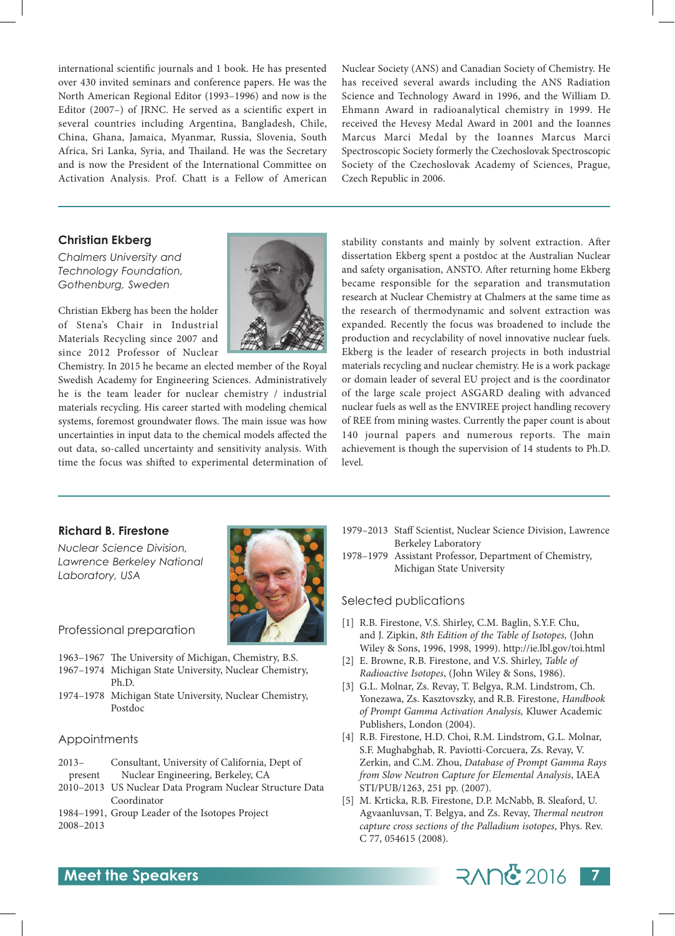international scientific journals and 1 book. He has presented over 430 invited seminars and conference papers. He was the North American Regional Editor (1993–1996) and now is the Editor (2007–) of JRNC. He served as a scientific expert in several countries including Argentina, Bangladesh, Chile, China, Ghana, Jamaica, Myanmar, Russia, Slovenia, South Africa, Sri Lanka, Syria, and Thailand. He was the Secretary and is now the President of the International Committee on Activation Analysis. Prof. Chatt is a Fellow of American Nuclear Society (ANS) and Canadian Society of Chemistry. He has received several awards including the ANS Radiation Science and Technology Award in 1996, and the William D. Ehmann Award in radioanalytical chemistry in 1999. He received the Hevesy Medal Award in 2001 and the Ioannes Marcus Marci Medal by the Ioannes Marcus Marci Spectroscopic Society formerly the Czechoslovak Spectroscopic Society of the Czechoslovak Academy of Sciences, Prague, Czech Republic in 2006.

#### **Christian Ekberg**

*Chalmers University and Technology Foundation, Gothenburg, Sweden*

Christian Ekberg has been the holder of Stena's Chair in Industrial Materials Recycling since 2007 and since 2012 Professor of Nuclear

Chemistry. In 2015 he became an elected member of the Royal Swedish Academy for Engineering Sciences. Administratively he is the team leader for nuclear chemistry / industrial materials recycling. His career started with modeling chemical systems, foremost groundwater flows. The main issue was how uncertainties in input data to the chemical models affected the out data, so-called uncertainty and sensitivity analysis. With time the focus was shifted to experimental determination of



stability constants and mainly by solvent extraction. After dissertation Ekberg spent a postdoc at the Australian Nuclear and safety organisation, ANSTO. After returning home Ekberg became responsible for the separation and transmutation research at Nuclear Chemistry at Chalmers at the same time as the research of thermodynamic and solvent extraction was expanded. Recently the focus was broadened to include the production and recyclability of novel innovative nuclear fuels. Ekberg is the leader of research projects in both industrial materials recycling and nuclear chemistry. He is a work package or domain leader of several EU project and is the coordinator of the large scale project ASGARD dealing with advanced nuclear fuels as well as the ENVIREE project handling recovery of REE from mining wastes. Currently the paper count is about 140 journal papers and numerous reports. The main achievement is though the supervision of 14 students to Ph.D. level.

#### **Richard B. Firestone**

*Nuclear Science Division, Lawrence Berkeley National Laboratory, USA*



Professional preparation

- 1963–1967 The University of Michigan, Chemistry, B.S.
- 1967–1974 Michigan State University, Nuclear Chemistry, Ph.D.
- 1974–1978 Michigan State University, Nuclear Chemistry, Postdoc

#### Appointments

- 2013– Consultant, University of California, Dept of present Nuclear Engineering, Berkeley, CA
- 2010–2013 US Nuclear Data Program Nuclear Structure Data Coordinator
- 1984–1991, Group Leader of the Isotopes Project 2008–2013
- 1979–2013 Staff Scientist, Nuclear Science Division, Lawrence Berkeley Laboratory
- 1978–1979 Assistant Professor, Department of Chemistry, Michigan State University

#### Selected publications

- [1] R.B. Firestone, V.S. Shirley, C.M. Baglin, S.Y.F. Chu, and J. Zipkin, *8th Edition of the Table of Isotopes,* (John Wiley & Sons, 1996, 1998, 1999). http://ie.lbl.gov/toi.html
- [2] E. Browne, R.B. Firestone, and V.S. Shirley, *Table of Radioactive Isotopes*, (John Wiley & Sons, 1986).
- [3] G.L. Molnar, Zs. Revay, T. Belgya, R.M. Lindstrom, Ch. Yonezawa, Zs. Kasztovszky, and R.B. Firestone, *Handbook of Prompt Gamma Activation Analysis,* Kluwer Academic Publishers, London (2004).
- [4] R.B. Firestone, H.D. Choi, R.M. Lindstrom, G.L. Molnar, S.F. Mughabghab, R. Paviotti-Corcuera, Zs. Revay, V. Zerkin, and C.M. Zhou, *Database of Prompt Gamma Rays from Slow Neutron Capture for Elemental Analysis*, IAEA STI/PUB/1263, 251 pp. (2007).
- [5] M. Krticka, R.B. Firestone, D.P. McNabb, B. Sleaford, U. Agvaanluvsan, T. Belgya, and Zs. Revay, *Thermal neutron capture cross sections of the Palladium isotopes*, Phys. Rev. C 77, 054615 (2008).

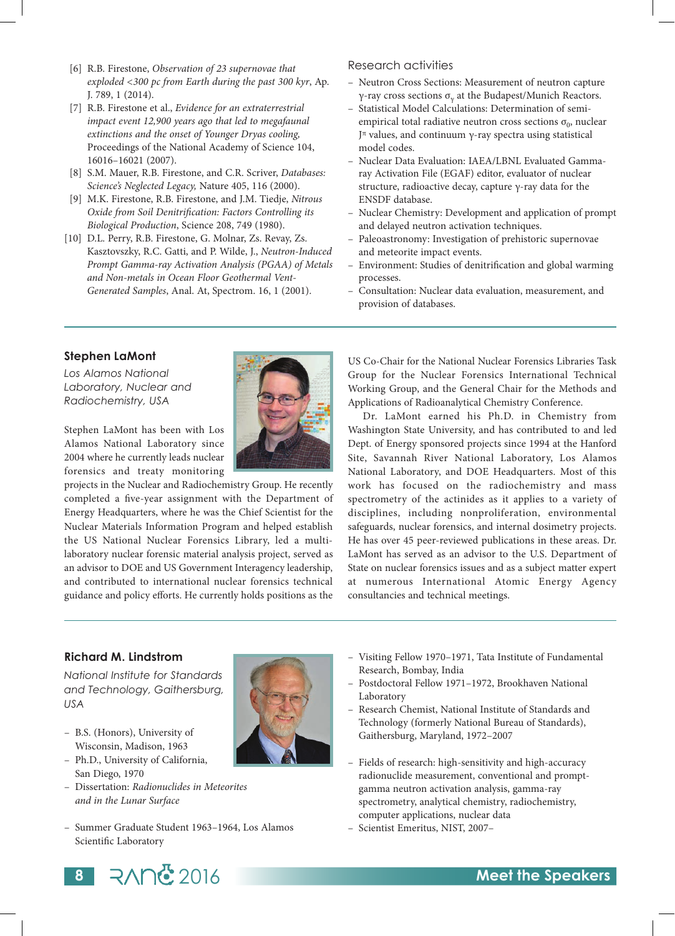- [6] R.B. Firestone, *Observation of 23 supernovae that exploded <300 pc from Earth during the past 300 kyr*, Ap. J. 789, 1 (2014).
- [7] R.B. Firestone et al., *Evidence for an extraterrestrial impact event 12,900 years ago that led to megafaunal extinctions and the onset of Younger Dryas cooling,*  Proceedings of the National Academy of Science 104, 16016–16021 (2007).
- [8] S.M. Mauer, R.B. Firestone, and C.R. Scriver, *Databases: Science's Neglected Legacy,* Nature 405, 116 (2000).
- [9] M.K. Firestone, R.B. Firestone, and J.M. Tiedje, *Nitrous Oxide from Soil Denitrification: Factors Controlling its Biological Production*, Science 208, 749 (1980).
- [10] D.L. Perry, R.B. Firestone, G. Molnar, Zs. Revay, Zs. Kasztovszky, R.C. Gatti, and P. Wilde, J., *Neutron-Induced Prompt Gamma-ray Activation Analysis (PGAA) of Metals and Non-metals in Ocean Floor Geothermal Vent-Generated Samples*, Anal. At, Spectrom. 16, 1 (2001).

#### Research activities

- Neutron Cross Sections: Measurement of neutron capture γ-ray cross sections  $σ<sub>ν</sub>$  at the Budapest/Munich Reactors.
- Statistical Model Calculations: Determination of semiempirical total radiative neutron cross sections  $\sigma_0$ , nuclear Jπ values, and continuum γ-ray spectra using statistical model codes.
- Nuclear Data Evaluation: IAEA/LBNL Evaluated Gammaray Activation File (EGAF) editor, evaluator of nuclear structure, radioactive decay, capture γ-ray data for the ENSDF database.
- Nuclear Chemistry: Development and application of prompt and delayed neutron activation techniques.
- Paleoastronomy: Investigation of prehistoric supernovae and meteorite impact events.
- Environment: Studies of denitrification and global warming processes.
- Consultation: Nuclear data evaluation, measurement, and provision of databases.

#### **Stephen LaMont**

*Los Alamos National Laboratory, Nuclear and Radiochemistry, USA*

Stephen LaMont has been with Los Alamos National Laboratory since 2004 where he currently leads nuclear forensics and treaty monitoring

projects in the Nuclear and Radiochemistry Group. He recently completed a five-year assignment with the Department of Energy Headquarters, where he was the Chief Scientist for the Nuclear Materials Information Program and helped establish the US National Nuclear Forensics Library, led a multilaboratory nuclear forensic material analysis project, served as an advisor to DOE and US Government Interagency leadership, and contributed to international nuclear forensics technical guidance and policy efforts. He currently holds positions as the

US Co-Chair for the National Nuclear Forensics Libraries Task Group for the Nuclear Forensics International Technical Working Group, and the General Chair for the Methods and Applications of Radioanalytical Chemistry Conference.

Dr. LaMont earned his Ph.D. in Chemistry from Washington State University, and has contributed to and led Dept. of Energy sponsored projects since 1994 at the Hanford Site, Savannah River National Laboratory, Los Alamos National Laboratory, and DOE Headquarters. Most of this work has focused on the radiochemistry and mass spectrometry of the actinides as it applies to a variety of disciplines, including nonproliferation, environmental safeguards, nuclear forensics, and internal dosimetry projects. He has over 45 peer-reviewed publications in these areas. Dr. LaMont has served as an advisor to the U.S. Department of State on nuclear forensics issues and as a subject matter expert at numerous International Atomic Energy Agency consultancies and technical meetings.

### **Richard M. Lindstrom**

*National Institute for Standards and Technology, Gaithersburg, USA*

- B.S. (Honors), University of Wisconsin, Madison, 1963
- Ph.D., University of California, San Diego, 1970
- Dissertation: *Radionuclides in Meteorites and in the Lunar Surface*
- Summer Graduate Student 1963–1964, Los Alamos Scientific Laboratory
- 
- Visiting Fellow 1970–1971, Tata Institute of Fundamental Research, Bombay, India
- Postdoctoral Fellow 1971–1972, Brookhaven National Laboratory
- Research Chemist, National Institute of Standards and Technology (formerly National Bureau of Standards), Gaithersburg, Maryland, 1972–2007
- Fields of research: high-sensitivity and high-accuracy radionuclide measurement, conventional and promptgamma neutron activation analysis, gamma-ray spectrometry, analytical chemistry, radiochemistry, computer applications, nuclear data
- Scientist Emeritus, NIST, 2007–

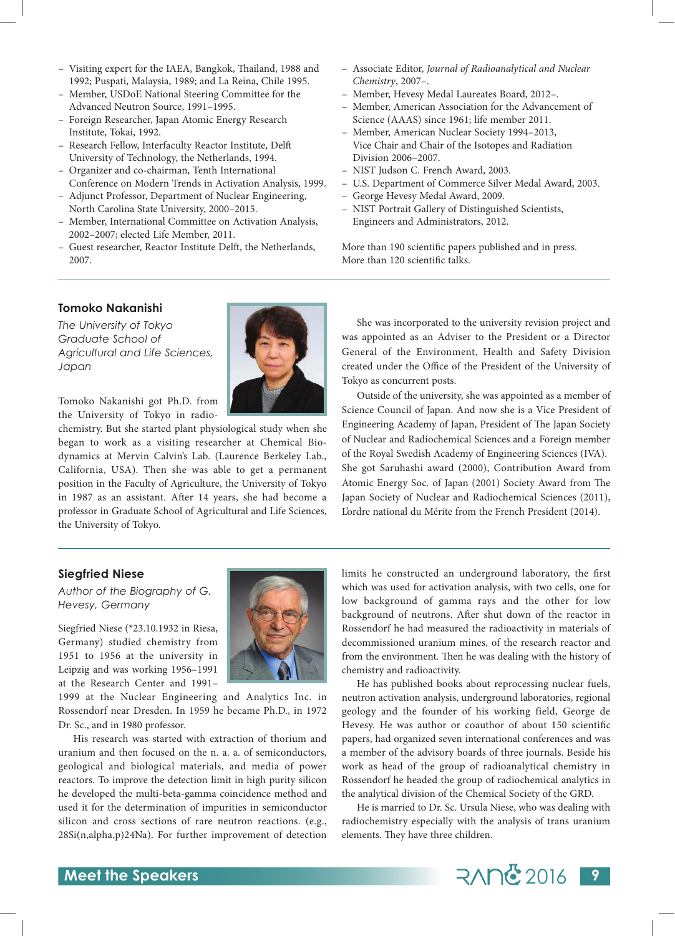- Visiting expert for the IAEA, Bangkok, Thailand, 1988 and 1992; Puspati, Malaysia, 1989; and La Reina, Chile 1995.
- Member, USDoE National Steering Committee for the Advanced Neutron Source, 1991–1995.
- Foreign Researcher, Japan Atomic Energy Research Institute, Tokai, 1992.
- Research Fellow, Interfaculty Reactor Institute, Delft University of Technology, the Netherlands, 1994.
- Organizer and co-chairman, Tenth International Conference on Modern Trends in Activation Analysis, 1999.
- Adjunct Professor, Department of Nuclear Engineering, North Carolina State University, 2000–2015.
- Member, International Committee on Activation Analysis, 2002–2007; elected Life Member, 2011.
- Guest researcher, Reactor Institute Delft, the Netherlands, 2007.
- Associate Editor, *Journal of Radioanalytical and Nuclear Chemistry*, 2007–.
- Member, Hevesy Medal Laureates Board, 2012–.
- Member, American Association for the Advancement of Science (AAAS) since 1961; life member 2011.
- Member, American Nuclear Society 1994–2013, Vice Chair and Chair of the Isotopes and Radiation Division 2006–2007.
- NIST Judson C. French Award, 2003.
- U.S. Department of Commerce Silver Medal Award, 2003.
- George Hevesy Medal Award, 2009.
- NIST Portrait Gallery of Distinguished Scientists, Engineers and Administrators, 2012.

More than 190 scientific papers published and in press. More than 120 scientific talks.

#### **Tomoko Nakanishi**

*The University of Tokyo Graduate School of Agricultural and Life Sciences, Japan*



Tomoko Nakanishi got Ph.D. from the University of Tokyo in radio-

chemistry. But she started plant physiological study when she began to work as a visiting researcher at Chemical Biodynamics at Mervin Calvin's Lab. (Laurence Berkeley Lab., California, USA). Then she was able to get a permanent position in the Faculty of Agriculture, the University of Tokyo in 1987 as an assistant. After 14 years, she had become a professor in Graduate School of Agricultural and Life Sciences, the University of Tokyo.

She was incorporated to the university revision project and was appointed as an Adviser to the President or a Director General of the Environment, Health and Safety Division created under the Office of the President of the University of Tokyo as concurrent posts.

Outside of the university, she was appointed as a member of Science Council of Japan. And now she is a Vice President of Engineering Academy of Japan, President of The Japan Society of Nuclear and Radiochemical Sciences and a Foreign member of the Royal Swedish Academy of Engineering Sciences (IVA). She got Saruhashi award (2000), Contribution Award from Atomic Energy Soc. of Japan (2001) Society Award from The Japan Society of Nuclear and Radiochemical Sciences (2011), L'ordre national du Mérite from the French President (2014).

#### **Siegfried Niese**

*Author of the Biography of G. Hevesy, Germany*

Siegfried Niese (\*23.10.1932 in Riesa, Germany) studied chemistry from 1951 to 1956 at the university in Leipzig and was working 1956–1991 at the Research Center and 1991–

1999 at the Nuclear Engineering and Analytics Inc. in Rossendorf near Dresden. In 1959 he became Ph.D., in 1972 Dr. Sc., and in 1980 professor.

His research was started with extraction of thorium and uranium and then focused on the n. a. a. of semiconductors, geological and biological materials, and media of power reactors. To improve the detection limit in high purity silicon he developed the multi-beta-gamma coincidence method and used it for the determination of impurities in semiconductor silicon and cross sections of rare neutron reactions. (e.g., 28Si(n,alpha,p)24Na). For further improvement of detection



limits he constructed an underground laboratory, the first which was used for activation analysis, with two cells, one for low background of gamma rays and the other for low background of neutrons. After shut down of the reactor in Rossendorf he had measured the radioactivity in materials of decommissioned uranium mines, of the research reactor and from the environment. Then he was dealing with the history of chemistry and radioactivity.

He has published books about reprocessing nuclear fuels, neutron activation analysis, underground laboratories, regional geology and the founder of his working field, George de Hevesy. He was author or coauthor of about 150 scientific papers, had organized seven international conferences and was a member of the advisory boards of three journals. Beside his work as head of the group of radioanalytical chemistry in Rossendorf he headed the group of radiochemical analytics in the analytical division of the Chemical Society of the GRD.

He is married to Dr. Sc. Ursula Niese, who was dealing with radiochemistry especially with the analysis of trans uranium elements. They have three children.

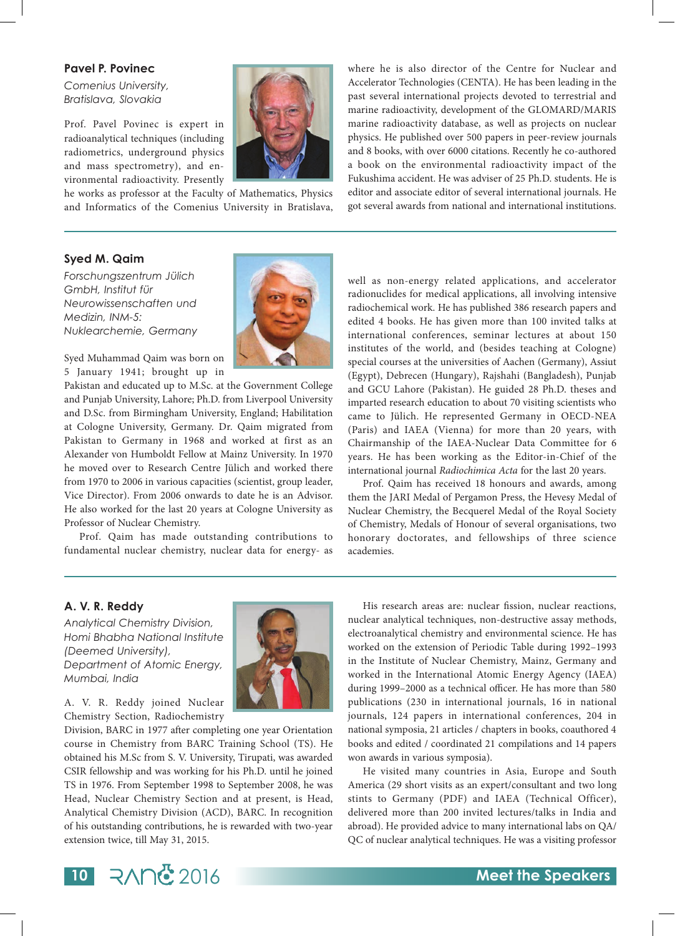#### **Pavel P. Povinec**

*Comenius University, Bratislava, Slovakia*

Prof. Pavel Povinec is expert in radioanalytical techniques (including radiometrics, underground physics and mass spectrometry), and environmental radioactivity. Presently

he works as professor at the Faculty of Mathematics, Physics and Informatics of the Comenius University in Bratislava, where he is also director of the Centre for Nuclear and Accelerator Technologies (CENTA). He has been leading in the past several international projects devoted to terrestrial and marine radioactivity, development of the GLOMARD/MARIS marine radioactivity database, as well as projects on nuclear physics. He published over 500 papers in peer-review journals and 8 books, with over 6000 citations. Recently he co-authored a book on the environmental radioactivity impact of the Fukushima accident. He was adviser of 25 Ph.D. students. He is editor and associate editor of several international journals. He got several awards from national and international institutions.

#### **Syed M. Qaim**

*Forschungszentrum Jülich GmbH, Institut für Neurowissenschaften und Medizin, INM-5: Nuklearchemie, Germany*



Syed Muhammad Qaim was born on 5 January 1941; brought up in

Pakistan and educated up to M.Sc. at the Government College and Punjab University, Lahore; Ph.D. from Liverpool University and D.Sc. from Birmingham University, England; Habilitation at Cologne University, Germany. Dr. Qaim migrated from Pakistan to Germany in 1968 and worked at first as an Alexander von Humboldt Fellow at Mainz University. In 1970 he moved over to Research Centre Jülich and worked there from 1970 to 2006 in various capacities (scientist, group leader, Vice Director). From 2006 onwards to date he is an Advisor. He also worked for the last 20 years at Cologne University as Professor of Nuclear Chemistry.

Prof. Qaim has made outstanding contributions to fundamental nuclear chemistry, nuclear data for energy- as well as non-energy related applications, and accelerator radionuclides for medical applications, all involving intensive radiochemical work. He has published 386 research papers and edited 4 books. He has given more than 100 invited talks at international conferences, seminar lectures at about 150 institutes of the world, and (besides teaching at Cologne) special courses at the universities of Aachen (Germany), Assiut (Egypt), Debrecen (Hungary), Rajshahi (Bangladesh), Punjab and GCU Lahore (Pakistan). He guided 28 Ph.D. theses and imparted research education to about 70 visiting scientists who came to Jülich. He represented Germany in OECD-NEA (Paris) and IAEA (Vienna) for more than 20 years, with Chairmanship of the IAEA-Nuclear Data Committee for 6 years. He has been working as the Editor-in-Chief of the international journal *Radiochimica Acta* for the last 20 years.

Prof. Qaim has received 18 honours and awards, among them the JARI Medal of Pergamon Press, the Hevesy Medal of Nuclear Chemistry, the Becquerel Medal of the Royal Society of Chemistry, Medals of Honour of several organisations, two honorary doctorates, and fellowships of three science academies.

#### **A. V. R. Reddy**

*Analytical Chemistry Division, Homi Bhabha National Institute (Deemed University), Department of Atomic Energy, Mumbai, India*



A. V. R. Reddy joined Nuclear Chemistry Section, Radiochemistry

Division, BARC in 1977 after completing one year Orientation course in Chemistry from BARC Training School (TS). He obtained his M.Sc from S. V. University, Tirupati, was awarded CSIR fellowship and was working for his Ph.D. until he joined TS in 1976. From September 1998 to September 2008, he was Head, Nuclear Chemistry Section and at present, is Head, Analytical Chemistry Division (ACD), BARC. In recognition of his outstanding contributions, he is rewarded with two-year extension twice, till May 31, 2015.

His research areas are: nuclear fission, nuclear reactions, nuclear analytical techniques, non-destructive assay methods, electroanalytical chemistry and environmental science. He has worked on the extension of Periodic Table during 1992–1993 in the Institute of Nuclear Chemistry, Mainz, Germany and worked in the International Atomic Energy Agency (IAEA) during 1999–2000 as a technical officer. He has more than 580 publications (230 in international journals, 16 in national journals, 124 papers in international conferences, 204 in national symposia, 21 articles / chapters in books, coauthored 4 books and edited / coordinated 21 compilations and 14 papers won awards in various symposia).

He visited many countries in Asia, Europe and South America (29 short visits as an expert/consultant and two long stints to Germany (PDF) and IAEA (Technical Officer), delivered more than 200 invited lectures/talks in India and abroad). He provided advice to many international labs on QA/ QC of nuclear analytical techniques. He was a visiting professor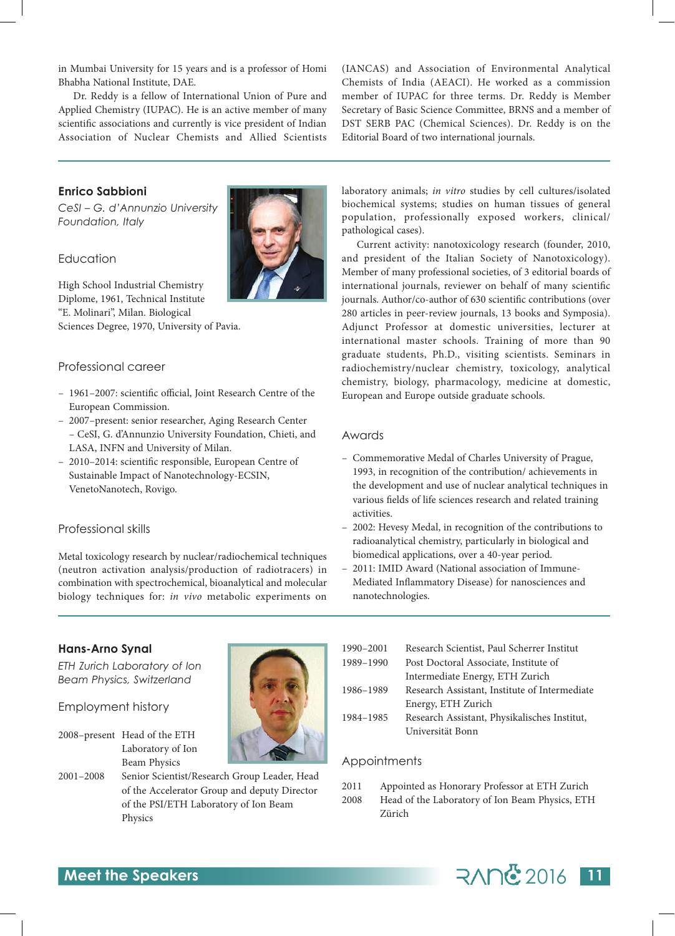in Mumbai University for 15 years and is a professor of Homi Bhabha National Institute, DAE.

Dr. Reddy is a fellow of International Union of Pure and Applied Chemistry (IUPAC). He is an active member of many scientific associations and currently is vice president of Indian Association of Nuclear Chemists and Allied Scientists

(IANCAS) and Association of Environmental Analytical Chemists of India (AEACI). He worked as a commission member of IUPAC for three terms. Dr. Reddy is Member Secretary of Basic Science Committee, BRNS and a member of DST SERB PAC (Chemical Sciences). Dr. Reddy is on the Editorial Board of two international journals.

#### **Enrico Sabbioni**

*CeSI – G. d'Annunzio University Foundation, Italy*



#### Education

High School Industrial Chemistry Diplome, 1961, Technical Institute "E. Molinari", Milan. Biological Sciences Degree, 1970, University of Pavia.

#### Professional career

- 1961–2007: scientific official, Joint Research Centre of the European Commission.
- 2007–present: senior researcher, Aging Research Center – CeSI, G. d'Annunzio University Foundation, Chieti, and LASA, INFN and University of Milan.
- 2010–2014: scientific responsible, European Centre of Sustainable Impact of Nanotechnology-ECSIN, VenetoNanotech, Rovigo.

#### Professional skills

Metal toxicology research by nuclear/radiochemical techniques (neutron activation analysis/production of radiotracers) in combination with spectrochemical, bioanalytical and molecular biology techniques for: *in vivo* metabolic experiments on laboratory animals; *in vitro* studies by cell cultures/isolated biochemical systems; studies on human tissues of general population, professionally exposed workers, clinical/ pathological cases).

Current activity: nanotoxicology research (founder, 2010, and president of the Italian Society of Nanotoxicology). Member of many professional societies, of 3 editorial boards of international journals, reviewer on behalf of many scientific journals. Author/co-author of 630 scientific contributions (over 280 articles in peer-review journals, 13 books and Symposia). Adjunct Professor at domestic universities, lecturer at international master schools. Training of more than 90 graduate students, Ph.D., visiting scientists. Seminars in radiochemistry/nuclear chemistry, toxicology, analytical chemistry, biology, pharmacology, medicine at domestic, European and Europe outside graduate schools.

#### Awards

- Commemorative Medal of Charles University of Prague, 1993, in recognition of the contribution/ achievements in the development and use of nuclear analytical techniques in various fields of life sciences research and related training activities.
- 2002: Hevesy Medal, in recognition of the contributions to radioanalytical chemistry, particularly in biological and biomedical applications, over a 40-year period.
- 2011: IMID Award (National association of Immune-Mediated Inflammatory Disease) for nanosciences and nanotechnologies.

#### **Hans-Arno Synal**

*ETH Zurich Laboratory of Ion Beam Physics, Switzerland*

#### Employment history

- 2008–present Head of the ETH Laboratory of Ion Beam Physics
- 2001–2008 Senior Scientist/Research Group Leader, Head of the Accelerator Group and deputy Director of the PSI/ETH Laboratory of Ion Beam Physics



| 1990-2001 | Research Scientist, Paul Scherrer Institut    |
|-----------|-----------------------------------------------|
| 1989-1990 | Post Doctoral Associate, Institute of         |
|           | Intermediate Energy, ETH Zurich               |
| 1986-1989 | Research Assistant, Institute of Intermediate |
|           | Energy, ETH Zurich                            |
| 1984-1985 | Research Assistant, Physikalisches Institut,  |
|           | Universität Bonn                              |
|           |                                               |

#### Appointments

Zürich

2011 Appointed as Honorary Professor at ETH Zurich 2008 Head of the Laboratory of Ion Beam Physics, ETH

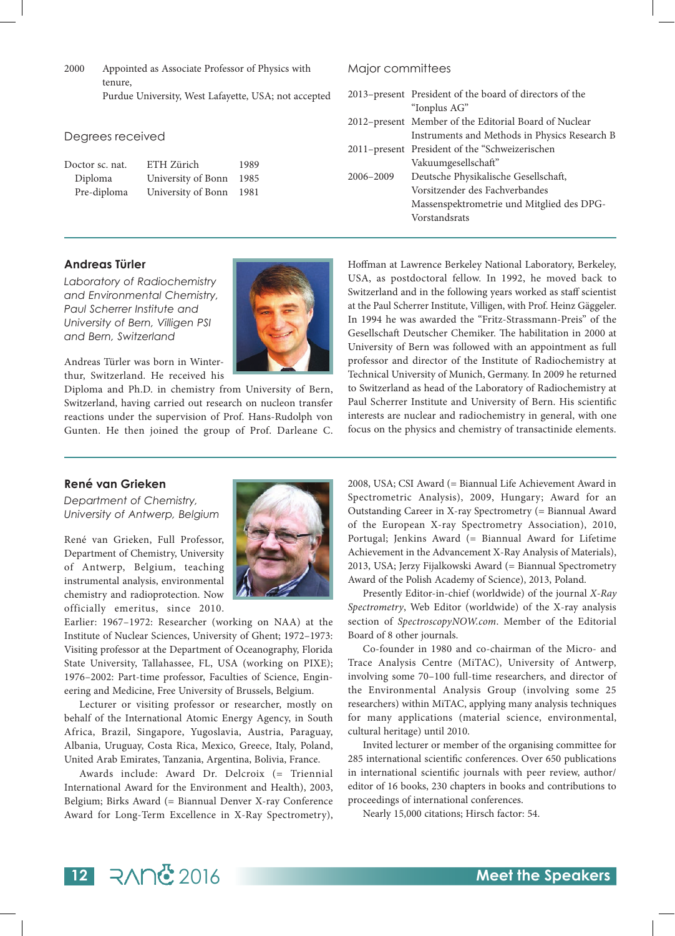2000 Appointed as Associate Professor of Physics with tenure, Purdue University, West Lafayette, USA; not accepted

#### Degrees received

| Doctor sc. nat. | ETH Zürich         | 1989 |
|-----------------|--------------------|------|
| Diploma         | University of Bonn | 1985 |
| Pre-diploma     | University of Bonn | 1981 |

#### Major committees

|           | 2013-present President of the board of directors of the |
|-----------|---------------------------------------------------------|
|           | "Ionplus AG"                                            |
|           | 2012-present Member of the Editorial Board of Nuclear   |
|           | Instruments and Methods in Physics Research B           |
|           | 2011-present President of the "Schweizerischen          |
|           | Vakuumgesellschaft"                                     |
| 2006–2009 | Deutsche Physikalische Gesellschaft,                    |
|           | Vorsitzender des Fachverbandes                          |
|           | Massenspektrometrie und Mitglied des DPG-               |
|           | Vorstandsrats                                           |
|           |                                                         |

#### **Andreas Türler**

*Laboratory of Radiochemistry and Environmental Chemistry, Paul Scherrer Institute and University of Bern, Villigen PSI and Bern, Switzerland*



Andreas Türler was born in Winterthur, Switzerland. He received his

Diploma and Ph.D. in chemistry from University of Bern, Switzerland, having carried out research on nucleon transfer reactions under the supervision of Prof. Hans-Rudolph von Gunten. He then joined the group of Prof. Darleane C. Hoffman at Lawrence Berkeley National Laboratory, Berkeley, USA, as postdoctoral fellow. In 1992, he moved back to Switzerland and in the following years worked as staff scientist at the Paul Scherrer Institute, Villigen, with Prof. Heinz Gäggeler. In 1994 he was awarded the "Fritz-Strassmann-Preis" of the Gesellschaft Deutscher Chemiker. The habilitation in 2000 at University of Bern was followed with an appointment as full professor and director of the Institute of Radiochemistry at Technical University of Munich, Germany. In 2009 he returned to Switzerland as head of the Laboratory of Radiochemistry at Paul Scherrer Institute and University of Bern. His scientific interests are nuclear and radiochemistry in general, with one focus on the physics and chemistry of transactinide elements.

#### **René van Grieken**

*Department of Chemistry, University of Antwerp, Belgium*

René van Grieken, Full Professor, Department of Chemistry, University of Antwerp, Belgium, teaching instrumental analysis, environmental chemistry and radioprotection. Now officially emeritus, since 2010.

Earlier: 1967–1972: Researcher (working on NAA) at the Institute of Nuclear Sciences, University of Ghent; 1972–1973: Visiting professor at the Department of Oceanography, Florida State University, Tallahassee, FL, USA (working on PIXE); 1976–2002: Part-time professor, Faculties of Science, Engineering and Medicine, Free University of Brussels, Belgium.

Lecturer or visiting professor or researcher, mostly on behalf of the International Atomic Energy Agency, in South Africa, Brazil, Singapore, Yugoslavia, Austria, Paraguay, Albania, Uruguay, Costa Rica, Mexico, Greece, Italy, Poland, United Arab Emirates, Tanzania, Argentina, Bolivia, France.

Awards include: Award Dr. Delcroix (= Triennial International Award for the Environment and Health), 2003, Belgium; Birks Award (= Biannual Denver X-ray Conference Award for Long-Term Excellence in X-Ray Spectrometry),



2008, USA; CSI Award (= Biannual Life Achievement Award in Spectrometric Analysis), 2009, Hungary; Award for an Outstanding Career in X-ray Spectrometry (= Biannual Award of the European X-ray Spectrometry Association), 2010, Portugal; Jenkins Award (= Biannual Award for Lifetime Achievement in the Advancement X-Ray Analysis of Materials), 2013, USA; Jerzy Fijalkowski Award (= Biannual Spectrometry Award of the Polish Academy of Science), 2013, Poland.

Presently Editor-in-chief (worldwide) of the journal *X-Ray Spectrometry*, Web Editor (worldwide) of the X-ray analysis section of *SpectroscopyNOW.com*. Member of the Editorial Board of 8 other journals.

Co-founder in 1980 and co-chairman of the Micro- and Trace Analysis Centre (MiTAC), University of Antwerp, involving some 70–100 full-time researchers, and director of the Environmental Analysis Group (involving some 25 researchers) within MiTAC, applying many analysis techniques for many applications (material science, environmental, cultural heritage) until 2010.

Invited lecturer or member of the organising committee for 285 international scientific conferences. Over 650 publications in international scientific journals with peer review, author/ editor of 16 books, 230 chapters in books and contributions to proceedings of international conferences.

Nearly 15,000 citations; Hirsch factor: 54.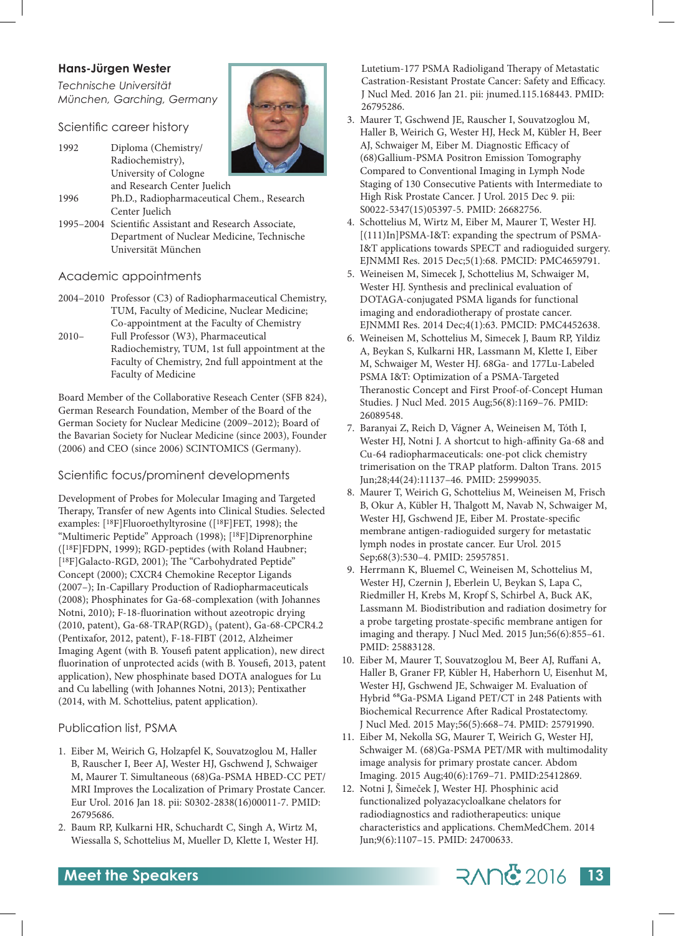#### **Hans-Jürgen Wester**

*Technische Universität München, Garching, Germany*

Scientific career history

- 1992 Diploma (Chemistry/ Radiochemistry), University of Cologne and Research Center Juelich
- 1996 Ph.D., Radiopharmaceutical Chem., Research Center Juelich
- 1995–2004 Scientific Assistant and Research Associate, Department of Nuclear Medicine, Technische Universität München

#### Academic appointments

- 2004–2010 Professor (C3) of Radiopharmaceutical Chemistry, TUM, Faculty of Medicine, Nuclear Medicine; Co-appointment at the Faculty of Chemistry
- 2010– Full Professor (W3), Pharmaceutical Radiochemistry, TUM, 1st full appointment at the Faculty of Chemistry, 2nd full appointment at the Faculty of Medicine

Board Member of the Collaborative Reseach Center (SFB 824), German Research Foundation, Member of the Board of the German Society for Nuclear Medicine (2009–2012); Board of the Bavarian Society for Nuclear Medicine (since 2003), Founder (2006) and CEO (since 2006) SCINTOMICS (Germany).

#### Scientific focus/prominent developments

Development of Probes for Molecular Imaging and Targeted Therapy, Transfer of new Agents into Clinical Studies. Selected examples: [18F]Fluoroethyltyrosine ([18F]FET, 1998); the "Multimeric Peptide" Approach (1998); [18F]Diprenorphine ([18F]FDPN, 1999); RGD-peptides (with Roland Haubner; [<sup>18</sup>F]Galacto-RGD, 2001); The "Carbohydrated Peptide" Concept (2000); CXCR4 Chemokine Receptor Ligands (2007–); In-Capillary Production of Radiopharmaceuticals (2008); Phosphinates for Ga-68-complexation (with Johannes Notni, 2010); F-18-fluorination without azeotropic drying (2010, patent), Ga-68-TRAP(RGD)<sub>3</sub> (patent), Ga-68-CPCR4.2 (Pentixafor, 2012, patent), F-18-FIBT (2012, Alzheimer Imaging Agent (with B. Yousefi patent application), new direct fluorination of unprotected acids (with B. Yousefi, 2013, patent application), New phosphinate based DOTA analogues for Lu and Cu labelling (with Johannes Notni, 2013); Pentixather (2014, with M. Schottelius, patent application).

#### Publication list, PSMA

- 1. Eiber M, Weirich G, Holzapfel K, Souvatzoglou M, Haller B, Rauscher I, Beer AJ, Wester HJ, Gschwend J, Schwaiger M, Maurer T. Simultaneous (68)Ga-PSMA HBED-CC PET/ MRI Improves the Localization of Primary Prostate Cancer. Eur Urol. 2016 Jan 18. pii: S0302-2838(16)00011-7. PMID: 26795686.
- 2. Baum RP, Kulkarni HR, Schuchardt C, Singh A, Wirtz M, Wiessalla S, Schottelius M, Mueller D, Klette I, Wester HJ.

Lutetium-177 PSMA Radioligand Therapy of Metastatic Castration-Resistant Prostate Cancer: Safety and Efficacy. J Nucl Med. 2016 Jan 21. pii: jnumed.115.168443. PMID: 26795286.

- 3. Maurer T, Gschwend JE, Rauscher I, Souvatzoglou M, Haller B, Weirich G, Wester HJ, Heck M, Kübler H, Beer AJ, Schwaiger M, Eiber M. Diagnostic Efficacy of (68)Gallium-PSMA Positron Emission Tomography Compared to Conventional Imaging in Lymph Node Staging of 130 Consecutive Patients with Intermediate to High Risk Prostate Cancer. J Urol. 2015 Dec 9. pii: S0022-5347(15)05397-5. PMID: 26682756.
- 4. Schottelius M, Wirtz M, Eiber M, Maurer T, Wester HJ. [(111)In]PSMA-I&T: expanding the spectrum of PSMA-I&T applications towards SPECT and radioguided surgery. EJNMMI Res. 2015 Dec;5(1):68. PMCID: PMC4659791.
- 5. Weineisen M, Simecek J, Schottelius M, Schwaiger M, Wester HJ. Synthesis and preclinical evaluation of DOTAGA-conjugated PSMA ligands for functional imaging and endoradiotherapy of prostate cancer. EJNMMI Res. 2014 Dec;4(1):63. PMCID: PMC4452638.
- 6. Weineisen M, Schottelius M, Simecek J, Baum RP, Yildiz A, Beykan S, Kulkarni HR, Lassmann M, Klette I, Eiber M, Schwaiger M, Wester HJ. 68Ga- and 177Lu-Labeled PSMA I&T: Optimization of a PSMA-Targeted Theranostic Concept and First Proof-of-Concept Human Studies. J Nucl Med. 2015 Aug;56(8):1169–76. PMID: 26089548.
- 7. Baranyai Z, Reich D, Vágner A, Weineisen M, Tóth I, Wester HJ, Notni J. A shortcut to high-affinity Ga-68 and Cu-64 radiopharmaceuticals: one-pot click chemistry trimerisation on the TRAP platform. Dalton Trans. 2015 Jun;28;44(24):11137–46. PMID: 25999035.
- 8. Maurer T, Weirich G, Schottelius M, Weineisen M, Frisch B, Okur A, Kübler H, Thalgott M, Navab N, Schwaiger M, Wester HJ, Gschwend JE, Eiber M. Prostate-specific membrane antigen-radioguided surgery for metastatic lymph nodes in prostate cancer. Eur Urol. 2015 Sep;68(3):530–4. PMID: 25957851.
- 9. Herrmann K, Bluemel C, Weineisen M, Schottelius M, Wester HJ, Czernin J, Eberlein U, Beykan S, Lapa C, Riedmiller H, Krebs M, Kropf S, Schirbel A, Buck AK, Lassmann M. Biodistribution and radiation dosimetry for a probe targeting prostate-specific membrane antigen for imaging and therapy. J Nucl Med. 2015 Jun;56(6):855–61. PMID: 25883128.
- 10. Eiber M, Maurer T, Souvatzoglou M, Beer AJ, Ruffani A, Haller B, Graner FP, Kübler H, Haberhorn U, Eisenhut M, Wester HJ, Gschwend JE, Schwaiger M. Evaluation of Hybrid <sup>68</sup>Ga-PSMA Ligand PET/CT in 248 Patients with Biochemical Recurrence After Radical Prostatectomy. J Nucl Med. 2015 May;56(5):668–74. PMID: 25791990.
- 11. Eiber M, Nekolla SG, Maurer T, Weirich G, Wester HJ, Schwaiger M. (68)Ga-PSMA PET/MR with multimodality image analysis for primary prostate cancer. Abdom Imaging. 2015 Aug;40(6):1769–71. PMID:25412869.
- 12. Notni J, Šimeček J, Wester HJ. Phosphinic acid functionalized polyazacycloalkane chelators for radiodiagnostics and radiotherapeutics: unique characteristics and applications. ChemMedChem. 2014 Jun;9(6):1107–15. PMID: 24700633.



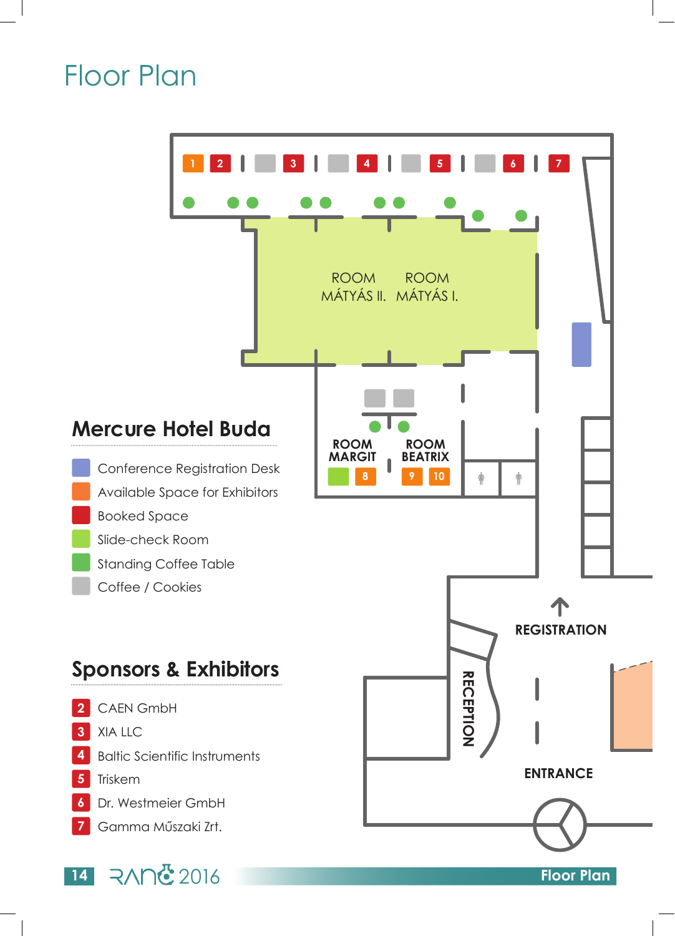## Floor Plan

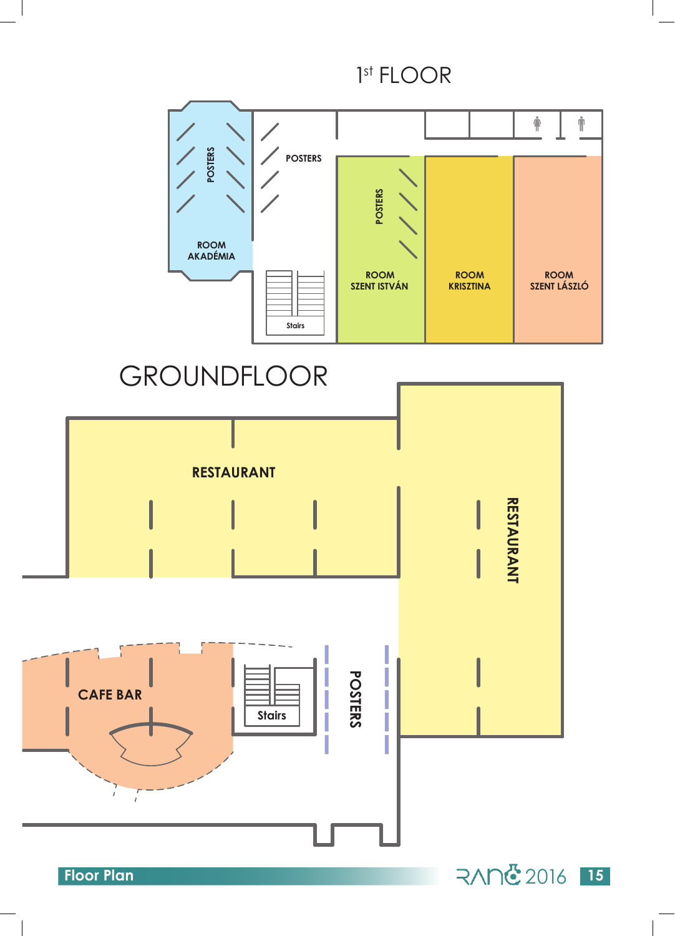1st FLOOR





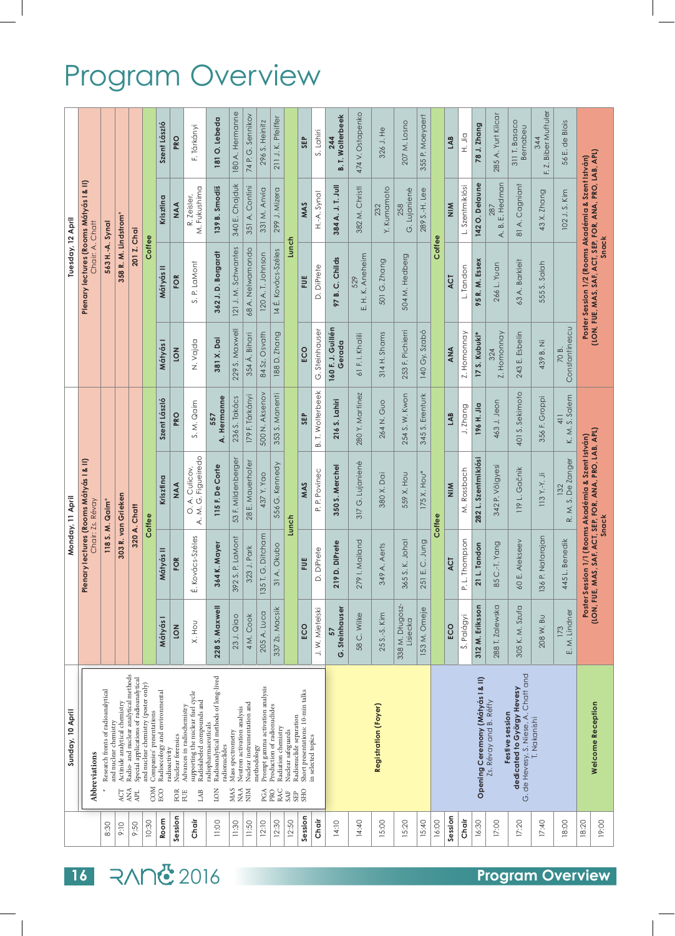## Program Overview

|                   |                                                            |                                                   |                                                               |                                                                                                |                                                                               | Szent László                          | <b>PKO</b>                                | F. Tárkányi                                                                                                 | 181 O. Lebeda                                                                                | 180 A. Hermanne                                                       | 74 P. G. Sennikov                         | 296 S. Heinitz                                         | 211 J. K. Pfeiffer                                               |                                                             | SEP                                                                   | S. Lahiri               | <b>B. T. Wolterbeek</b><br>244 | 474 V. Ostapenko              | 326 J. He                   | 207 M. Losno                | 355 P. Moeyaert  |        | LAB           | Dir. H                  | 78 J. Zhang                      | 285 A. Yurt Kilcar     | 311 T. Basaco<br>Bernabeu                                                             | Z. Biber Muftuler<br>344<br>Ē, | 56 E. de Blois                                                                                                         |                                                                                                                        |
|-------------------|------------------------------------------------------------|---------------------------------------------------|---------------------------------------------------------------|------------------------------------------------------------------------------------------------|-------------------------------------------------------------------------------|---------------------------------------|-------------------------------------------|-------------------------------------------------------------------------------------------------------------|----------------------------------------------------------------------------------------------|-----------------------------------------------------------------------|-------------------------------------------|--------------------------------------------------------|------------------------------------------------------------------|-------------------------------------------------------------|-----------------------------------------------------------------------|-------------------------|--------------------------------|-------------------------------|-----------------------------|-----------------------------|------------------|--------|---------------|-------------------------|----------------------------------|------------------------|---------------------------------------------------------------------------------------|--------------------------------|------------------------------------------------------------------------------------------------------------------------|------------------------------------------------------------------------------------------------------------------------|
|                   |                                                            |                                                   |                                                               |                                                                                                |                                                                               | Krisztina                             | NAA                                       | M. Fukushima<br>R. Zeisler,                                                                                 | 139 B. Smodiš                                                                                | 340 E. Chajduk                                                        | 351 A. Contini                            | 331 M. Anvia                                           | 299 J. Mizera                                                    |                                                             | MAS                                                                   | H.-A. Synal             | 384 A. J. T. Jull              | 382 M. Christl                | Y. Kumamoto<br>232          | G. Lujanienė<br>258         | 289 S.-H. Lee    |        | $\frac{8}{2}$ | L. Szentmiklósi         | 142 O. Delaune                   | A. B. E. Hedman<br>287 | 81 A. Cagniant                                                                        | 43 X. Zhang                    | 102 J.S. Kim                                                                                                           |                                                                                                                        |
| Tuesday, 12 April | Plenary lectures (Rooms Mátyás I & II)<br>Chair: A. Chatt  | 563 H.-A. Synal                                   | 358 R. M. Lindstrom*                                          | 201 Z. Chai                                                                                    | Coffee                                                                        | Mátyás II                             | FOR                                       | S. P. LaMont                                                                                                | 362 J.D. Borgardt                                                                            | 121 J. M. Schwantes                                                   | 68 A. Nelwamondo                          | 120 A. T. Johnson                                      | 14 É. Kovács-Széles                                              | Lunch                                                       | Ë                                                                     | D. DiPrete              | 97 B. C. Childs                | E. H. K. Aneheim<br>529       | G. Zhang<br>501             | 504 M. Hedberg              |                  | Coffee | ACT           | L. Tandon               | 95 R. M. Essex                   | 266 L. Yuan            | 63 A. Barkleit                                                                        | 555 S. Salah                   |                                                                                                                        | Poster Session 1/2 (Rooms Akadémia & Szent István)<br>(LON, FUE, MAS, SAF, ACT, SEP, FOR, ANA, PRO, LAB, APL)<br>Snack |
|                   |                                                            |                                                   |                                                               |                                                                                                |                                                                               | Mátyás I                              | <b>NO1</b>                                | N. Vajda                                                                                                    | 381 X. Dai                                                                                   | 229 S. Maxwell                                                        | 354 Á. Bihari                             | 84 Sz. Osvath                                          | 188 D. Zhang                                                     |                                                             | ECO                                                                   | G. Steinhauser          | 160 F. J. Guillén<br>Gerada    | 61 F. I. Khalili              | $314H.$ Shams               | 253 F. Pichierri            | 140 Gy. Szabó    |        | ANA           | Z. Homonnay             | 17 S. Kubuki*                    | Z. Homonnay            | 243 E. Esbelin                                                                        | 439 B. Ni                      | Constantinescu<br>70B.                                                                                                 |                                                                                                                        |
|                   |                                                            |                                                   |                                                               |                                                                                                |                                                                               | Szent László                          | <b>PRO</b>                                | S.M. Qaim                                                                                                   | A. Hermanne<br>557                                                                           | 236 S. Takács                                                         | 179 F. Tárkányi                           | 500 N. Aksenov                                         | 353 S. Manenti                                                   |                                                             | SEP                                                                   | <b>B. T. Wolterbeek</b> | 216 S. Lahiri                  | 280 Y. Martinez               | 264 N. Guo                  | 254 S. W. Kwon              | 345 S. Erenturk  |        | LAB           | J. Zhang                | 196 H. Jia                       | 463 J. Jeon            | 401 S. Sekimoto                                                                       | 356 F. Groppi                  | S. Salem<br>$\frac{1}{4}$<br>K.M.                                                                                      |                                                                                                                        |
| Monday, 11 April  | Plenary lectures (Rooms Mátyás I & II)<br>Chair: Zs. Révay | 303 R. van Grieken<br>118 S. M. Qaim <sup>*</sup> | 320 A. Chatt                                                  | Coffee                                                                                         | Krisztina                                                                     | <b>AA</b>                             | A. M. G. Figueiredo<br>A. Culicov,<br>ö   | 115 F. De Corte                                                                                             | 53 F. Mildenberger                                                                           | 28 E. Mauerhofer                                                      | 437 Y. Yao                                | 556 G. Kennedy                                         | Lunch                                                            | MAS                                                         | P. P. Povinec                                                         | 350 S. Merchel          | 317 G. Lujanienė               | 380 X. Dai                    | 559 X. Hou                  | $175$ X. Hou <sup>*</sup>   | Coffee           | $\leq$ | M. Rossbach   | 282 L. Szentmiklósi     | 342 P. Völgyesi                  | 119 L. Gačnik          | $\ddot{\neg}$<br>$113$ Y.-Y.                                                          | R. M. S. De Zanger<br>132      | Poster Session 1/1 (Rooms Akadémia & Szent István)<br>(LON, FUE, MAS, SAF, ACT, SEP, FOR, ANA, PRO, LAB, APL)<br>Snack |                                                                                                                        |
|                   |                                                            |                                                   |                                                               |                                                                                                |                                                                               | Mátyás II                             | FOR                                       | Kovács-Széles<br>۱ū۰                                                                                        | 64 K. Mayer<br>S                                                                             | 2 S. P. LaMont<br>8                                                   | 323 J. Park                               | T. G. Ditcham<br>135                                   | 31 A. Okubo                                                      |                                                             | Ë                                                                     | D. DiPrete              | 219 D. DiPrete                 | 79 I. Mailand<br>$\mathbb{C}$ | 349 A. Aerts                | 365 S. K. Johal             | E.C. Jung<br>251 |        | ACT           | L. Thompson<br><u>െ</u> | 21 L. Tandon                     | 85 C.-T. Yang          | 60 E. Alekseev                                                                        | P. Natarajan<br>136            | 445 L. Benedik                                                                                                         |                                                                                                                        |
|                   |                                                            |                                                   |                                                               |                                                                                                |                                                                               | Mátyás I                              | <b>NO1</b>                                | X. Hou                                                                                                      | 228 S. Maxwell                                                                               | 23 J. Qiao                                                            | 4M.Cook                                   | 205 A. Luca                                            | 337 Zs. Macsik                                                   |                                                             | ECO                                                                   | J.W. Mietelski          | G. Steinhauser<br>57           | 58 C. Wilke                   | 25 S.-S. Kim                | 338 M. Długosz-<br>Lisiecka | 153 M. Omeje     |        | ECO           | Š. Palágyi              | 312 M. Eriksson                  | 288 T. Zalewska        | 305 K. M. Szufa                                                                       | 208 W. Bu                      | E. M. Lindner<br>173                                                                                                   |                                                                                                                        |
| Sunday, 10 April  | Abbreviations                                              | Research fronts of radioanalytical                | Actinide analytical chemistry<br>and nuclear chemistry<br>ACT | Radio- and nuclear analytical methods<br>Special applications of radioanalytical<br>ANA<br>APL | and nuclear chemistry (poster only)<br>Companies' presentations<br><b>COM</b> | Radioecology and environmental<br>ECO | Nuclear forensics<br>radioactivity<br>FOR | supporting the nuclear fuel cycle<br>Radiolabeled compounds and<br>Advances in radiochemistry<br>LAB<br>FUE | Radioanalytical methods of long-lived<br>radiopharmaceuticals<br>radionuclides<br><b>NOT</b> | Neutron activation analysis<br>Mass spectrometry<br>MAS<br><b>NAA</b> | Nuclear instrumentation and<br><b>NIN</b> | Prompt gamma activation analysis<br>methodology<br>PGA | Production of radionuclides<br>Radiation chemistry<br>RAC<br>PRO | Radionuclide separation<br>Nuclear safeguards<br>SAF<br>SEP | Short presentations: 10-min talks<br>in selected topics<br><b>SHO</b> |                         |                                |                               | <b>Registration (Foyer)</b> |                             |                  |        |               |                         | Opening Ceremony (Mátyás I & II) | Zs. Révay and B. Réffy | G. de Hevesy, S. Niese, A. Chatt and<br>dedicated to György Hevesy<br>Festive session | T. Nakanishi                   |                                                                                                                        | <b>Welcome Reception</b>                                                                                               |
|                   |                                                            | 8:30                                              | 9:10                                                          | 9:50                                                                                           | 10:30                                                                         | Room                                  | Session                                   | Chair                                                                                                       | 11:00                                                                                        | 11:30                                                                 | 11:50                                     | 12:10                                                  | 12:30                                                            | 12:50                                                       | Session                                                               | Chair                   | 14:10                          | 14:40                         | 15:00                       | 15:20                       | 15:40            | 16:00  | Session       | Chair                   | 16:30                            | 17:00                  | 17:20                                                                                 | 17:40                          | 18:00                                                                                                                  | 18:20<br>19:00                                                                                                         |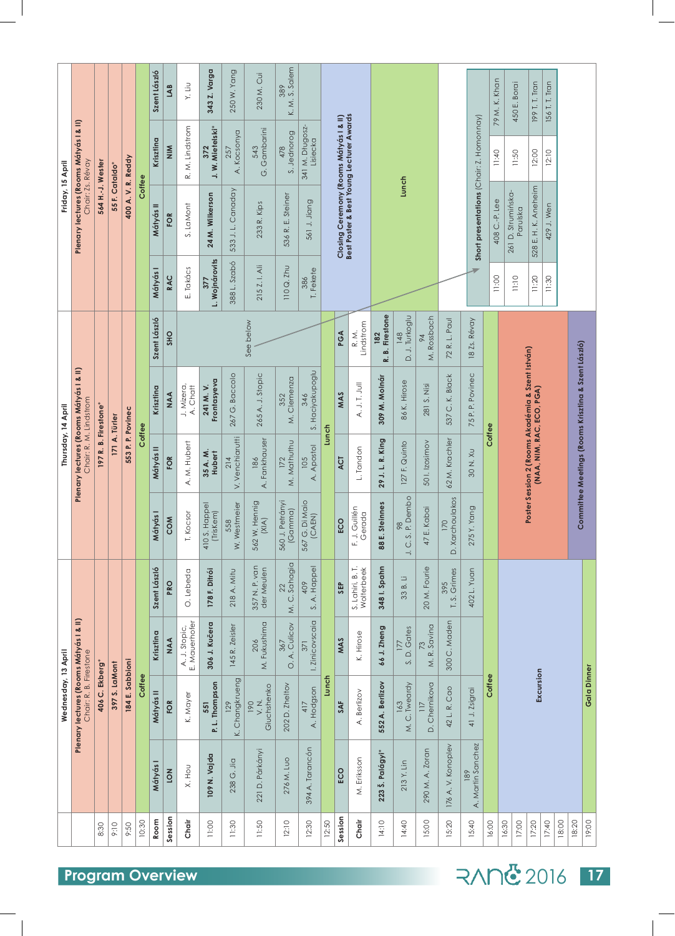| Friday, 15 April    | Plenary lectures (Rooms Mátyás I & II)<br>Chair: Zs. Révay                  | 564 H.-J. Wester     | 55 F. Cataldo* | 400 A.V.R. Reddy  | Coffee | Szent László<br>Krisztina<br>Mátyás II | LAB<br>$\frac{8}{2}$<br>FOR | Y. Liu<br>R. M. Lindstrom<br>S. LaMont | 343 Z. Varga<br>372<br>J. W. Mietelski*<br>24 M. Wilkerson | 250 W. Yang<br>A. Kocsonya<br>257<br>533 J.L. Canaday | 230 M. Cui<br>G. Gambarini<br>543<br>233 R. Kips | K. M. S. Salem<br>389<br>S. Jednorog<br>478<br>536 R. E. Steiner | 341 M. Długosz-<br>Lisiecka<br>561 J. Jiang |       | Closing Ceremony (Rooms Mátyás I & II)<br>Best Poster & Best Young Lecturer Awards |                                |                            | Lunch                   |                                |                        | Short presentations (Chair: Z. Homonnay) | 79 M. K. Khan<br>11:40<br>408 C.-P. Lee | 450 E. Borai<br>11:50<br>261 D. Strumińska-<br>Parulska                       | 199 T. T. Tran<br>12:00<br>528 E. H. K. Aneheim | 156 T. T. Tran<br>12:10<br>429 J. Wen |       |                                                     |                    |
|---------------------|-----------------------------------------------------------------------------|----------------------|----------------|-------------------|--------|----------------------------------------|-----------------------------|----------------------------------------|------------------------------------------------------------|-------------------------------------------------------|--------------------------------------------------|------------------------------------------------------------------|---------------------------------------------|-------|------------------------------------------------------------------------------------|--------------------------------|----------------------------|-------------------------|--------------------------------|------------------------|------------------------------------------|-----------------------------------------|-------------------------------------------------------------------------------|-------------------------------------------------|---------------------------------------|-------|-----------------------------------------------------|--------------------|
|                     |                                                                             |                      |                |                   |        | Mátyás I<br>Szent László               | RAC<br><b>SHO</b>           | E. Takács                              | L. Wojnárovits<br>377                                      | 388 L. Szabó                                          | 215 Z. I. Ali<br>See below                       | 110 Q. Zhu                                                       | T. Fekete<br>386                            |       | PGA                                                                                | Lindstrom<br>R.M.              | <b>B.</b> Firestone<br>182 | D. J. Turkoglu<br>148   | M. Rossbach<br>64              | 72 R. L. Paul          | 18 Zs. Révay                             | 11:00                                   | 11:10                                                                         | 11:20                                           | 11:30                                 |       |                                                     |                    |
| Thursday, 14 April  | Plenary lectures (Rooms Mátyás I & II)                                      |                      |                |                   |        | Krisztina                              | AAA                         | A. Chatt<br>J. Mizera,                 | Frontasyeva<br>241 M.V.                                    | 267 G. Baccolo                                        | 265 A. J. Stopic                                 | M. Clemenza<br>352                                               | S. Haciyakupoglu<br>346                     |       | MAS                                                                                | A. J. T. Jull                  | نم<br>309 M. Molnár        | 86 K. Hirose            | 281 S. Nisi                    | 537 C. K. Black        | 75 P. P. Povinec                         |                                         | Poster Session 2 (Rooms Akadémia & Szent István)<br>(NAA, NIM, RAC, ECO, PGA) |                                                 |                                       |       | Committee Meetings (Rooms Krisztina & Szent László) |                    |
|                     | Chair: R. M. Lindstrom                                                      | 197 R. B. Firestone* | 171 A. Türler  | 553 P. P. Povinec | Coffee | Mátyás II                              | FOR                         | A. M. Hubert                           | 35 A.M.<br>Hubert                                          | V. Venchiarutti<br>214                                | A. Fankhauser<br>186                             | M. Mathuthu<br>172                                               | A. Apostol<br>105                           | Lunch | ACT                                                                                | L. Tandon                      | 29 J. L. R. King           | 127 F. Quinto           | 501.1zosimov                   | 62 M. Krachler         | 30 N. XU                                 | Coffee                                  |                                                                               |                                                 |                                       |       |                                                     |                    |
|                     |                                                                             |                      |                |                   |        | Mátyás I                               | COM                         | Kocsor<br>Ë                            | 410 S. Happel<br>(Triskem)                                 | W. Westmeier<br>558                                   | W. Hennig<br>(X A)<br>562                        | 560 J. Petrányi<br>(Gamma)                                       | G. Di Maio<br>(CAEN)<br>567                 |       | ECO                                                                                | J. Guillén<br>Gerada<br>군      | 88 E. Steinnes             | 98<br>J. C. S. P. Dembo | E. Kabai<br>47                 | D. Xarchoulakos<br>170 | 5 Y. Yang<br>27                          |                                         |                                                                               |                                                 |                                       |       |                                                     |                    |
|                     |                                                                             |                      |                |                   |        | Szent László                           | PRO                         | O. Lebeda                              | 178 F. Ditrói                                              | 218 A. Mitu                                           | 357 N. P. van<br>der Meulen                      | M.C. Sahagia<br>22                                               | S. A. Happel<br>409                         |       | SEP                                                                                | S. Lahiri, B. T.<br>Wolterbeek | 348 I. Spahn               | 33 B. Li                | 20 M. Fourie                   | T.S. Grimes<br>395     | 402 L. Yuan                              |                                         |                                                                               |                                                 |                                       |       |                                                     |                    |
|                     |                                                                             |                      |                |                   |        | Krisztina                              | AAA                         | A. J. Stopic,<br>E. Mauerhofer         | 306 J. Kučera                                              | 145 R. Zeisler                                        | M. Fukushima<br>206                              | O. A. Culicov<br>367                                             | I. Zinicovscaia<br>371                      |       | MAS                                                                                | K. Hirose                      | 66 J. Zheng                | S.D. Gates<br>177       | 73<br>M. R. Savina             | 300 C. Maden           |                                          |                                         |                                                                               |                                                 |                                       |       |                                                     |                    |
| Wednesday, 13 April | <b>Plenary lectures (Rooms Mátyás I &amp; II)</b><br>Chair: R. B. Firestone | 406 C. Ekberg        | 397 S. LaMont  | 184 E. Sabbioni   | Coffee | Mátyás II                              | FOR                         | K. Mayer                               | P. L. Thompson<br>551                                      | K. Changkrueng<br>129                                 | Gluchshenko<br>$\frac{1}{2}$<br>190              | 202 D. Zheltov                                                   | A. Hodgson<br>417                           | Lunch | <b>SAF</b>                                                                         | A. Berlizov                    | 552 A. Berlizov            | M.C. Tweardy<br>163     | D. Chernikova<br>$\frac{1}{2}$ | 42 L. R. Cao           | 41 J. Zsigrai                            | Coffee                                  |                                                                               | Excursion                                       |                                       |       |                                                     | <b>Gala Dinner</b> |
|                     |                                                                             |                      |                |                   |        | Mátyás                                 | <b>NO1</b>                  | X. Hou                                 | 109 N. Vajda                                               | 238 G. Jia                                            | 221 D. Párkányi                                  | 276 M. Luo                                                       | 394 A. Tarancón                             |       | ECO                                                                                | M. Eriksson                    | 223 Š. Palágyi*            | 213 Y. Lin              | 290 M. A. Zoran                | 176 A. V. Konoplev     | A. Martin Sanchez<br>189                 |                                         |                                                                               |                                                 |                                       |       |                                                     |                    |
|                     |                                                                             | 8:30                 | 9:10           | 9:50              | 10:30  | Room                                   | Session                     | Chair                                  | 11:00                                                      | 11:30                                                 | 11:50                                            | 12:10                                                            | 12:30                                       | 12:50 | Session                                                                            | Chair                          | 14:10                      | 14:40                   | 15:00                          | 15:20                  | 15:40                                    | 16:00                                   | 16:30<br>17:00                                                                | 17:20                                           | 17:40                                 | 18:00 | 18:20                                               | 19:00              |

## 2016 **17**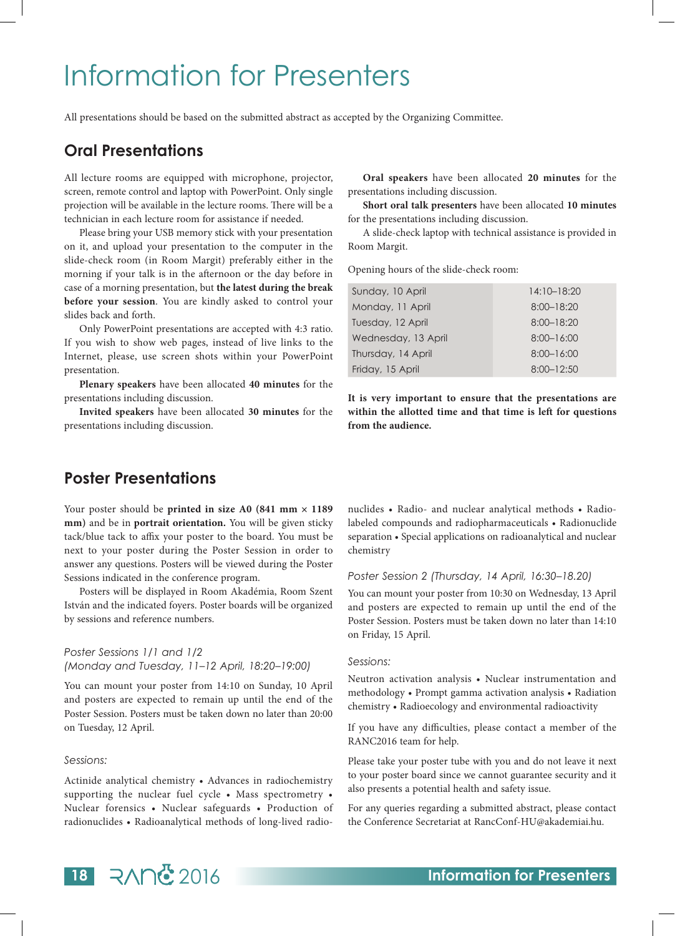### Information for Presenters

All presentations should be based on the submitted abstract as accepted by the Organizing Committee.

### **Oral Presentations**

All lecture rooms are equipped with microphone, projector, screen, remote control and laptop with PowerPoint. Only single projection will be available in the lecture rooms. There will be a technician in each lecture room for assistance if needed.

Please bring your USB memory stick with your presentation on it, and upload your presentation to the computer in the slide-check room (in Room Margit) preferably either in the morning if your talk is in the afternoon or the day before in case of a morning presentation, but **the latest during the break before your session**. You are kindly asked to control your slides back and forth.

Only PowerPoint presentations are accepted with 4:3 ratio. If you wish to show web pages, instead of live links to the Internet, please, use screen shots within your PowerPoint presentation.

**Plenary speakers** have been allocated **40 minutes** for the presentations including discussion.

**Invited speakers** have been allocated **30 minutes** for the presentations including discussion.

**Oral speakers** have been allocated **20 minutes** for the presentations including discussion.

**Short oral talk presenters** have been allocated **10 minutes**  for the presentations including discussion.

A slide-check laptop with technical assistance is provided in Room Margit.

Opening hours of the slide-check room:

| Sunday, 10 April    | $14:10 - 18:20$ |
|---------------------|-----------------|
| Monday, 11 April    | $8:00 - 18:20$  |
| Tuesday, 12 April   | $8:00 - 18:20$  |
| Wednesday, 13 April | $8:00 - 16:00$  |
| Thursday, 14 April  | $8:00 - 16:00$  |
| Friday, 15 April    | $8:00 - 12:50$  |

**It is very important to ensure that the presentations are within the allotted time and that time is left for questions from the audience.**

### **Poster Presentations**

Your poster should be **printed in size A0 (841 mm × 1189**) **mm)** and be in **portrait orientation.** You will be given sticky tack/blue tack to affix your poster to the board. You must be next to your poster during the Poster Session in order to answer any questions. Posters will be viewed during the Poster Sessions indicated in the conference program.

Posters will be displayed in Room Akadémia, Room Szent István and the indicated foyers. Poster boards will be organized by sessions and reference numbers.

#### *Poster Sessions 1/1 and 1/2 (Monday and Tuesday, 11–12 April, 18:20–19:00)*

You can mount your poster from 14:10 on Sunday, 10 April and posters are expected to remain up until the end of the Poster Session. Posters must be taken down no later than 20:00 on Tuesday, 12 April.

#### *Sessions:*

Actinide analytical chemistry • Advances in radiochemistry supporting the nuclear fuel cycle • Mass spectrometry • Nuclear forensics • Nuclear safeguards • Production of radionuclides • Radioanalytical methods of long-lived radionuclides • Radio- and nuclear analytical methods • Radiolabeled compounds and radiopharmaceuticals • Radionuclide separation • Special applications on radioanalytical and nuclear chemistry

#### *Poster Session 2 (Thursday, 14 April, 16:30–18.20)*

You can mount your poster from 10:30 on Wednesday, 13 April and posters are expected to remain up until the end of the Poster Session. Posters must be taken down no later than 14:10 on Friday, 15 April.

#### *Sessions:*

Neutron activation analysis • Nuclear instrumentation and methodology • Prompt gamma activation analysis • Radiation chemistry • Radioecology and environmental radioactivity

If you have any difficulties, please contact a member of the RANC2016 team for help.

Please take your poster tube with you and do not leave it next to your poster board since we cannot guarantee security and it also presents a potential health and safety issue.

For any queries regarding a submitted abstract, please contact the Conference Secretariat at RancConf-HU@akademiai.hu.

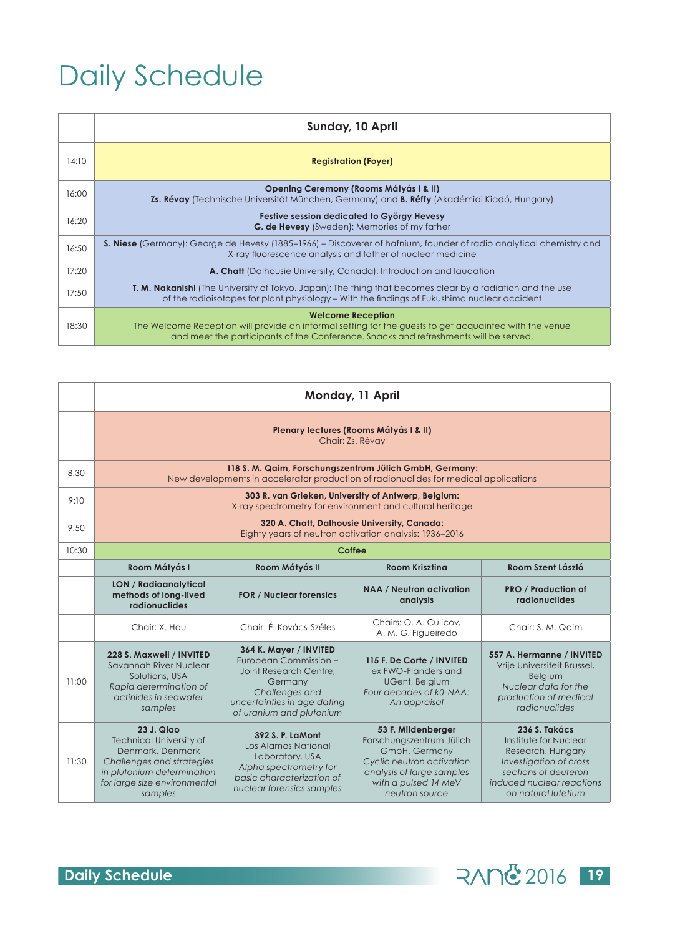## Daily Schedule

|       | <b>Sunday, 10 April</b>                                                                                                                                                                                                    |
|-------|----------------------------------------------------------------------------------------------------------------------------------------------------------------------------------------------------------------------------|
| 14:10 | <b>Registration (Foyer)</b>                                                                                                                                                                                                |
| 16:00 | <b>Opening Ceremony (Rooms Mátyás I &amp; II)</b><br>Zs. Révay (Technische Universität München, Germany) and B. Réffy (Akadémiai Kiadó, Hungary)                                                                           |
| 16:20 | Festive session dedicated to György Hevesy<br><b>G. de Hevesy</b> (Sweden): Memories of my father                                                                                                                          |
| 16:50 | <b>S. Niese</b> (Germany): George de Hevesy (1885–1966) – Discoverer of hafnium, founder of radio analytical chemistry and<br>X-ray fluorescence analysis and father of nuclear medicine                                   |
| 17:20 | <b>A. Chatt</b> (Dalhousie University, Canada): Introduction and laudation                                                                                                                                                 |
| 17:50 | <b>T. M. Nakanishi</b> (The University of Tokyo, Japan): The thing that becomes clear by a radiation and the use<br>of the radioisotopes for plant physiology – With the findings of Fukushima nuclear accident            |
| 18:30 | <b>Welcome Reception</b><br>The Welcome Reception will provide an informal setting for the guests to get acquainted with the venue<br>and meet the participants of the Conference. Snacks and refreshments will be served. |

|       | Monday, 11 April                                                                                                                                                              |                                                                                                                                                                   |                                                                                                                                                                     |                                                                                                                                                                   |  |  |  |  |  |  |  |  |
|-------|-------------------------------------------------------------------------------------------------------------------------------------------------------------------------------|-------------------------------------------------------------------------------------------------------------------------------------------------------------------|---------------------------------------------------------------------------------------------------------------------------------------------------------------------|-------------------------------------------------------------------------------------------------------------------------------------------------------------------|--|--|--|--|--|--|--|--|
|       | Plenary lectures (Rooms Mátyás I & II)<br>Chair: Zs. Révay                                                                                                                    |                                                                                                                                                                   |                                                                                                                                                                     |                                                                                                                                                                   |  |  |  |  |  |  |  |  |
| 8:30  | 118 S. M. Qaim, Forschungszentrum Jülich GmbH, Germany:<br>New developments in accelerator production of radionuclides for medical applications                               |                                                                                                                                                                   |                                                                                                                                                                     |                                                                                                                                                                   |  |  |  |  |  |  |  |  |
| 9:10  | 303 R. van Grieken, University of Antwerp, Belgium:<br>X-ray spectrometry for environment and cultural heritage                                                               |                                                                                                                                                                   |                                                                                                                                                                     |                                                                                                                                                                   |  |  |  |  |  |  |  |  |
| 9:50  | 320 A. Chatt, Dalhousie University, Canada:<br>Eighty years of neutron activation analysis: 1936-2016                                                                         |                                                                                                                                                                   |                                                                                                                                                                     |                                                                                                                                                                   |  |  |  |  |  |  |  |  |
| 10:30 | Coffee                                                                                                                                                                        |                                                                                                                                                                   |                                                                                                                                                                     |                                                                                                                                                                   |  |  |  |  |  |  |  |  |
|       | Room Mátyás I                                                                                                                                                                 | Room Mátyás II                                                                                                                                                    | <b>Room Kriszting</b>                                                                                                                                               | Room Szent László                                                                                                                                                 |  |  |  |  |  |  |  |  |
|       | <b>LON / Radioanalytical</b><br>methods of long-lived<br>radionuclides                                                                                                        | <b>FOR / Nuclear forensics</b>                                                                                                                                    | <b>NAA / Neutron activation</b><br>analysis                                                                                                                         | <b>PRO / Production of</b><br>radionuclides                                                                                                                       |  |  |  |  |  |  |  |  |
|       | Chair: X. Hou                                                                                                                                                                 | Chair: É. Kovács-Széles                                                                                                                                           | Chairs: O. A. Culicov.<br>A. M. G. Figueiredo                                                                                                                       | Chair: S. M. Qaim                                                                                                                                                 |  |  |  |  |  |  |  |  |
| 11:00 | 228 S. Maxwell / INVITED<br>Savannah River Nuclear<br>Solutions, USA<br>Rapid determination of<br>actinides in seawater<br>samples                                            | 364 K. Mayer / INVITED<br>European Commission -<br>Joint Research Centre.<br>Germany<br>Challenges and<br>uncertainties in age dating<br>of uranium and plutonium | 115 F. De Corte / INVITED<br>ex FWO-Flanders and<br><b>UGent, Belgium</b><br>Four decades of k0-NAA:<br>An appraisal                                                | 557 A. Hermanne / INVITED<br>Vrije Universiteit Brussel,<br><b>Belaium</b><br>Nuclear data for the<br>production of medical<br>radionuclides                      |  |  |  |  |  |  |  |  |
| 11:30 | <b>23 J. Qiao</b><br><b>Technical University of</b><br>Denmark, Denmark<br>Challenges and strategies<br>in plutonium determination<br>for large size environmental<br>samples | 392 S. P. LaMont<br>Los Alamos National<br>Laboratory, USA<br>Alpha spectrometry for<br>basic characterization of<br>nuclear forensics samples                    | 53 F. Mildenberger<br>Forschungszentrum Jülich<br>GmbH, Germany<br>Cyclic neutron activation<br>analysis of large samples<br>with a pulsed 14 MeV<br>neutron source | 236 S. Takács<br>Institute for Nuclear<br>Research, Hungary<br>Investigation of cross<br>sections of deuteron<br>induced nuclear reactions<br>on natural lutetium |  |  |  |  |  |  |  |  |

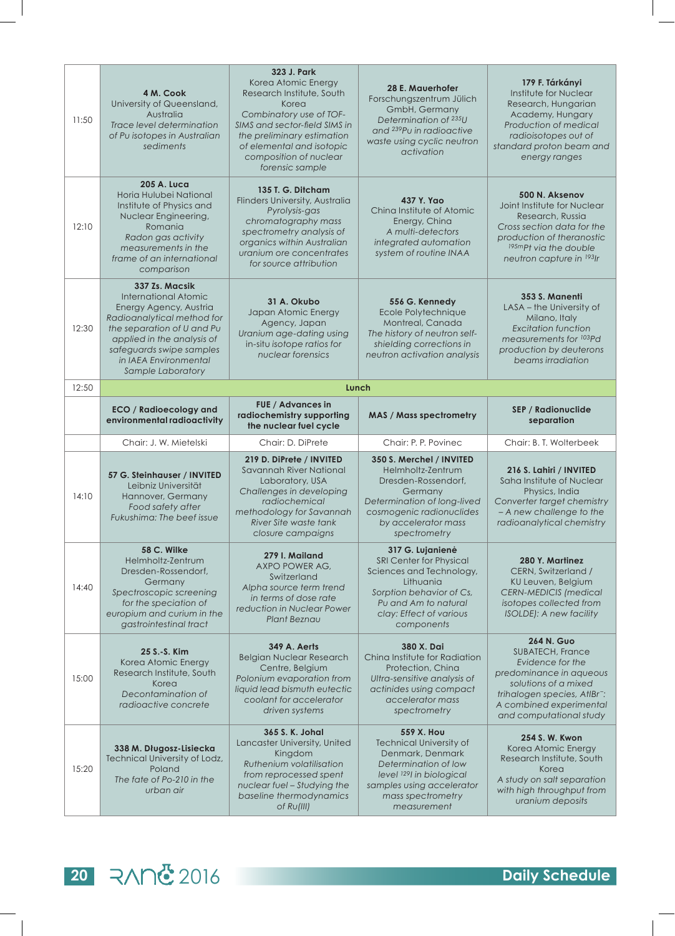| 11:50 | 4 M. Cook<br>University of Queensland,<br>Australia<br>Trace level determination<br>of Pu isotopes in Australian<br>sediments                                                                                                               | 323 J. Park<br>Korea Atomic Energy<br>Research Institute, South<br>Korea<br>Combinatory use of TOF-<br>SIMS and sector-field SIMS in<br>the preliminary estimation<br>of elemental and isotopic<br>composition of nuclear<br>forensic sample | 28 E. Mauerhofer<br>Forschungszentrum Jülich<br>GmbH, Germany<br>Determination of 235U<br>and <sup>239</sup> Pu in radioactive<br>waste using cyclic neutron<br>activation        | 179 F. Tárkányi<br>Institute for Nuclear<br>Research, Hungarian<br>Academy, Hungary<br>Production of medical<br>radioisotopes out of<br>standard proton beam and<br>energy ranges                              |
|-------|---------------------------------------------------------------------------------------------------------------------------------------------------------------------------------------------------------------------------------------------|----------------------------------------------------------------------------------------------------------------------------------------------------------------------------------------------------------------------------------------------|-----------------------------------------------------------------------------------------------------------------------------------------------------------------------------------|----------------------------------------------------------------------------------------------------------------------------------------------------------------------------------------------------------------|
| 12:10 | 205 A. Luca<br>Horia Hulubei National<br>Institute of Physics and<br>Nuclear Engineering,<br>Romania<br>Radon gas activity<br>measurements in the<br>frame of an international<br>comparison                                                | 135 T. G. Ditcham<br>Flinders University, Australia<br>Pyrolysis-gas<br>chromatography mass<br>spectrometry analysis of<br>organics within Australian<br>uranium ore concentrates<br>for source attribution                                  | 437 Y. Yao<br>Ching Institute of Atomic<br>Energy, China<br>A multi-detectors<br>integrated automation<br>system of routine INAA                                                  | 500 N. Aksenov<br>Joint Institute for Nuclear<br>Research, Russia<br>Cross section data for the<br>production of theranostic<br>195mpt via the double<br>neutron capture in 1931r                              |
| 12:30 | 337 Zs. Macsik<br><b>International Atomic</b><br>Energy Agency, Austria<br>Radioanalytical method for<br>the separation of U and Pu<br>applied in the analysis of<br>safeguards swipe samples<br>in IAEA Environmental<br>Sample Laboratory | 31 A. Okubo<br>Japan Atomic Energy<br>Agency, Japan<br>Uranium age-dating using<br>in-situ isotope ratios for<br>nuclear forensics                                                                                                           | 556 G. Kennedy<br>Ecole Polytechnique<br>Montreal, Canada<br>The history of neutron self-<br>shielding corrections in<br>neutron activation analysis                              | 353 S. Manenti<br>LASA - the University of<br>Milano, Italy<br><b>Excitation function</b><br>measurements for <sup>103</sup> Pd<br>production by deuterons<br>beams irradiation                                |
| 12:50 |                                                                                                                                                                                                                                             |                                                                                                                                                                                                                                              | Lunch                                                                                                                                                                             |                                                                                                                                                                                                                |
|       | <b>ECO</b> / Radioecology and<br>environmental radioactivity                                                                                                                                                                                | FUE / Advances in<br>radiochemistry supporting<br>the nuclear fuel cycle                                                                                                                                                                     | <b>MAS / Mass spectrometry</b>                                                                                                                                                    | <b>SEP / Radionuclide</b><br>separation                                                                                                                                                                        |
|       | Chair: J. W. Mietelski                                                                                                                                                                                                                      |                                                                                                                                                                                                                                              |                                                                                                                                                                                   |                                                                                                                                                                                                                |
|       |                                                                                                                                                                                                                                             | Chair: D. DiPrete                                                                                                                                                                                                                            | Chair: P. P. Povinec                                                                                                                                                              | Chair: B. T. Wolterbeek                                                                                                                                                                                        |
| 14:10 | 57 G. Steinhauser / INVITED<br>Leibniz Universität<br>Hannover, Germany<br>Food safety after<br>Fukushima: The beef issue                                                                                                                   | 219 D. DiPrete / INVITED<br>Savannah River National<br>Laboratory, USA<br>Challenges in developing<br>radiochemical<br>methodology for Savannah<br>River Site waste tank<br>closure campaigns                                                | 350 S. Merchel / INVITED<br>Helmholtz-Zentrum<br>Dresden-Rossendorf,<br>Germany<br>Determination of long-lived<br>cosmogenic radionuclides<br>by accelerator mass<br>spectrometry | 216 S. Lahiri / INVITED<br>Saha Institute of Nuclear<br>Physics, India<br>Converter target chemistry<br>- A new challenge to the<br>radioanalytical chemistry                                                  |
| 14:40 | 58 C. Wilke<br>Helmholtz-Zentrum<br>Dresden-Rossendorf,<br>Germany<br>Spectroscopic screening<br>for the speciation of<br>europium and curium in the<br>gastrointestinal tract                                                              | 279 I. Mailand<br>AXPO POWER AG.<br>Switzerland<br>Alpha source term trend<br>in terms of dose rate<br>reduction in Nuclear Power<br><b>Plant Beznau</b>                                                                                     | 317 G. Lujanienė<br>SRI Center for Physical<br>Sciences and Technology,<br>Lithuania<br>Sorption behavior of Cs,<br>Pu and Am to natural<br>clay: Effect of various<br>components | 280 Y. Martinez<br>CERN, Switzerland /<br>KU Leuven, Belgium<br><b>CERN-MEDICIS</b> (medical<br>isotopes collected from<br><b>ISOLDE): A new facility</b>                                                      |
| 15:00 | 25 S.-S. Kim<br>Korea Atomic Energy<br>Research Institute, South<br>Korea<br>Decontamination of<br>radioactive concrete                                                                                                                     | <b>349 A. Aerts</b><br><b>Belgian Nuclear Research</b><br>Centre, Belgium<br>Polonium evaporation from<br>liquid lead bismuth eutectic<br>coolant for accelerator<br>driven systems                                                          | 380 X. Dai<br>China Institute for Radiation<br>Protection, China<br>Ultra-sensitive analysis of<br>actinides using compact<br>accelerator mass<br>spectrometry                    | 264 N. Guo<br><b>SUBATECH, France</b><br>Evidence for the<br>predominance in aqueous<br>solutions of a mixed<br>trihalogen species, AtlBr <sup>-</sup> :<br>A combined experimental<br>and computational study |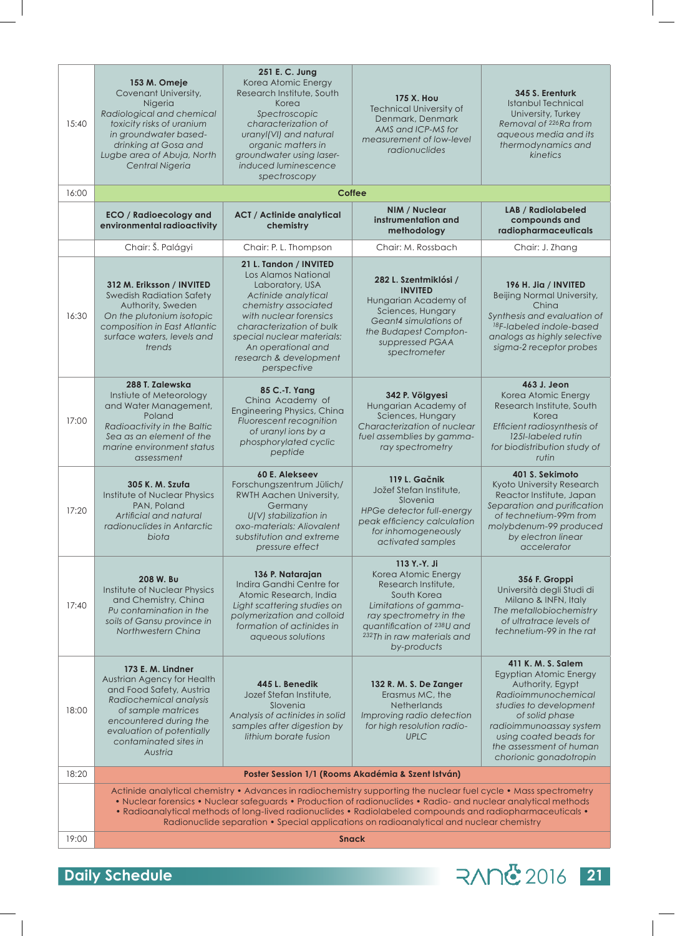| 15:40 | 153 M. Omeje<br>Covenant University,<br>Nigeria<br>Radiological and chemical<br>toxicity risks of uranium<br>in groundwater based-<br>drinking at Gosa and<br>Lugbe area of Abuja, North<br>Central Nigeria            | 251 E. C. Jung<br>Korea Atomic Energy<br>Research Institute, South<br>Korea<br>Spectroscopic<br>characterization of<br>uranyl(VI) and natural<br>organic matters in<br>groundwater using laser-<br>induced luminescence<br>spectroscopy                            | <b>175 X. Hou</b><br><b>Technical University of</b><br>Denmark, Denmark<br>AMS and ICP-MS for<br>measurement of low-level<br>radionuclides                                                                                                                                                                                                                                                                                                 | 345 S. Erenturk<br><b>Istanbul Technical</b><br>University, Turkey<br>Removal of <sup>226</sup> Ra from<br>aqueous media and its<br>thermodynamics and<br>kinetics                                                                            |  |
|-------|------------------------------------------------------------------------------------------------------------------------------------------------------------------------------------------------------------------------|--------------------------------------------------------------------------------------------------------------------------------------------------------------------------------------------------------------------------------------------------------------------|--------------------------------------------------------------------------------------------------------------------------------------------------------------------------------------------------------------------------------------------------------------------------------------------------------------------------------------------------------------------------------------------------------------------------------------------|-----------------------------------------------------------------------------------------------------------------------------------------------------------------------------------------------------------------------------------------------|--|
| 16:00 |                                                                                                                                                                                                                        |                                                                                                                                                                                                                                                                    | <b>Coffee</b>                                                                                                                                                                                                                                                                                                                                                                                                                              |                                                                                                                                                                                                                                               |  |
|       | <b>ECO / Radioecology and</b><br>environmental radioactivity                                                                                                                                                           | <b>ACT / Actinide analytical</b><br>chemistry                                                                                                                                                                                                                      | NIM / Nuclear<br>instrumentation and<br>methodology                                                                                                                                                                                                                                                                                                                                                                                        | <b>LAB</b> / Radiolabeled<br>compounds and<br>radiopharmaceuticals                                                                                                                                                                            |  |
|       | Chair: Š. Palágyi                                                                                                                                                                                                      | Chair: P. L. Thompson                                                                                                                                                                                                                                              | Chair: M. Rossbach                                                                                                                                                                                                                                                                                                                                                                                                                         | Chair: J. Zhang                                                                                                                                                                                                                               |  |
| 16:30 | 312 M. Eriksson / INVITED<br><b>Swedish Radiation Safety</b><br>Authority, Sweden<br>On the plutonium isotopic<br>composition in East Atlantic<br>surface waters, levels and<br>trends                                 | 21 L. Tandon / INVITED<br>Los Alamos National<br>Laboratory, USA<br>Actinide analytical<br>chemistry associated<br>with nuclear forensics<br>characterization of bulk<br>special nuclear materials:<br>An operational and<br>research & development<br>perspective | 282 L. Szentmiklósi /<br><b>INVITED</b><br>Hungarian Academy of<br>Sciences, Hungary<br>Geant4 simulations of<br>the Budapest Compton-<br>suppressed PGAA<br>spectrometer                                                                                                                                                                                                                                                                  | 196 H. Jia / INVITED<br>Beijing Normal University,<br>China<br>Synthesis and evaluation of<br><sup>18</sup> F-labeled indole-based<br>analogs as highly selective<br>sigma-2 receptor probes                                                  |  |
| 17:00 | 288 T. Zalewska<br>Instiute of Meteorology<br>and Water Management,<br>Poland<br>Radioactivity in the Baltic<br>Sea as an element of the<br>marine environment status<br>assessment                                    | 85 C.-T. Yang<br>China Academy of<br>Engineering Physics, China<br>Fluorescent recognition<br>of uranyl ions by a<br>phosphorylated cyclic<br>peptide                                                                                                              | 342 P. Völgyesi<br>Hungarian Academy of<br>Sciences, Hungary<br>Characterization of nuclear<br>fuel assemblies by gamma-<br>ray spectrometry                                                                                                                                                                                                                                                                                               | 463 J. Jeon<br>Korea Atomic Energy<br>Research Institute, South<br>Korea<br>Efficient radiosynthesis of<br>125I-labeled rutin<br>for biodistribution study of<br>rutin                                                                        |  |
| 17:20 | 305 K. M. Szufa<br>Institute of Nuclear Physics<br>PAN, Poland<br>Artificial and natural<br>radionuclides in Antarctic<br>biota                                                                                        | 60 E. Alekseev<br>Forschungszentrum Jülich/<br>RWTH Aachen University,<br>Germany<br>U(V) stabilization in<br>oxo-materials: Aliovalent<br>substitution and extreme<br>pressure effect                                                                             | 119 L. Gačnik<br>Jožef Stefan Institute,<br>Slovenia<br><b>HPGe detector full-energy</b><br>peak efficiency calculation<br>for inhomogeneously<br>activated samples                                                                                                                                                                                                                                                                        | 401 S. Sekimoto<br>Kyoto University Research<br>Reactor Institute, Japan<br>Separation and purification<br>of technetium-99m from<br>molybdenum-99 produced<br>by electron linear<br>accelerator                                              |  |
| 17:40 | 208 W. Bu<br>Institute of Nuclear Physics<br>and Chemistry, China<br>Pu contamination in the<br>soils of Gansu province in<br>Northwestern China                                                                       | 136 P. Natarajan<br>Indira Gandhi Centre for<br>Atomic Research, India<br>Light scattering studies on<br>polymerization and colloid<br>formation of actinides in<br>aqueous solutions                                                                              | 113 Y.-Y. Ji<br>Korea Atomic Energy<br>Research Institute.<br>South Korea<br>Limitations of gamma-<br>ray spectrometry in the<br>quantification of 238U and<br>232Th in raw materials and<br>by-products                                                                                                                                                                                                                                   | 356 F. Groppi<br>Università degli Studi di<br>Milano & INFN, Italy<br>The metallobiochemistry<br>of ultratrace levels of<br>technetium-99 in the rat                                                                                          |  |
| 18:00 | 173 E. M. Lindner<br>Austrian Agency for Health<br>and Food Safety, Austria<br>Radiochemical analysis<br>of sample matrices<br>encountered during the<br>evaluation of potentially<br>contaminated sites in<br>Austria | 445 L. Benedik<br>Jozef Stefan Institute,<br>Slovenia<br>Analysis of actinides in solid<br>samples after digestion by<br>lithium borate fusion                                                                                                                     | 132 R. M. S. De Zanger<br>Erasmus MC, the<br><b>Netherlands</b><br>Improving radio detection<br>for high resolution radio-<br><b>UPLC</b>                                                                                                                                                                                                                                                                                                  | 411 K. M. S. Salem<br>Egyptian Atomic Energy<br>Authority, Egypt<br>Radioimmunochemical<br>studies to development<br>of solid phase<br>radioimmunoassay system<br>using coated beads for<br>the assessment of human<br>chorionic gonadotropin |  |
| 18:20 |                                                                                                                                                                                                                        |                                                                                                                                                                                                                                                                    | Poster Session 1/1 (Rooms Akadémia & Szent István)                                                                                                                                                                                                                                                                                                                                                                                         |                                                                                                                                                                                                                                               |  |
|       |                                                                                                                                                                                                                        |                                                                                                                                                                                                                                                                    | Actinide analytical chemistry • Advances in radiochemistry supporting the nuclear fuel cycle • Mass spectrometry<br>• Nuclear forensics • Nuclear safeguards • Production of radionuclides • Radio- and nuclear analytical methods<br>• Radioanalytical methods of long-lived radionuclides • Radiolabeled compounds and radiopharmaceuticals •<br>Radionuclide separation • Special applications on radioanalytical and nuclear chemistry |                                                                                                                                                                                                                                               |  |
| 19:00 |                                                                                                                                                                                                                        |                                                                                                                                                                                                                                                                    | <b>Snack</b>                                                                                                                                                                                                                                                                                                                                                                                                                               |                                                                                                                                                                                                                                               |  |
|       |                                                                                                                                                                                                                        |                                                                                                                                                                                                                                                                    |                                                                                                                                                                                                                                                                                                                                                                                                                                            |                                                                                                                                                                                                                                               |  |

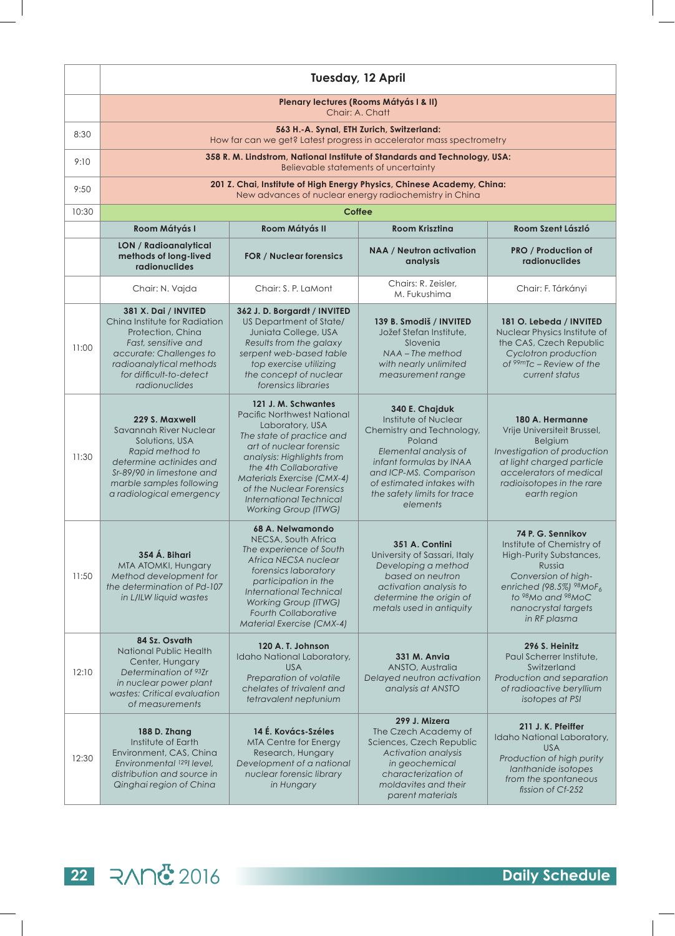|       | <b>Tuesday, 12 April</b>                                                                                                                                                                            |                                                                                                                                                                                                                                                                                                                      |                                                                                                                                                                                                                                     |                                                                                                                                                                                                   |
|-------|-----------------------------------------------------------------------------------------------------------------------------------------------------------------------------------------------------|----------------------------------------------------------------------------------------------------------------------------------------------------------------------------------------------------------------------------------------------------------------------------------------------------------------------|-------------------------------------------------------------------------------------------------------------------------------------------------------------------------------------------------------------------------------------|---------------------------------------------------------------------------------------------------------------------------------------------------------------------------------------------------|
|       | Plenary lectures (Rooms Mátyás I & II)<br>Chair: A. Chatt                                                                                                                                           |                                                                                                                                                                                                                                                                                                                      |                                                                                                                                                                                                                                     |                                                                                                                                                                                                   |
| 8:30  |                                                                                                                                                                                                     |                                                                                                                                                                                                                                                                                                                      | 563 H.-A. Synal, ETH Zurich, Switzerland:<br>How far can we get? Latest progress in accelerator mass spectrometry                                                                                                                   |                                                                                                                                                                                                   |
| 9:10  |                                                                                                                                                                                                     |                                                                                                                                                                                                                                                                                                                      | 358 R. M. Lindstrom, National Institute of Standards and Technology, USA:<br>Believable statements of uncertainty                                                                                                                   |                                                                                                                                                                                                   |
| 9:50  |                                                                                                                                                                                                     |                                                                                                                                                                                                                                                                                                                      | 201 Z. Chai, Institute of High Energy Physics, Chinese Academy, China:<br>New advances of nuclear energy radiochemistry in China                                                                                                    |                                                                                                                                                                                                   |
| 10:30 |                                                                                                                                                                                                     |                                                                                                                                                                                                                                                                                                                      | <b>Coffee</b>                                                                                                                                                                                                                       |                                                                                                                                                                                                   |
|       | Room Mátyás I                                                                                                                                                                                       | Room Mátyás II                                                                                                                                                                                                                                                                                                       | <b>Room Kriszting</b>                                                                                                                                                                                                               | Room Szent László                                                                                                                                                                                 |
|       | LON / Radioanalytical<br>methods of long-lived<br>radionuclides                                                                                                                                     | <b>FOR / Nuclear forensics</b>                                                                                                                                                                                                                                                                                       | <b>NAA / Neutron activation</b><br>analysis                                                                                                                                                                                         | <b>PRO / Production of</b><br><b>radionuclides</b>                                                                                                                                                |
|       | Chair: N. Vajda                                                                                                                                                                                     | Chair: S. P. LaMont                                                                                                                                                                                                                                                                                                  | Chairs: R. Zeisler,<br>M. Fukushima                                                                                                                                                                                                 | Chair: F. Tárkányi                                                                                                                                                                                |
| 11:00 | 381 X. Dai / INVITED<br>China Institute for Radiation<br>Protection, China<br>Fast, sensitive and<br>accurate: Challenges to<br>radioanalytical methods<br>for difficult-to-detect<br>radionuclides | 362 J.D. Borgardt / INVITED<br>US Department of State/<br>Juniata College, USA<br>Results from the galaxy<br>serpent web-based table<br>top exercise utilizing<br>the concept of nuclear<br>forensics libraries                                                                                                      | 139 B. Smodiš / INVITED<br>Jožef Stefan Institute,<br>Slovenia<br>NAA - The method<br>with nearly unlimited<br>measurement range                                                                                                    | 181 O. Lebeda / INVITED<br>Nuclear Physics Institute of<br>the CAS, Czech Republic<br>Cyclotron production<br>of $99mTc$ – Review of the<br>current status                                        |
| 11:30 | 229 S. Maxwell<br>Savannah River Nuclear<br>Solutions, USA<br>Rapid method to<br>determine actinides and<br>Sr-89/90 in limestone and<br>marble samples following<br>a radiological emergency       | 121 J. M. Schwantes<br><b>Pacific Northwest National</b><br>Laboratory, USA<br>The state of practice and<br>art of nuclear forensic<br>analysis: Highlights from<br>the 4th Collaborative<br>Materials Exercise (CMX-4)<br>of the Nuclear Forensics<br><b>International Technical</b><br><b>Working Group (ITWG)</b> | 340 E. Chajduk<br>Institute of Nuclear<br>Chemistry and Technology,<br>Poland<br>Elemental analysis of<br>infant formulas by INAA<br>and ICP-MS. Comparison<br>of estimated intakes with<br>the safety limits for trace<br>elements | 180 A. Hermanne<br>Vrije Universiteit Brussel,<br>Belgium<br>Investigation of production<br>at light charged particle<br>accelerators of medical<br>radioisotopes in the rare<br>earth region     |
| 11:50 | 354 Á. Bihari<br>MTA ATOMKI, Hungary<br>Method development for<br>the determination of Pd-107<br>in L/ILW liquid wastes                                                                             | 68 A. Nelwamondo<br>NECSA, South Africa<br>The experience of South<br>Africa NECSA nuclear<br>forensics laboratory<br>participation in the<br><b>International Technical</b><br><b>Working Group (ITWG)</b><br><b>Fourth Collaborative</b><br><b>Material Exercise (CMX-4)</b>                                       | 351 A. Contini<br>University of Sassari, Italy<br>Developing a method<br>based on neutron<br>activation analysis to<br>determine the origin of<br>metals used in antiquity                                                          | 74 P. G. Sennikov<br>Institute of Chemistry of<br>High-Purity Substances,<br>Russia<br>Conversion of high-<br>enriched (98.5%) 98MoF6<br>to 98Mo and 98MoC<br>nanocrystal targets<br>in RF plasma |
| 12:10 | 84 Sz. Osvath<br><b>National Public Health</b><br>Center, Hungary<br>Determination of 93Zr<br>in nuclear power plant<br>wastes: Critical evaluation<br>of measurements                              | 120 A. T. Johnson<br>Idaho National Laboratory,<br><b>USA</b><br>Preparation of volatile<br>chelates of trivalent and<br>tetravalent neptunium                                                                                                                                                                       | <b>331 M. Anvia</b><br>ANSTO, Australia<br>Delayed neutron activation<br>analysis at ANSTO                                                                                                                                          | 296 S. Heinitz<br>Paul Scherrer Institute,<br>Switzerland<br>Production and separation<br>of radioactive beryllium<br>isotopes at PSI                                                             |
| 12:30 | 188 D. Zhang<br>Institute of Earth<br>Environment, CAS, China<br>Environmental 1291 level,<br>distribution and source in<br>Qinghai region of China                                                 | 14 É. Kovács-Széles<br><b>MTA Centre for Energy</b><br>Research, Hungary<br>Development of a national<br>nuclear forensic library<br>in Hungary                                                                                                                                                                      | 299 J. Mizera<br>The Czech Academy of<br>Sciences, Czech Republic<br>Activation analysis<br>in geochemical<br>characterization of<br>moldavites and their<br>parent materials                                                       | 211 J. K. Pfeiffer<br>Idaho National Laboratory,<br><b>USA</b><br>Production of high purity<br>lanthanide isotopes<br>from the spontaneous<br>fission of Cf-252                                   |

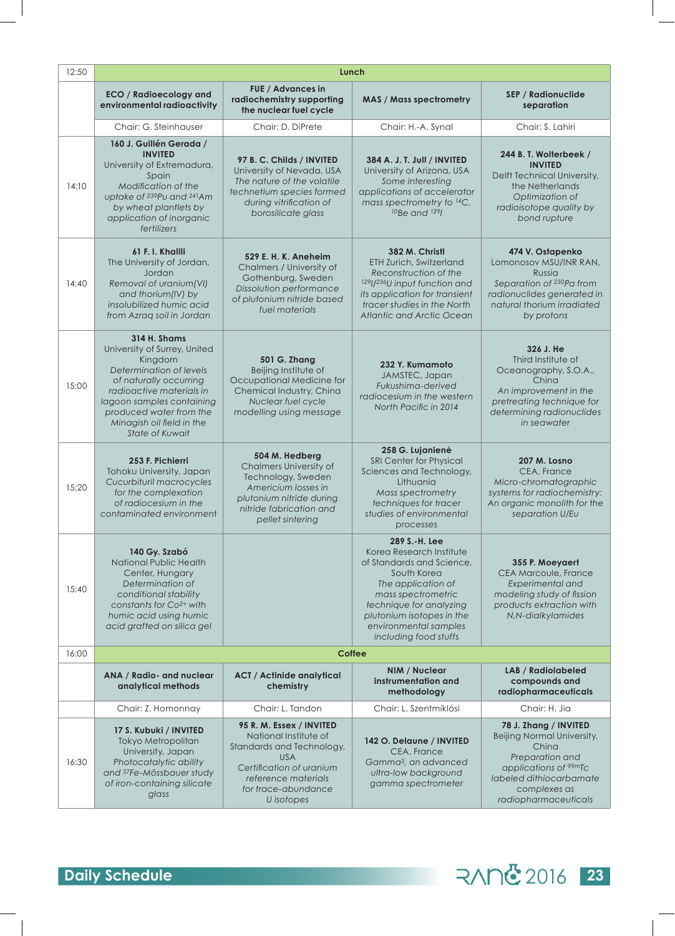| 12:50 | Lunch                                                                                                                                                                                                                                                          |                                                                                                                                                                                      |                                                                                                                                                                                                                                             |                                                                                                                                                                                         |  |
|-------|----------------------------------------------------------------------------------------------------------------------------------------------------------------------------------------------------------------------------------------------------------------|--------------------------------------------------------------------------------------------------------------------------------------------------------------------------------------|---------------------------------------------------------------------------------------------------------------------------------------------------------------------------------------------------------------------------------------------|-----------------------------------------------------------------------------------------------------------------------------------------------------------------------------------------|--|
|       | <b>ECO / Radioecology and</b><br>environmental radioactivity                                                                                                                                                                                                   | <b>FUE</b> / Advances in<br>radiochemistry supporting<br>the nuclear fuel cycle                                                                                                      | <b>MAS / Mass spectrometry</b>                                                                                                                                                                                                              | <b>SEP / Radionuclide</b><br>separation                                                                                                                                                 |  |
|       | Chair: G. Steinhauser                                                                                                                                                                                                                                          | Chair: D. DiPrete                                                                                                                                                                    | Chair: H.-A. Synal                                                                                                                                                                                                                          | Chair: S. Lahiri                                                                                                                                                                        |  |
| 14:10 | 160 J. Guillén Gerada /<br><b>INVITED</b><br>University of Extremadura,<br>Spain<br>Modification of the<br>uptake of 239Pu and 241Am<br>by wheat plantlets by<br>application of inorganic<br>fertilizers                                                       | 97 B. C. Childs / INVITED<br>University of Nevada, USA<br>The nature of the volatile<br>technetium species formed<br>during vitrification of<br>borosilicate glass                   | 384 A. J. T. Jull / INVITED<br>University of Arizona, USA<br>Some interesting<br>applications of accelerator<br>mass spectrometry to 14C,<br><sup>10</sup> Be and <sup>129</sup>                                                            | 244 B. T. Wolterbeek /<br><b>INVITED</b><br>Delft Technical University,<br>the Netherlands<br>Optimization of<br>radioisotope quality by<br>bond rupture                                |  |
| 14:40 | 61 F. I. Khalili<br>The University of Jordan,<br>Jordan<br>Removal of uranium(VI)<br>and thorium(IV) by<br>insolubilized humic acid<br>from Azrag soil in Jordan                                                                                               | <b>529 E. H. K. Aneheim</b><br>Chalmers / University of<br>Gothenburg, Sweden<br>Dissolution performance<br>of plutonium nitride based<br>fuel materials                             | 382 M. Christl<br>ETH Zurich, Switzerland<br>Reconstruction of the<br>129//236U input function and<br>its application for transient<br>tracer studies in the North<br>Atlantic and Arctic Ocean                                             | 474 V. Ostapenko<br>Lomonosov MSU/INR RAN,<br>Russia<br>Separation of 230Pa from<br>radionuclides generated in<br>natural thorium irradiated<br>by protons                              |  |
| 15:00 | <b>314 H. Shams</b><br>University of Surrey, United<br>Kingdom<br>Determination of levels<br>of naturally occurring<br>radioactive materials in<br>lagoon samples containing<br>produced water from the<br>Minagish oil field in the<br><b>State of Kuwait</b> | <b>501 G. Zhang</b><br>Beijing Institute of<br>Occupational Medicine for<br>Chemical Industry, China<br>Nuclear fuel cycle<br>modelling using message                                | 232 Y. Kumamoto<br>JAMSTEC, Japan<br>Fukushima-derived<br>radiocesium in the western<br>North Pacific in 2014                                                                                                                               | 326 J. He<br>Third Institute of<br>Oceanography, S.O.A.,<br>China<br>An improvement in the<br>pretreating technique for<br>determining radionuclides<br>in seawater                     |  |
| 15:20 | 253 F. Pichierri<br>Tohoku University, Japan<br>Cucurbituril macrocycles<br>for the complexation<br>of radiocesium in the<br>contaminated environment                                                                                                          | 504 M. Hedberg<br>Chalmers University of<br>Technology, Sweden<br>Americium losses in<br>plutonium nitride during<br>nitride fabrication and<br>pellet sintering                     | 258 G. Lujanienė<br>SRI Center for Physical<br>Sciences and Technology,<br>Lithuania<br>Mass spectrometry<br>techniques for tracer<br>studies of environmental<br>processes                                                                 | 207 M. Losno<br>CEA, France<br>Micro-chromatographic<br>systems for radiochemistry:<br>An organic monolith for the<br>separation U/Eu                                                   |  |
| 15:40 | 140 Gy. Szabó<br><b>National Public Health</b><br>Center, Hungary<br>Determination of<br>conditional stability<br>constants for $Co2+$ with<br>humic acid using humic<br>acid grafted on silica gel                                                            |                                                                                                                                                                                      | 289 S.-H. Lee<br>Korea Research Institute<br>of Standards and Science,<br>South Korea<br>The application of<br>mass spectrometric<br>technique for analyzing<br>plutonium isotopes in the<br>environmental samples<br>including food stuffs | 355 P. Moeyaert<br><b>CEA Marcoule, France</b><br>Experimental and<br>modeling study of fission<br>products extraction with<br>N,N-dialkylamides                                        |  |
| 16:00 |                                                                                                                                                                                                                                                                |                                                                                                                                                                                      | <b>Coffee</b>                                                                                                                                                                                                                               |                                                                                                                                                                                         |  |
|       | ANA / Radio- and nuclear<br>analytical methods                                                                                                                                                                                                                 | <b>ACT / Actinide analytical</b><br>chemistry                                                                                                                                        | NIM / Nuclear<br>instrumentation and<br>methodology                                                                                                                                                                                         | <b>LAB / Radiolabeled</b><br>compounds and<br>radiopharmaceuticals                                                                                                                      |  |
|       | Chair: Z. Homonnay                                                                                                                                                                                                                                             | Chair: L. Tandon                                                                                                                                                                     | Chair: L. Szentmiklósi                                                                                                                                                                                                                      | Chair: H. Jia                                                                                                                                                                           |  |
| 16:30 | 17 S. Kubuki / INVITED<br>Tokyo Metropolitan<br>University, Japan<br>Photocatalytic ability<br>and <sup>57</sup> Fe-Mössbauer study<br>of iron-containing silicate<br>glass                                                                                    | 95 R. M. Essex / INVITED<br>National Institute of<br>Standards and Technology,<br><b>USA</b><br>Certification of uranium<br>reference materials<br>for trace-abundance<br>U isotopes | 142 O. Delaune / INVITED<br>CEA, France<br>Gamma <sup>3</sup> , an advanced<br>ultra-low background<br>gamma spectrometer                                                                                                                   | 78 J. Zhang / INVITED<br>Beijing Normal University,<br>China<br>Preparation and<br>applications of <sup>99m</sup> Tc<br>labeled dithiocarbamate<br>complexes as<br>radiopharmaceuticals |  |

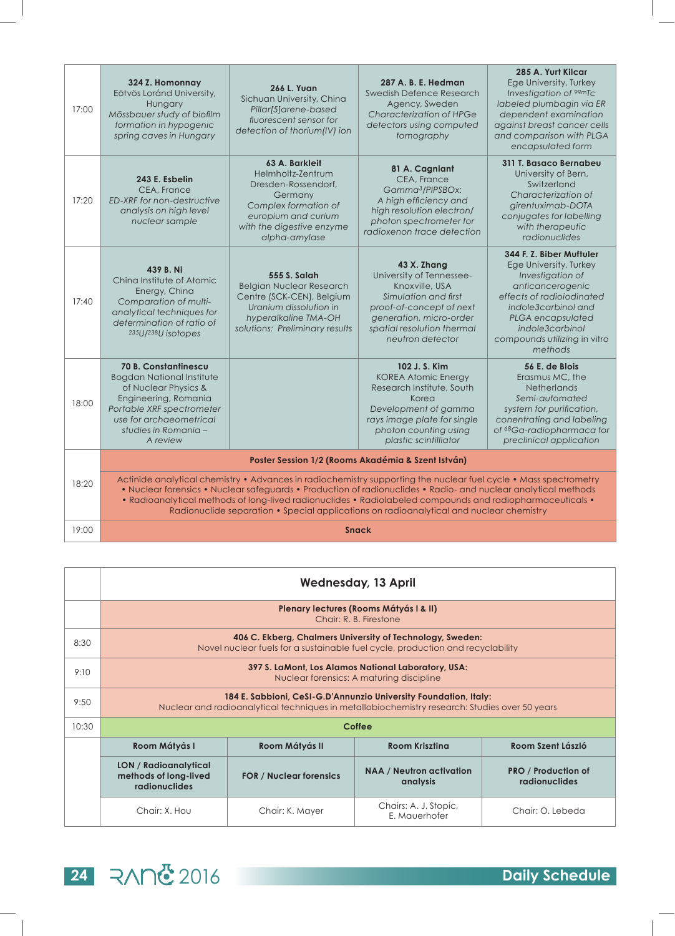| 17:00 | 324 Z. Homonnay<br>Eötvös Loránd University,<br>Hungary<br>Mössbauer study of biofilm<br>formation in hypogenic<br>spring caves in Hungary                                                                                                                                                                                                                                                                                                 | <b>266 L. Yuan</b><br>Sichuan University, China<br>Pillar[5]arene-based<br>fluorescent sensor for<br>detection of thorium(IV) ion                                  | 287 A. B. E. Hedman<br>Swedish Defence Research<br>Agency, Sweden<br>Characterization of HPGe<br>detectors using computed<br>tomography                                                    | 285 A. Yurt Kilcar<br>Ege University, Turkey<br>Investigation of <sup>99m</sup> Tc<br>labeled plumbagin via ER<br>dependent examination<br>against breast cancer cells<br>and comparison with PLGA<br>encapsulated form           |
|-------|--------------------------------------------------------------------------------------------------------------------------------------------------------------------------------------------------------------------------------------------------------------------------------------------------------------------------------------------------------------------------------------------------------------------------------------------|--------------------------------------------------------------------------------------------------------------------------------------------------------------------|--------------------------------------------------------------------------------------------------------------------------------------------------------------------------------------------|-----------------------------------------------------------------------------------------------------------------------------------------------------------------------------------------------------------------------------------|
| 17:20 | 243 E. Esbelin<br>CEA, France<br>ED-XRF for non-destructive<br>analysis on high level<br>nuclear sample                                                                                                                                                                                                                                                                                                                                    | 63 A. Barkleit<br>Helmholtz-Zentrum<br>Dresden-Rossendorf,<br>Germany<br>Complex formation of<br>europium and curium<br>with the digestive enzyme<br>alpha-amylase | 81 A. Cagniant<br>CEA, France<br>Gamma <sup>3</sup> /PIPSBOx:<br>A high efficiency and<br>high resolution electron/<br>photon spectrometer for<br>radioxenon trace detection               | 311 T. Basaco Bernabeu<br>University of Bern,<br>Switzerland<br>Characterization of<br>girentuximab-DOTA<br>conjugates for labelling<br>with therapeutic<br>radionuclides                                                         |
| 17:40 | 439 B. Ni<br>Ching Institute of Atomic<br>Energy, China<br>Comparation of multi-<br>analytical techniques for<br>determination of ratio of<br>235U/238U isotopes                                                                                                                                                                                                                                                                           | 555 S. Salah<br><b>Belgian Nuclear Research</b><br>Centre (SCK-CEN), Belgium<br>Uranium dissolution in<br>hyperalkaline TMA-OH<br>solutions: Preliminary results   | 43 X. Zhang<br>University of Tennessee-<br>Knoxville, USA<br>Simulation and first<br>proof-of-concept of next<br>generation, micro-order<br>spatial resolution thermal<br>neutron detector | 344 F. Z. Biber Muftuler<br>Ege University, Turkey<br>Investigation of<br>anticancerogenic<br>effects of radioiodinated<br>indole3carbinol and<br>PLGA encapsulated<br>indole3carbinol<br>compounds utilizing in vitro<br>methods |
| 18:00 | <b>70 B. Constantinescu</b><br><b>Bogdan National Institute</b><br>of Nuclear Physics &<br>Engineering, Romania<br>Portable XRF spectrometer<br>use for archaeometrical<br>studies in Romania -<br>A review                                                                                                                                                                                                                                |                                                                                                                                                                    | 102 J. S. Kim<br><b>KOREA Atomic Energy</b><br>Research Institute, South<br>Korea<br>Development of gamma<br>rays image plate for single<br>photon counting using<br>plastic scintilliator | 56 E. de Blois<br>Erasmus MC, the<br><b>Netherlands</b><br>Semi-automated<br>system for purification,<br>conentrating and labeling<br>of <sup>68</sup> Ga-radiopharmaca for<br>preclinical application                            |
|       |                                                                                                                                                                                                                                                                                                                                                                                                                                            |                                                                                                                                                                    | Poster Session 1/2 (Rooms Akadémia & Szent István)                                                                                                                                         |                                                                                                                                                                                                                                   |
| 18:20 | Actinide analytical chemistry • Advances in radiochemistry supporting the nuclear fuel cycle • Mass spectrometry<br>• Nuclear forensics • Nuclear safeguards • Production of radionuclides • Radio- and nuclear analytical methods<br>• Radioanalytical methods of long-lived radionuclides • Radiolabeled compounds and radiopharmaceuticals •<br>Radionuclide separation • Special applications on radioanalytical and nuclear chemistry |                                                                                                                                                                    |                                                                                                                                                                                            |                                                                                                                                                                                                                                   |
| 19:00 | <b>Snack</b>                                                                                                                                                                                                                                                                                                                                                                                                                               |                                                                                                                                                                    |                                                                                                                                                                                            |                                                                                                                                                                                                                                   |

|       | <b>Wednesday, 13 April</b>                                                                                                                                        |                                |                                                                                                                                             |                                             |
|-------|-------------------------------------------------------------------------------------------------------------------------------------------------------------------|--------------------------------|---------------------------------------------------------------------------------------------------------------------------------------------|---------------------------------------------|
|       |                                                                                                                                                                   |                                | Plenary lectures (Rooms Mátyás I & II)<br>Chair: R. B. Firestone                                                                            |                                             |
| 8:30  |                                                                                                                                                                   |                                | 406 C. Ekberg, Chalmers University of Technology, Sweden:<br>Novel nuclear fuels for a sustainable fuel cycle, production and recyclability |                                             |
| 9:10  | 397 S. LaMont, Los Alamos National Laboratory, USA:<br>Nuclear forensics: A maturing discipline                                                                   |                                |                                                                                                                                             |                                             |
| 9:50  | 184 E. Sabbioni, CeSI-G.D'Annunzio University Foundation, Italy:<br>Nuclear and radioanalytical techniques in metallobiochemistry research: Studies over 50 years |                                |                                                                                                                                             |                                             |
| 10:30 |                                                                                                                                                                   |                                | Coffee                                                                                                                                      |                                             |
|       | Room Mátyás I                                                                                                                                                     | Room Mátyás II                 | <b>Room Kriszting</b>                                                                                                                       | Room Szent László                           |
|       | <b>LON</b> / Radioanalytical<br>methods of long-lived<br><b>radionuclides</b>                                                                                     | <b>FOR / Nuclear forensics</b> | <b>NAA</b> / Neutron activation<br>analysis                                                                                                 | <b>PRO / Production of</b><br>radionuclides |
|       | Chair: X. Hou                                                                                                                                                     | Chair: K. Mayer                | Chairs: A. J. Stopic,<br>E. Mauerhofer                                                                                                      | Chair: O. Lebeda                            |

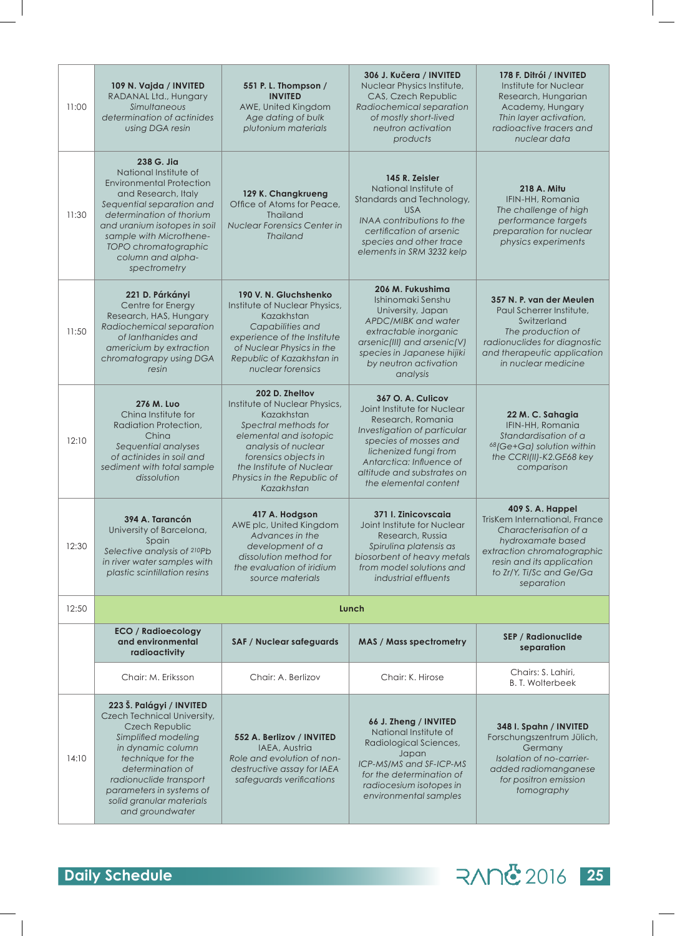| 11:00 | 109 N. Vajda / INVITED<br>RADANAL Ltd., Hungary<br>Simultaneous<br>determination of actinides<br>using DGA resin                                                                                                                                                               | 551 P.L. Thompson /<br><b>INVITED</b><br>AWE, United Kingdom<br>Age dating of bulk<br>plutonium materials                                                                                                                              | 306 J. Kučera / INVITED<br>Nuclear Physics Institute,<br>CAS, Czech Republic<br>Radiochemical separation<br>of mostly short-lived<br>neutron activation<br>products                                                                       | 178 F. Ditrói / INVITED<br>Institute for Nuclear<br>Research, Hungarian<br>Academy, Hungary<br>Thin layer activation,<br>radioactive tracers and<br>nuclear data                                           |
|-------|--------------------------------------------------------------------------------------------------------------------------------------------------------------------------------------------------------------------------------------------------------------------------------|----------------------------------------------------------------------------------------------------------------------------------------------------------------------------------------------------------------------------------------|-------------------------------------------------------------------------------------------------------------------------------------------------------------------------------------------------------------------------------------------|------------------------------------------------------------------------------------------------------------------------------------------------------------------------------------------------------------|
| 11:30 | 238 G. Jia<br>National Institute of<br><b>Environmental Protection</b><br>and Research, Italy<br>Sequential separation and<br>determination of thorium<br>and uranium isotopes in soil<br>sample with Microthene-<br>TOPO chromatographic<br>column and alpha-<br>spectrometry | 129 K. Changkrueng<br>Office of Atoms for Peace,<br><b>Thailand</b><br>Nuclear Forensics Center in<br><b>Thailand</b>                                                                                                                  | 145 R. Zeisler<br>National Institute of<br>Standards and Technology,<br><b>USA</b><br>INAA contributions to the<br>certification of arsenic<br>species and other trace<br>elements in SRM 3232 kelp                                       | 218 A. Mitu<br>IFIN-HH, Romania<br>The challenge of high<br>performance targets<br>preparation for nuclear<br>physics experiments                                                                          |
| 11:50 | 221 D. Párkányi<br>Centre for Energy<br>Research, HAS, Hungary<br>Radiochemical separation<br>of lanthanides and<br>americium by extraction<br>chromatograpy using DGA<br>resin                                                                                                | 190 V. N. Gluchshenko<br>Institute of Nuclear Physics,<br>Kazakhstan<br>Capabilities and<br>experience of the Institute<br>of Nuclear Physics in the<br>Republic of Kazakhstan in<br>nuclear forensics                                 | 206 M. Fukushima<br>Ishinomaki Senshu<br>University, Japan<br>APDC/MIBK and water<br>extractable inorganic<br>arsenic(III) and arsenic(V)<br>species in Japanese hijiki<br>by neutron activation<br>analysis                              | 357 N. P. van der Meulen<br>Paul Scherrer Institute,<br>Switzerland<br>The production of<br>radionuclides for diagnostic<br>and therapeutic application<br>in nuclear medicine                             |
| 12:10 | 276 M. Luo<br>Ching Institute for<br>Radiation Protection,<br>China<br>Sequential analyses<br>of actinides in soil and<br>sediment with total sample<br>dissolution                                                                                                            | 202 D. Zheltov<br>Institute of Nuclear Physics,<br>Kazakhstan<br>Spectral methods for<br>elemental and isotopic<br>analysis of nuclear<br>forensics objects in<br>the Institute of Nuclear<br>Physics in the Republic of<br>Kazakhstan | 367 O. A. Culicov<br>Joint Institute for Nuclear<br>Research, Romania<br>Investigation of particular<br>species of mosses and<br>lichenized fungi from<br>Antarctica: Influence of<br>altitude and substrates on<br>the elemental content | 22 M. C. Sahagia<br>IFIN-HH, Romania<br>Standardisation of a<br><sup>68</sup> (Ge+Ga) solution within<br>the CCRI(II)-K2.GE68 key<br>comparison                                                            |
| 12:30 | 394 A. Tarancón<br>University of Barcelona,<br>Spain<br>Selective analysis of 210Pb<br>in river water samples with<br>plastic scintillation resins                                                                                                                             | 417 A. Hodgson<br>AWE plc, United Kingdom<br>Advances in the<br>development of a<br>dissolution method for<br>the evaluation of iridium<br>source materials                                                                            | 371 I. Zinicovscaja<br>Joint Institute for Nuclear<br>Research, Russia<br>Spirulina platensis as<br>biosorbent of heavy metals<br>from model solutions and<br>industrial effluents                                                        | <b>409 S.A. Happel</b><br>TrisKem International, France<br>Characterisation of a<br>hydroxamate based<br>extraction chromatographic<br>resin and its application<br>to Zr/Y, Ti/Sc and Ge/Ga<br>separation |
| 12:50 |                                                                                                                                                                                                                                                                                |                                                                                                                                                                                                                                        | Lunch                                                                                                                                                                                                                                     |                                                                                                                                                                                                            |
|       | <b>ECO</b> / Radioecology<br>and environmental<br>radioactivity                                                                                                                                                                                                                | <b>SAF / Nuclear safeguards</b>                                                                                                                                                                                                        | <b>MAS / Mass spectrometry</b>                                                                                                                                                                                                            | <b>SEP / Radionuclide</b><br>separation                                                                                                                                                                    |
|       | Chair: M. Eriksson                                                                                                                                                                                                                                                             | Chair: A. Berlizov                                                                                                                                                                                                                     | Chair: K. Hirose                                                                                                                                                                                                                          | Chairs: S. Lahiri,<br><b>B. T. Wolterbeek</b>                                                                                                                                                              |
| 14:10 | 223 Š. Palágyi / INVITED<br>Czech Technical University,<br>Czech Republic<br>Simplified modeling<br>in dynamic column<br>technique for the<br>determination of<br>radionuclide transport<br>parameters in systems of<br>solid granular materials<br>and groundwater            | 552 A. Berlizov / INVITED<br>IAEA, Austria<br>Role and evolution of non-<br>destructive assay for IAEA<br>safeguards verifications                                                                                                     | 66 J. Zheng / INVITED<br>National Institute of<br>Radiological Sciences,<br>Japan<br>ICP-MS/MS and SF-ICP-MS<br>for the determination of<br>radiocesium isotopes in<br>environmental samples                                              | 348 I. Spahn / INVITED<br>Forschungszentrum Jülich,<br>Germany<br>Isolation of no-carrier-<br>added radiomanganese<br>for positron emission<br>tomography                                                  |



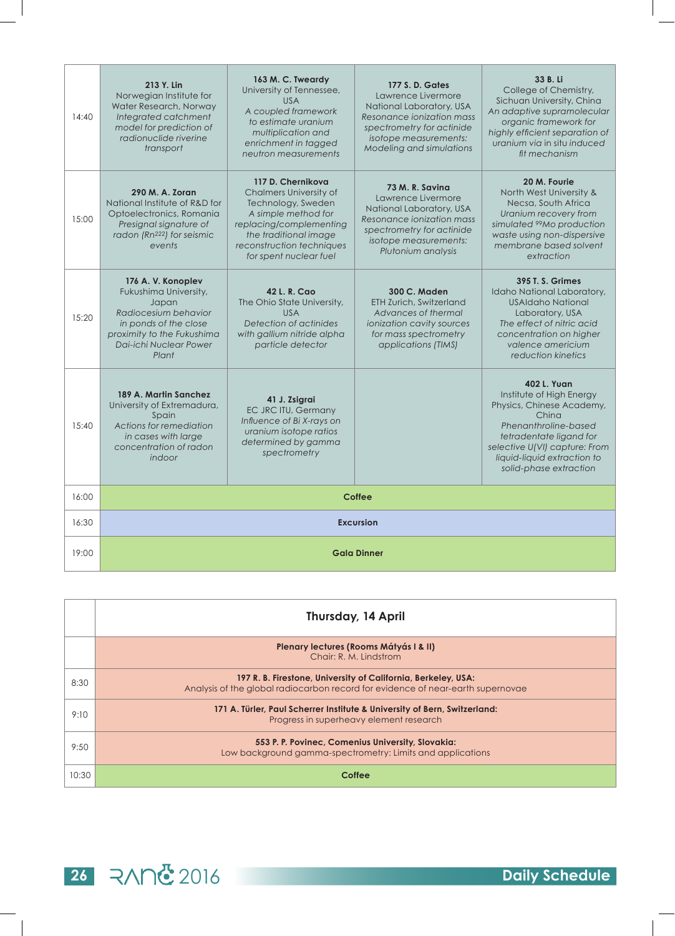| 14:40 | 213 Y. Lin<br>Norwegian Institute for<br>Water Research, Norway<br>Integrated catchment<br>model for prediction of<br>radionuclide riverine<br>transport              | 163 M. C. Tweardy<br>University of Tennessee,<br><b>USA</b><br>A coupled framework<br>to estimate uranium<br>multiplication and<br>enrichment in tagged<br>neutron measurements                     | <b>177 S. D. Gates</b><br>Lawrence Livermore<br>National Laboratory, USA<br>Resonance ionization mass<br>spectrometry for actinide<br>isotope measurements:<br>Modeling and simulations | 33 B. Li<br>College of Chemistry,<br>Sichuan University, China<br>An adaptive supramolecular<br>organic framework for<br>highly efficient separation of<br>uranium via in situ induced<br>fit mechanism                           |
|-------|-----------------------------------------------------------------------------------------------------------------------------------------------------------------------|-----------------------------------------------------------------------------------------------------------------------------------------------------------------------------------------------------|-----------------------------------------------------------------------------------------------------------------------------------------------------------------------------------------|-----------------------------------------------------------------------------------------------------------------------------------------------------------------------------------------------------------------------------------|
| 15:00 | 290 M. A. Zoran<br>National Institute of R&D for<br>Optoelectronics, Romania<br>Presignal signature of<br>radon (Rn <sup>222</sup> ) for seismic<br>events            | 117 D. Chernikova<br>Chalmers University of<br>Technology, Sweden<br>A simple method for<br>replacing/complementing<br>the traditional image<br>reconstruction techniques<br>for spent nuclear fuel | 73 M. R. Savina<br>Lawrence Livermore<br>National Laboratory, USA<br>Resonance ionization mass<br>spectrometry for actinide<br>isotope measurements:<br>Plutonium analysis              | 20 M. Fourie<br>North West University &<br>Necsa, South Africa<br>Uranium recovery from<br>simulated <sup>99</sup> Mo production<br>waste using non-dispersive<br>membrane based solvent<br>extraction                            |
| 15:20 | 176 A.V. Konoplev<br>Fukushima University,<br>Japan<br>Radiocesium behavior<br>in ponds of the close<br>proximity to the Fukushima<br>Dai-ichi Nuclear Power<br>Plant | 42 L. R. Cao<br>The Ohio State University,<br><b>USA</b><br>Detection of actinides<br>with gallium nitride alpha<br>particle detector                                                               | <b>300 C. Maden</b><br>ETH Zurich, Switzerland<br>Advances of thermal<br>ionization cavity sources<br>for mass spectrometry<br>applications (TIMS)                                      | <b>395 T. S. Grimes</b><br>Idaho National Laboratory,<br>USAIdaho National<br>Laboratory, USA<br>The effect of nitric acid<br>concentration on higher<br>valence americium<br>reduction kinetics                                  |
| 15:40 | 189 A. Martin Sanchez<br>University of Extremadura,<br>Spain<br>Actions for remediation<br>in cases with large<br>concentration of radon<br>indoor                    | 41 J. Zsigrai<br>EC JRC ITU, Germany<br>Influence of Bi X-rays on<br>uranium isotope ratios<br>determined by gamma<br>spectrometry                                                                  |                                                                                                                                                                                         | <b>402 L. Yuan</b><br>Institute of High Energy<br>Physics, Chinese Academy,<br>China<br>Phenanthroline-based<br>tetradentate ligand for<br>selective U(VI) capture: From<br>liquid-liquid extraction to<br>solid-phase extraction |
| 16:00 |                                                                                                                                                                       |                                                                                                                                                                                                     | <b>Coffee</b>                                                                                                                                                                           |                                                                                                                                                                                                                                   |
| 16:30 |                                                                                                                                                                       |                                                                                                                                                                                                     | <b>Excursion</b>                                                                                                                                                                        |                                                                                                                                                                                                                                   |
| 19:00 | <b>Gala Dinner</b>                                                                                                                                                    |                                                                                                                                                                                                     |                                                                                                                                                                                         |                                                                                                                                                                                                                                   |

|       | Thursday, 14 April                                                                                                                               |
|-------|--------------------------------------------------------------------------------------------------------------------------------------------------|
|       | Plenary lectures (Rooms Mátyás I & II)<br>Chair: R. M. Lindstrom                                                                                 |
| 8:30  | 197 R. B. Firestone, University of California, Berkeley, USA:<br>Analysis of the global radiocarbon record for evidence of near-earth supernovae |
| 9:10  | 171 A. Türler, Paul Scherrer Institute & University of Bern, Switzerland:<br>Progress in superheavy element research                             |
| 9:50  | 553 P. P. Povinec, Comenius University, Slovakia:<br>Low background gamma-spectrometry: Limits and applications                                  |
| 10:30 | Coffee                                                                                                                                           |

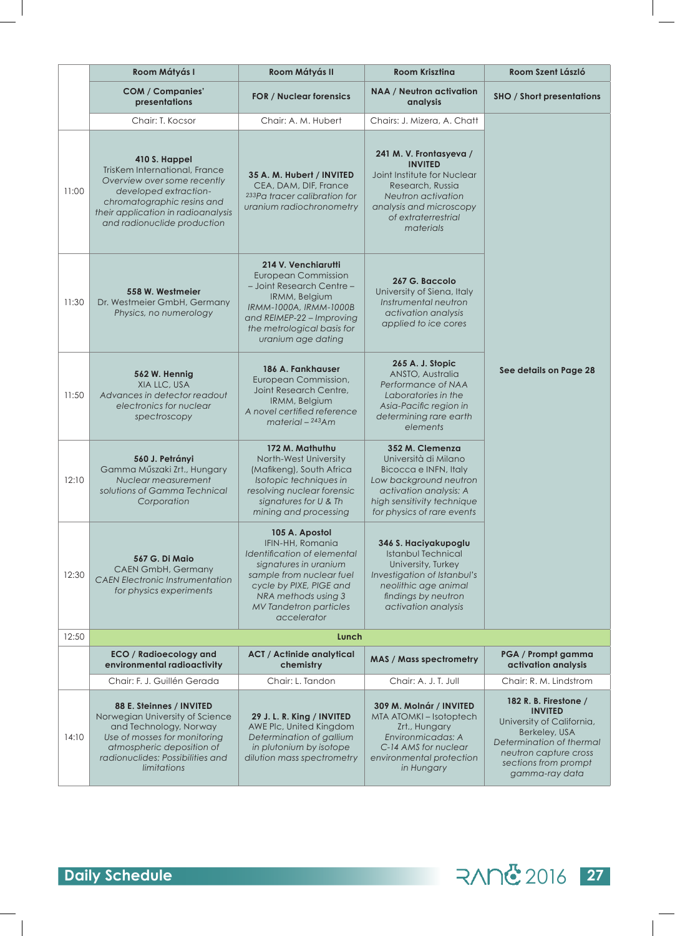|       | Room Mátyás I                                                                                                                                                                                             | Room Mátyás II                                                                                                                                                                                                           | <b>Room Kriszting</b>                                                                                                                                                            | Room Szent László                                                                                                                                                                    |
|-------|-----------------------------------------------------------------------------------------------------------------------------------------------------------------------------------------------------------|--------------------------------------------------------------------------------------------------------------------------------------------------------------------------------------------------------------------------|----------------------------------------------------------------------------------------------------------------------------------------------------------------------------------|--------------------------------------------------------------------------------------------------------------------------------------------------------------------------------------|
|       | <b>COM / Companies'</b><br>presentations                                                                                                                                                                  | <b>FOR / Nuclear forensics</b>                                                                                                                                                                                           | <b>NAA / Neutron activation</b><br>analysis                                                                                                                                      | <b>SHO / Short presentations</b>                                                                                                                                                     |
|       | Chair: T. Kocsor                                                                                                                                                                                          | Chair: A. M. Hubert                                                                                                                                                                                                      | Chairs: J. Mizera, A. Chatt                                                                                                                                                      |                                                                                                                                                                                      |
| 11:00 | 410 S. Happel<br>TrisKem International, France<br>Overview over some recently<br>developed extraction-<br>chromatographic resins and<br>their application in radioanalysis<br>and radionuclide production | 35 A. M. Hubert / INVITED<br>CEA, DAM, DIF, France<br><sup>233</sup> Pa tracer calibration for<br>uranium radiochronometry                                                                                               | 241 M.V. Frontasyeva /<br><b>INVITED</b><br>Joint Institute for Nuclear<br>Research, Russia<br>Neutron activation<br>analysis and microscopy<br>of extraterrestrial<br>materials |                                                                                                                                                                                      |
| 11:30 | 558 W. Westmeier<br>Dr. Westmeier GmbH, Germany<br>Physics, no numerology                                                                                                                                 | 214 V. Venchiarutti<br><b>European Commission</b><br>- Joint Research Centre -<br>IRMM, Belgium<br>IRMM-1000A, IRMM-1000B<br>and REIMEP-22 - Improving<br>the metrological basis for<br>uranium age dating               | 267 G. Baccolo<br>University of Siena, Italy<br>Instrumental neutron<br>activation analysis<br>applied to ice cores                                                              |                                                                                                                                                                                      |
| 11:50 | 562 W. Hennig<br>XIA LLC, USA<br>Advances in detector readout<br>electronics for nuclear<br>spectroscopy                                                                                                  | 186 A. Fankhauser<br>European Commission,<br>Joint Research Centre,<br>IRMM, Belgium<br>A novel certified reference<br>$material - 243Am$                                                                                | 265 A. J. Stopic<br>ANSTO, Australia<br>Performance of NAA<br>Laboratories in the<br>Asia-Pacific region in<br>determining rare earth<br>elements                                | See details on Page 28                                                                                                                                                               |
| 12:10 | 560 J. Petrányi<br>Gamma Műszaki Zrt., Hungary<br>Nuclear measurement<br>solutions of Gamma Technical<br>Corporation                                                                                      | 172 M. Mathuthu<br>North-West University<br>(Mafikeng), South Africa<br>Isotopic techniques in<br>resolving nuclear forensic<br>signatures for U & Th<br>mining and processing                                           | 352 M. Clemenza<br>Università di Milano<br>Bicocca e INFN, Italy<br>Low background neutron<br>activation analysis: A<br>high sensitivity technique<br>for physics of rare events |                                                                                                                                                                                      |
| 12:30 | <b>567 G. Di Maio</b><br><b>CAEN GmbH, Germany</b><br><b>CAEN Electronic Instrumentation</b><br>for physics experiments                                                                                   | 105 A. Apostol<br>IFIN-HH, Romania<br>Identification of elemental<br>signatures in uranium<br>sample from nuclear fuel<br>cycle by PIXE, PIGE and<br>NRA methods using 3<br><b>MV Tandetron particles</b><br>accelerator | 346 S. Haciyakupoglu<br>Istanbul Technical<br>University, Turkey<br>Investigation of Istanbul's<br>neolithic age animal<br>findings by neutron<br>activation analysis            |                                                                                                                                                                                      |
| 12:50 |                                                                                                                                                                                                           | Lunch                                                                                                                                                                                                                    |                                                                                                                                                                                  |                                                                                                                                                                                      |
|       | <b>ECO / Radioecology and</b><br>environmental radioactivity                                                                                                                                              | <b>ACT / Actinide analytical</b><br>chemistry                                                                                                                                                                            | <b>MAS / Mass spectrometry</b>                                                                                                                                                   | PGA / Prompt gamma<br>activation analysis                                                                                                                                            |
|       | Chair: F. J. Guillén Gerada                                                                                                                                                                               | Chair: L. Tandon                                                                                                                                                                                                         | Chair: A. J. T. Jull                                                                                                                                                             | Chair: R. M. Lindstrom                                                                                                                                                               |
| 14:10 | 88 E. Steinnes / INVITED<br>Norwegian University of Science<br>and Technology, Norway<br>Use of mosses for monitoring<br>atmospheric deposition of<br>radionuclides: Possibilities and<br>limitations     | 29 J. L. R. King / INVITED<br>AWE Plc, United Kingdom<br>Determination of gallium<br>in plutonium by isotope<br>dilution mass spectrometry                                                                               | 309 M. Molnár / INVITED<br>MTA ATOMKI-Isotoptech<br>Zrt., Hungary<br>Environmicadas: A<br>C-14 AMS for nuclear<br>environmental protection<br>in Hungary                         | 182 R. B. Firestone /<br><b>INVITED</b><br>University of California,<br>Berkeley, USA<br>Determination of thermal<br>neutron capture cross<br>sections from prompt<br>gamma-ray data |

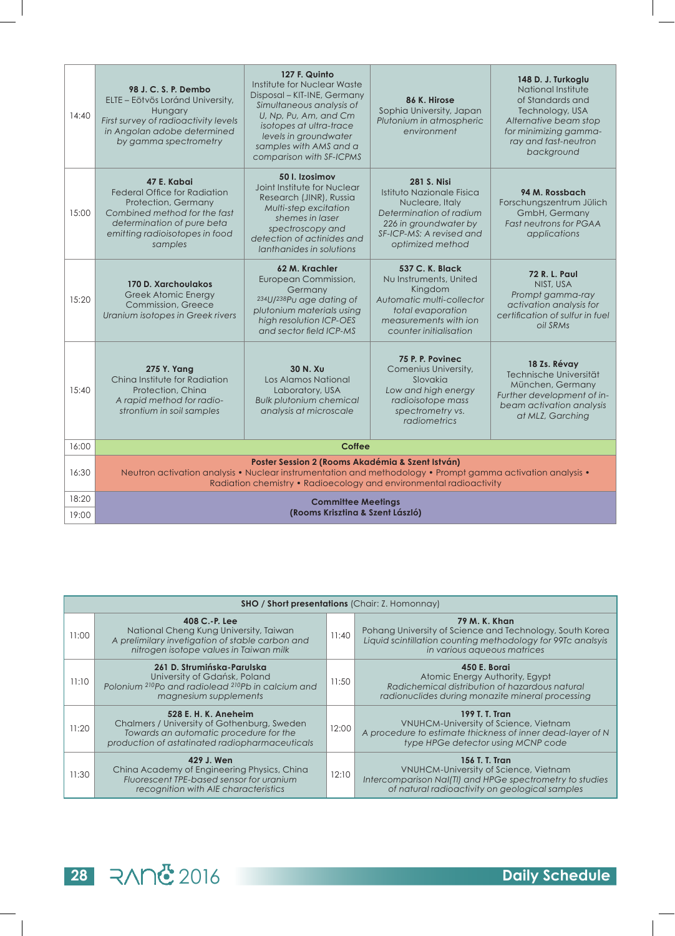| 14:40 | 98 J. C. S. P. Dembo<br>ELTE – Eötvös Loránd University,<br>Hungary<br>First survey of radioactivity levels<br>in Angolan adobe determined<br>by gamma spectrometry                  | 127 F. Quinto<br>Institute for Nuclear Waste<br>Disposal - KIT-INE, Germany<br>Simultaneous analysis of<br>U, Np, Pu, Am, and Cm<br>isotopes at ultra-trace<br>levels in groundwater<br>samples with AMS and a<br>comparison with SF-ICPMS | 86 K. Hirose<br>Sophia University, Japan<br>Plutonium in atmospheric<br>environment                                                                                    | 148 D. J. Turkoglu<br>National Institute<br>of Standards and<br>Technology, USA<br>Alternative beam stop<br>for minimizing gamma-<br>ray and fast-neutron<br>background |  |
|-------|--------------------------------------------------------------------------------------------------------------------------------------------------------------------------------------|--------------------------------------------------------------------------------------------------------------------------------------------------------------------------------------------------------------------------------------------|------------------------------------------------------------------------------------------------------------------------------------------------------------------------|-------------------------------------------------------------------------------------------------------------------------------------------------------------------------|--|
| 15:00 | 47 E. Kabai<br><b>Federal Office for Radiation</b><br>Protection, Germany<br>Combined method for the fast<br>determination of pure beta<br>emitting radioisotopes in food<br>samples | 50 I. Izosimov<br>Joint Institute for Nuclear<br>Research (JINR), Russia<br>Multi-step excitation<br>shemes in laser<br>spectroscopy and<br>detection of actinides and<br>lanthanides in solutions                                         | <b>281 S. Nisi</b><br>Istituto Nazionale Fisica<br>Nucleare, Italy<br>Determination of radium<br>226 in groundwater by<br>SF-ICP-MS: A revised and<br>optimized method | 94 M. Rossbach<br>Forschungszentrum Jülich<br>GmbH, Germany<br><b>Fast neutrons for PGAA</b><br>applications                                                            |  |
| 15:20 | 170 D. Xarchoulakos<br><b>Greek Atomic Energy</b><br><b>Commission, Greece</b><br>Uranium isotopes in Greek rivers                                                                   | 62 M. Krachler<br>European Commission,<br>Germany<br>234U/238Pu age dating of<br>plutonium materials using<br>high resolution ICP-OES<br>and sector field ICP-MS                                                                           | 537 C. K. Black<br>Nu Instruments, United<br>Kingdom<br>Automatic multi-collector<br>total evaporation<br>measurements with jon<br>counter initialisation              | <b>72 R. L. Paul</b><br>NIST, USA<br>Prompt gamma-ray<br>activation analysis for<br>certification of sulfur in fuel<br>oil SRMs                                         |  |
| 15:40 | <b>275 Y. Yang</b><br>China Institute for Radiation<br>Protection, China<br>A rapid method for radio-<br>strontium in soil samples                                                   | 30 N. Xu<br>Los Alamos National<br>Laboratory, USA<br><b>Bulk plutonium chemical</b><br>analysis at microscale                                                                                                                             | 75 P. P. Povinec<br>Comenius University,<br>Slovakia<br>Low and high energy<br>radioisotope mass<br>spectrometry vs.<br>radiometrics                                   | 18 Zs. Révay<br>Technische Universität<br>München, Germany<br>Further development of in-<br>beam activation analysis<br>at MLZ, Garching                                |  |
| 16:00 |                                                                                                                                                                                      | Coffee                                                                                                                                                                                                                                     |                                                                                                                                                                        |                                                                                                                                                                         |  |
| 16:30 |                                                                                                                                                                                      | Poster Session 2 (Rooms Akadémia & Szent István)<br>Neutron activation analysis • Nuclear instrumentation and methodology • Prompt gamma activation analysis •<br>Radiation chemistry • Radioecology and environmental radioactivity       |                                                                                                                                                                        |                                                                                                                                                                         |  |
| 18:20 |                                                                                                                                                                                      | <b>Committee Meetings</b>                                                                                                                                                                                                                  |                                                                                                                                                                        |                                                                                                                                                                         |  |
| 19:00 | (Rooms Krisztina & Szent László)                                                                                                                                                     |                                                                                                                                                                                                                                            |                                                                                                                                                                        |                                                                                                                                                                         |  |

|       | <b>SHO / Short presentations (Chair: Z. Homonnay)</b>                                                                                                           |       |                                                                                                                                                                         |  |  |
|-------|-----------------------------------------------------------------------------------------------------------------------------------------------------------------|-------|-------------------------------------------------------------------------------------------------------------------------------------------------------------------------|--|--|
| 11:00 | 408 C.-P. Lee<br>National Cheng Kung University, Taiwan<br>A prelimilary invetigation of stable carbon and<br>nitrogen isotope values in Taiwan milk            | 11:40 | 79 M. K. Khan<br>Pohang University of Science and Technology, South Korea<br>Liquid scintillation counting methodology for 99Tc analsyis<br>in various aqueous matrices |  |  |
| 11:10 | 261 D. Strumińska-Parulska<br>University of Gdańsk, Poland<br>Polonium 210Po and radiolead 210Pb in calcium and<br>magnesium supplements                        | 11:50 | <b>450 E. Borgi</b><br>Atomic Energy Authority, Egypt<br>Radichemical distribution of hazardous natural<br>radionuclides during monazite mineral processing             |  |  |
| 11:20 | 528 E. H. K. Aneheim<br>Chalmers / University of Gothenburg, Sweden<br>Towards an automatic procedure for the<br>production of astatinated radiopharmaceuticals | 12:00 | 199 T. T. Tran<br>VNUHCM-University of Science, Vietnam<br>A procedure to estimate thickness of inner dead-layer of N<br>type HPGe detector using MCNP code             |  |  |
| 11:30 | 429 J. Wen<br>China Academy of Engineering Physics, China<br>Fluorescent TPE-based sensor for uranium<br>recognition with AIE characteristics                   | 12:10 | 156 T. T. Tran<br>VNUHCM-University of Science, Vietnam<br>Intercomparison NaI(TI) and HPGe spectrometry to studies<br>of natural radioactivity on geological samples   |  |  |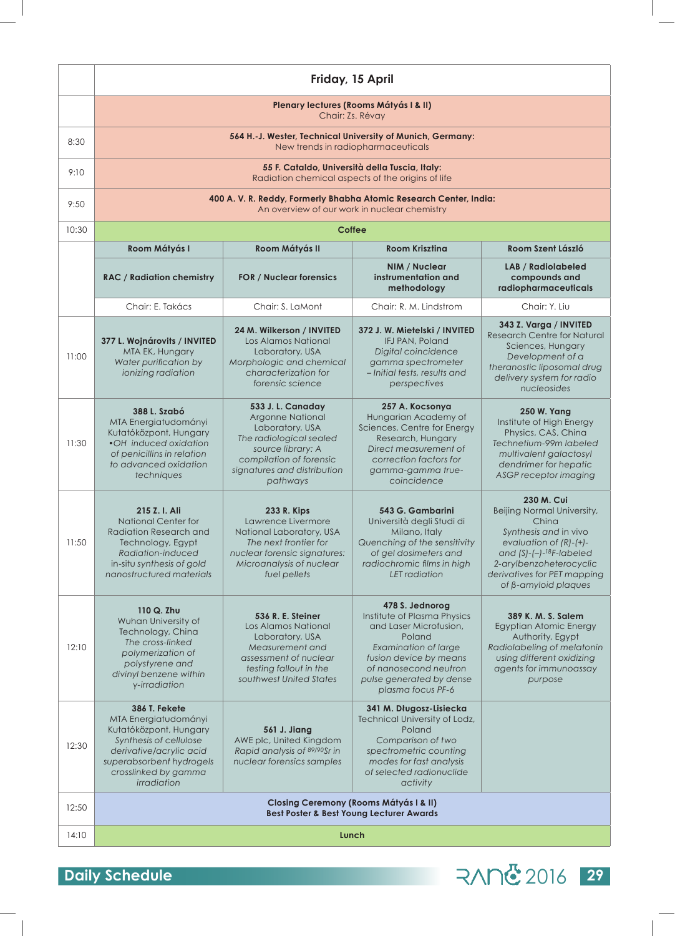|       | Friday, 15 April                                                                                                                                                                        |                                                                                                                                                                                       |                                                                                                                                                                                                                       |                                                                                                                                                                                                                                                 |
|-------|-----------------------------------------------------------------------------------------------------------------------------------------------------------------------------------------|---------------------------------------------------------------------------------------------------------------------------------------------------------------------------------------|-----------------------------------------------------------------------------------------------------------------------------------------------------------------------------------------------------------------------|-------------------------------------------------------------------------------------------------------------------------------------------------------------------------------------------------------------------------------------------------|
|       | Plenary lectures (Rooms Mátyás I & II)<br>Chair: Zs. Révay                                                                                                                              |                                                                                                                                                                                       |                                                                                                                                                                                                                       |                                                                                                                                                                                                                                                 |
| 8:30  | 564 H.-J. Wester, Technical University of Munich, Germany:<br>New trends in radiopharmaceuticals                                                                                        |                                                                                                                                                                                       |                                                                                                                                                                                                                       |                                                                                                                                                                                                                                                 |
| 9:10  |                                                                                                                                                                                         |                                                                                                                                                                                       | 55 F. Cataldo, Università della Tuscia, Italy:<br>Radiation chemical aspects of the origins of life                                                                                                                   |                                                                                                                                                                                                                                                 |
| 9:50  |                                                                                                                                                                                         | 400 A. V. R. Reddy, Formerly Bhabha Atomic Research Center, India:                                                                                                                    | An overview of our work in nuclear chemistry                                                                                                                                                                          |                                                                                                                                                                                                                                                 |
| 10:30 |                                                                                                                                                                                         |                                                                                                                                                                                       | <b>Coffee</b>                                                                                                                                                                                                         |                                                                                                                                                                                                                                                 |
|       | Room Mátyás I                                                                                                                                                                           | Room Mátyás II                                                                                                                                                                        | <b>Room Kriszting</b>                                                                                                                                                                                                 | Room Szent László                                                                                                                                                                                                                               |
|       | <b>RAC / Radiation chemistry</b>                                                                                                                                                        | <b>FOR / Nuclear forensics</b>                                                                                                                                                        | <b>NIM / Nuclear</b><br>instrumentation and<br>methodology                                                                                                                                                            | <b>LAB</b> / Radiolabeled<br>compounds and<br>radiopharmaceuticals                                                                                                                                                                              |
|       | Chair: E. Takács                                                                                                                                                                        | Chair: S. LaMont                                                                                                                                                                      | Chair: R. M. Lindstrom                                                                                                                                                                                                | Chair: Y. Liu                                                                                                                                                                                                                                   |
| 11:00 | 377 L. Wojnárovits / INVITED<br>MTA EK, Hungary<br>Water purification by<br>ionizing radiation                                                                                          | 24 M. Wilkerson / INVITED<br>Los Alamos National<br>Laboratory, USA<br>Morphologic and chemical<br>characterization for<br>forensic science                                           | 372 J. W. Mietelski / INVITED<br>IFJ PAN, Poland<br>Digital coincidence<br>gamma spectrometer<br>-Initial tests, results and<br>perspectives                                                                          | 343 Z. Varga / INVITED<br><b>Research Centre for Natural</b><br>Sciences, Hungary<br>Development of a<br>theranostic liposomal drug<br>delivery system for radio<br>nucleosides                                                                 |
| 11:30 | <b>388 L. Szabó</b><br>MTA Energiatudományi<br>Kutatóközpont, Hungary<br>•OH induced oxidation<br>of penicillins in relation<br>to advanced oxidation<br>techniques                     | 533 J. L. Canaday<br><b>Argonne National</b><br>Laboratory, USA<br>The radiological sealed<br>source library: A<br>compilation of forensic<br>signatures and distribution<br>pathways | 257 A. Kocsonya<br>Hungarian Academy of<br>Sciences, Centre for Energy<br>Research, Hungary<br>Direct measurement of<br>correction factors for<br>gamma-gamma true-<br>coincidence                                    | <b>250 W. Yang</b><br>Institute of High Energy<br>Physics, CAS, China<br>Technetium-99m labeled<br>multivalent galactosyl<br>dendrimer for hepatic<br>ASGP receptor imaging                                                                     |
| 11:50 | 215 Z. I. Ali<br><b>National Center for</b><br><b>Radiation Research and</b><br>Technology, Egypt<br>Radiation-induced<br>in-situ synthesis of gold<br>nanostructured materials         | 233 R. Kips<br>Lawrence Livermore<br>National Laboratory, USA<br>The next frontier for<br>nuclear forensic signatures:<br>Microanalysis of nuclear<br>fuel pellets                    | 543 G. Gambarini<br>Università degli Studi di<br>Milano, Italy<br>Quenching of the sensitivity<br>of gel dosimeters and<br>radiochromic films in high<br>LET radiation                                                | 230 M. Cui<br>Beijing Normal University,<br>China<br>Synthesis and in vivo<br>evaluation of $(R)-(+)$ -<br>and $(S)$ - $(-)$ - <sup>18</sup> F-labeled<br>2-arylbenzoheterocyclic<br>derivatives for PET mapping<br>of $\beta$ -amyloid plaques |
| 12:10 | 110 Q. Zhu<br>Wuhan University of<br>Technology, China<br>The cross-linked<br>polymerization of<br>polystyrene and<br>divinyl benzene within<br>y-irradiation                           | 536 R. E. Steiner<br>Los Alamos National<br>Laboratory, USA<br>Measurement and<br>assessment of nuclear<br>testing fallout in the<br>southwest United States                          | 478 S. Jednorog<br>Institute of Plasma Physics<br>and Laser Microfusion,<br>Poland<br><b>Examination of large</b><br>fusion device by means<br>of nanosecond neutron<br>pulse generated by dense<br>plasma focus PF-6 | 389 K. M. S. Salem<br>Egyptian Atomic Energy<br>Authority, Egypt<br>Radiolabeling of melatonin<br>using different oxidizing<br>agents for immunoassay<br>purpose                                                                                |
| 12:30 | 386 T. Fekete<br>MTA Energiatudományi<br>Kutatóközpont, Hungary<br>Synthesis of cellulose<br>derivative/acrylic acid<br>superabsorbent hydrogels<br>crosslinked by gamma<br>irradiation | 561 J. Jiang<br>AWE plc, United Kingdom<br>Rapid analysis of 89/90Sr in<br>nuclear forensics samples                                                                                  | 341 M. Długosz-Lisiecka<br>Technical University of Lodz,<br>Poland<br>Comparison of two<br>spectrometric counting<br>modes for fast analysis<br>of selected radionuclide<br>activity                                  |                                                                                                                                                                                                                                                 |
| 12:50 | <b>Closing Ceremony (Rooms Mátyás I &amp; II)</b><br><b>Best Poster &amp; Best Young Lecturer Awards</b>                                                                                |                                                                                                                                                                                       |                                                                                                                                                                                                                       |                                                                                                                                                                                                                                                 |
| 14:10 | Lunch                                                                                                                                                                                   |                                                                                                                                                                                       |                                                                                                                                                                                                                       |                                                                                                                                                                                                                                                 |

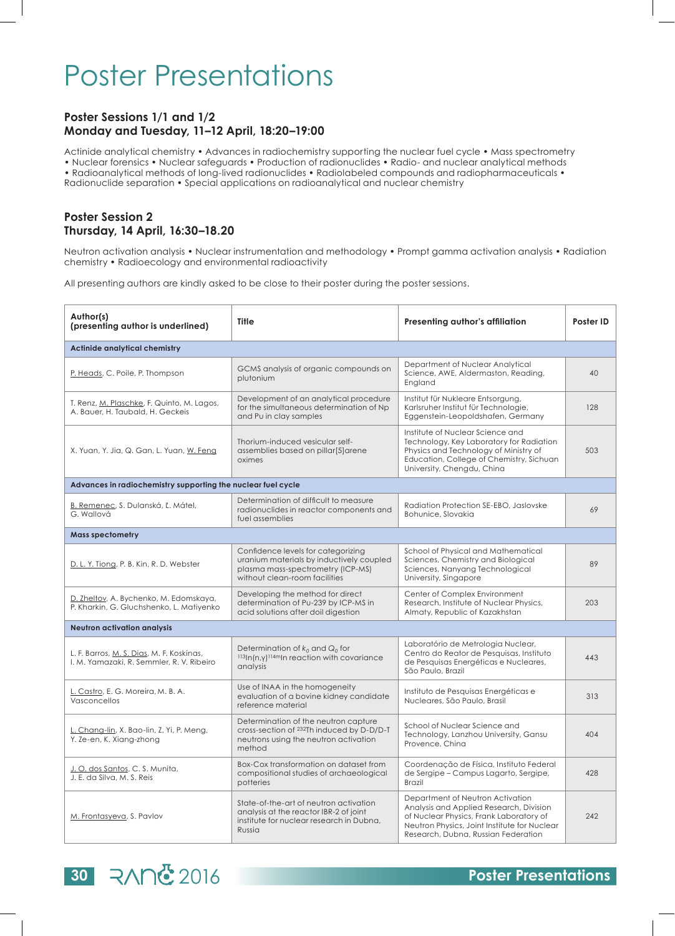## Poster Presentations

#### **Poster Sessions 1/1 and 1/2 Monday and Tuesday, 11–12 April, 18:20–19:00**

Actinide analytical chemistry • Advances in radiochemistry supporting the nuclear fuel cycle • Mass spectrometry • Nuclear forensics • Nuclear safeguards • Production of radionuclides • Radio- and nuclear analytical methods • Radioanalytical methods of long-lived radionuclides • Radiolabeled compounds and radiopharmaceuticals • Radionuclide separation • Special applications on radioanalytical and nuclear chemistry

#### **Poster Session 2 Thursday, 14 April, 16:30–18.20**

Neutron activation analysis • Nuclear instrumentation and methodology • Prompt gamma activation analysis • Radiation chemistry • Radioecology and environmental radioactivity

All presenting authors are kindly asked to be close to their poster during the poster sessions.

| Author(s)<br>(presenting author is underlined)                                         | <b>Title</b>                                                                                                                                         | Presenting author's affiliation                                                                                                                                                                               | Poster ID |
|----------------------------------------------------------------------------------------|------------------------------------------------------------------------------------------------------------------------------------------------------|---------------------------------------------------------------------------------------------------------------------------------------------------------------------------------------------------------------|-----------|
| Actinide analytical chemistry                                                          |                                                                                                                                                      |                                                                                                                                                                                                               |           |
| P. Heads, C. Poile, P. Thompson                                                        | GCMS analysis of organic compounds on<br>plutonium                                                                                                   | Department of Nuclear Analytical<br>Science, AWE, Aldermaston, Reading,<br>England                                                                                                                            | 40        |
| T. Renz, M. Plaschke, F. Quinto, M. Lagos,<br>A. Bauer, H. Taubald, H. Geckeis         | Development of an analytical procedure<br>for the simultaneous determination of Np<br>and Pu in clay samples                                         | Institut für Nukleare Entsorgung,<br>Karlsruher Institut für Technologie,<br>Eggenstein-Leopoldshafen, Germany                                                                                                | 128       |
| X. Yuan, Y. Jia, Q. Gan, L. Yuan, W. Feng                                              | Thorium-induced vesicular self-<br>assemblies based on pillar[5]arene<br>oximes                                                                      | Institute of Nuclear Science and<br>Technology, Key Laboratory for Radiation<br>Physics and Technology of Ministry of<br>Education, College of Chemistry, Sichuan<br>University, Chengdu, China               | 503       |
| Advances in radiochemistry supporting the nuclear fuel cycle                           |                                                                                                                                                      |                                                                                                                                                                                                               |           |
| B. Remenec, S. Dulanská, Ľ. Mátel,<br>G. Wallová                                       | Determination of difficult to measure<br>radionuclides in reactor components and<br>fuel assemblies                                                  | Radiation Protection SE-EBO, Jaslovske<br>Bohunice, Slovakia                                                                                                                                                  | 69        |
| <b>Mass spectometry</b>                                                                |                                                                                                                                                      |                                                                                                                                                                                                               |           |
| D. L. Y. Tiong, P. B. Kin, R. D. Webster                                               | Confidence levels for categorizing<br>uranium materials by inductively coupled<br>plasma mass-spectrometry (ICP-MS)<br>without clean-room facilities | School of Physical and Mathematical<br>Sciences, Chemistry and Biological<br>Sciences, Nanyang Technological<br>University, Singapore                                                                         | 89        |
| D. Zheltov, A. Bychenko, M. Edomskaya,<br>P. Kharkin, G. Gluchshenko, L. Matiyenko     | Developing the method for direct<br>determination of Pu-239 by ICP-MS in<br>acid solutions after doil digestion                                      | Center of Complex Environment<br>Research, Institute of Nuclear Physics,<br>Almaty, Republic of Kazakhstan                                                                                                    | 203       |
| <b>Neutron activation analysis</b>                                                     |                                                                                                                                                      |                                                                                                                                                                                                               |           |
| L. F. Barros, M. S. Dias, M. F. Koskinas,<br>I. M. Yamazaki, R. Semmler, R. V. Ribeiro | Determination of $k_0$ and $Q_0$ for<br>$113$ In(n,y) $114$ <sup>m</sup> In reaction with covariance<br>analysis                                     | Laboratório de Metrologia Nuclear,<br>Centro do Reator de Pesquisas, Instituto<br>de Pesquisas Energéticas e Nucleares,<br>São Paulo, Brazil                                                                  | 443       |
| L. Castro, E. G. Moreira, M. B. A.<br>Vasconcellos                                     | Use of INAA in the homogeneity<br>evaluation of a bovine kidney candidate<br>reference material                                                      | Instituto de Pesquisas Energéticas e<br>Nucleares, São Paulo, Brasil                                                                                                                                          | 313       |
| L. Chang-lin, X. Bao-lin, Z. Yi, P. Meng,<br>Y. Ze-en, K. Xiang-zhong                  | Determination of the neutron capture<br>cross-section of <sup>232</sup> Th induced by D-D/D-T<br>neutrons using the neutron activation<br>method     | School of Nuclear Science and<br>Technology, Lanzhou University, Gansu<br>Provence, China                                                                                                                     | 404       |
| J. O. dos Santos, C. S. Munita,<br>J. E. da Silva, M. S. Reis                          | Box-Cox transformation on dataset from<br>compositional studies of archaeological<br>potteries                                                       | Coordenação de Física, Instituto Federal<br>de Sergipe – Campus Lagarto, Sergipe,<br><b>Brazil</b>                                                                                                            | 428       |
| M. Frontasyeva, S. Pavlov                                                              | State-of-the-art of neutron activation<br>analysis at the reactor IBR-2 of joint<br>institute for nuclear research in Dubna,<br>Russia               | Department of Neutron Activation<br>Analysis and Applied Research, Division<br>of Nuclear Physics, Frank Laboratory of<br>Neutron Physics, Joint Institute for Nuclear<br>Research, Dubna, Russian Federation | 242       |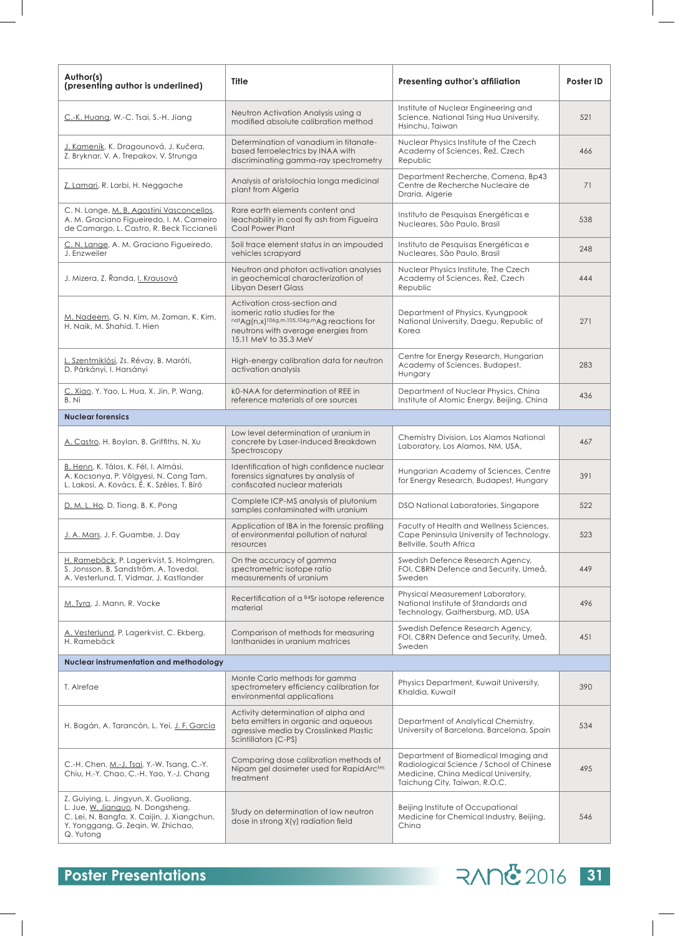| Author(s)<br>(presenting author is underlined)                                                                                                                              | Title                                                                                                                                                                         | Presenting author's affiliation                                                                                                                          | Poster ID |
|-----------------------------------------------------------------------------------------------------------------------------------------------------------------------------|-------------------------------------------------------------------------------------------------------------------------------------------------------------------------------|----------------------------------------------------------------------------------------------------------------------------------------------------------|-----------|
| C.-K. Huang, W.-C. Tsai, S.-H. Jiang                                                                                                                                        | Neutron Activation Analysis using a<br>modified absolute calibration method                                                                                                   | Institute of Nuclear Engineering and<br>Science, National Tsing Hua University,<br>Hsinchu, Taiwan                                                       | 521       |
| J. Kameník, K. Dragounová, J. Kučera,<br>Z. Bryknar, V. A. Trepakov, V. Strunga                                                                                             | Determination of vanadium in titanate-<br>based ferroelectrics by INAA with<br>discriminating gamma-ray spectrometry                                                          | Nuclear Physics Institute of the Czech<br>Academy of Sciences, Rež, Czech<br>Republic                                                                    | 466       |
| Z. Lamari, R. Larbi, H. Neggache                                                                                                                                            | Analysis of aristolochia longa medicinal<br>plant from Algeria                                                                                                                | Department Recherche, Comena, Bp43<br>Centre de Recherche Nucleaire de<br>Draria, Algerie                                                                | 71        |
| C. N. Lange, M. B. Agostini Vasconcellos,<br>A. M. Graciano Figueiredo, I. M. Carneiro<br>de Camargo, L. Castro, R. Beck Ticcianeli                                         | Rare earth elements content and<br>leachability in coal fly ash from Figueira<br>Coal Power Plant                                                                             | Instituto de Pesquisas Energéticas e<br>Nucleares, São Paulo, Brasil                                                                                     | 538       |
| C. N. Lange, A. M. Graciano Figueiredo,<br>J. Enzweiler                                                                                                                     | Soil trace element status in an impouded<br>vehicles scrapyard                                                                                                                | Instituto de Pesquisas Energéticas e<br>Nucleares, São Paulo, Brasil                                                                                     | 248       |
| J. Mizera, Z. Řanda, I. Krausová                                                                                                                                            | Neutron and photon activation analyses<br>in geochemical characterization of<br><b>Libyan Desert Glass</b>                                                                    | Nuclear Physics Institute, The Czech<br>Academy of Sciences, Řež, Czech<br>Republic                                                                      | 444       |
| M. Nadeem, G. N. Kim, M. Zaman, K. Kim,<br>H. Naik, M. Shahid, T. Hien                                                                                                      | Activation cross-section and<br>isomeric ratio studies for the<br>natAg(n,x)106g,m,105,104g,mAg reactions for<br>neutrons with average energies from<br>15.11 MeV to 35.3 MeV | Department of Physics, Kyungpook<br>National University, Daegu, Republic of<br>Korea                                                                     | 271       |
| L. Szentmiklósi, Zs. Révay, B. Maróti,<br>D. Párkányi, I. Harsányi                                                                                                          | High-energy calibration data for neutron<br>activation analysis                                                                                                               | Centre for Energy Research, Hungarian<br>Academy of Sciences, Budapest,<br>Hungary                                                                       | 283       |
| C. Xiao, Y. Yao, L. Hua, X. Jin, P. Wang,<br>B. Ni                                                                                                                          | k0-NAA for determination of REE in<br>reference materials of ore sources                                                                                                      | Department of Nuclear Physics, China<br>Institute of Atomic Energy, Beijing, China                                                                       | 436       |
| <b>Nuclear forensics</b>                                                                                                                                                    |                                                                                                                                                                               |                                                                                                                                                          |           |
| A. Castro, H. Boylan, B. Griffiths, N. Xu                                                                                                                                   | Low level determination of uranium in<br>concrete by Laser-Induced Breakdown<br>Spectroscopy                                                                                  | Chemistry Division, Los Alamos National<br>Laboratory, Los Alamos, NM, USA,                                                                              | 467       |
| B. Henn, K. Tálos, K. Fél, I. Almási,<br>A. Kocsonya, P. Völgyesi, N. Cong Tam,<br>L. Lakosi, A. Kovács, É. K. Széles, T. Bíró                                              | Identification of high confidence nuclear<br>forensics signatures by analysis of<br>confiscated nuclear materials                                                             | Hungarian Academy of Sciences, Centre<br>for Energy Research, Budapest, Hungary                                                                          | 391       |
| D. M. L. Ho, D. Tiong, B. K. Pong                                                                                                                                           | Complete ICP-MS analysis of plutonium<br>samples contaminated with uranium                                                                                                    | DSO National Laboratories, Singapore                                                                                                                     | 522       |
| J. A. Mars, J. F. Guambe, J. Day                                                                                                                                            | Application of IBA in the forensic profiling<br>of environmental pollution of natural<br>resources                                                                            | Faculty of Health and Wellness Sciences,<br>Cape Peninsula University of Technology,<br>Bellville, South Africa                                          | 523       |
| H. Ramebäck, P. Lagerkvist, S. Holmgren,<br>S. Jonsson, B. Sandström, A. Tovedal,<br>A. Vesterlund, T. Vidmar, J. Kastlander                                                | On the accuracy of gamma<br>spectrometric isotope ratio<br>measurements of uranium                                                                                            | Swedish Defence Research Agency,<br>FOI, CBRN Defence and Security, Umeå.<br>Sweden                                                                      | 449       |
| M. Tyra, J. Mann, R. Vocke                                                                                                                                                  | Recertification of a 84Sr isotope reference<br>material                                                                                                                       | Physical Measurement Laboratory,<br>National Institute of Standards and<br>Technology, Gaithersburg, MD, USA                                             | 496       |
| A. Vesterlund, P. Lagerkvist, C. Ekberg,<br>H. Ramebäck                                                                                                                     | Comparison of methods for measuring<br>lanthanides in uranium matrices                                                                                                        | Swedish Defence Research Agency,<br>FOI, CBRN Defence and Security, Umeå,<br>Sweden                                                                      | 451       |
| Nuclear instrumentation and methodology                                                                                                                                     |                                                                                                                                                                               |                                                                                                                                                          |           |
| T. Alrefae                                                                                                                                                                  | Monte Carlo methods for gamma<br>spectrometery efficiency calibration for<br>environmental applications                                                                       | Physics Department, Kuwait University,<br>Khaldia, Kuwait                                                                                                | 390       |
| H. Bagán, A. Tarancón, L. Yei, J. F. García                                                                                                                                 | Activity determination of alpha and<br>beta emitters in organic and aqueous<br>agressive media by Crosslinked Plastic<br>Scintillators (C-PS)                                 | Department of Analytical Chemistry,<br>University of Barcelona, Barcelona, Spain                                                                         | 534       |
| C.-H. Chen, M.-J. Tsai, Y.-W. Tsang, C.-Y.<br>Chiu, H.-Y. Chao, C.-H. Yao, Y.-J. Chang                                                                                      | Comparing dose calibration methods of<br>Nipam gel dosimeter used for RapidArc <sup>tm</sup><br>treatment                                                                     | Department of Biomedical Imaging and<br>Radiological Science / School of Chinese<br>Medicine, China Medical University,<br>Taichung City, Taiwan, R.O.C. | 495       |
| Z. Guiying, L. Jingyun, X. Guoliang,<br>L. Jue, W. Jianguo, N. Dongsheng,<br>C. Lei, N. Bangfa, X. Caijin, J. Xiangchun,<br>Y. Yonggang, G. Zeqin, W. Zhichao,<br>Q. Yutong | Study on determination of low neutron<br>dose in strong X(y) radiation field                                                                                                  | Beijing Institute of Occupational<br>Medicine for Chemical Industry, Beijing,<br>China                                                                   | 546       |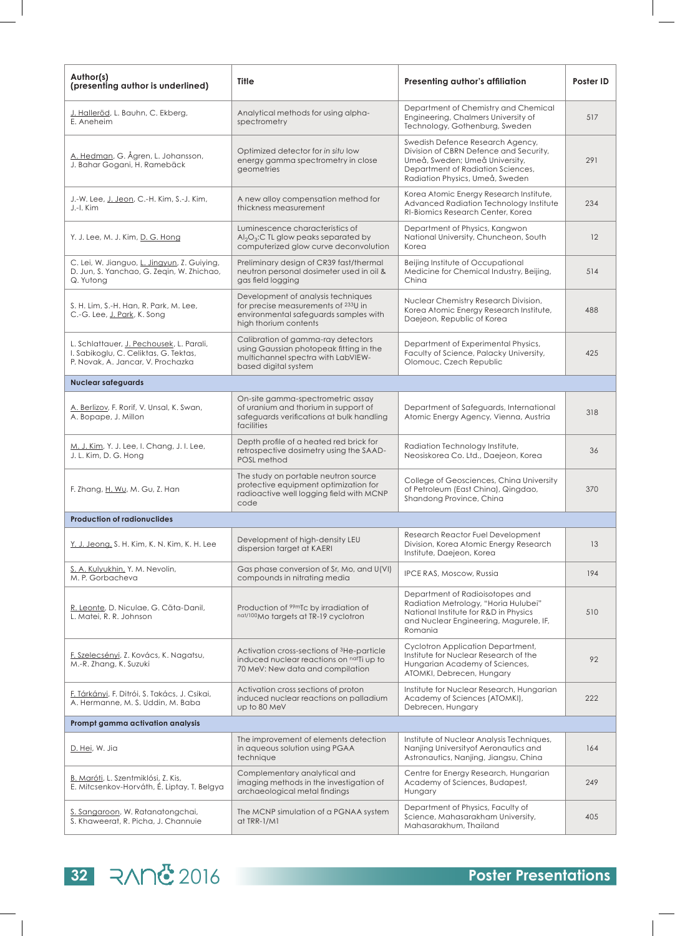| Author(s)<br>(presenting author is underlined)                                                                         | Title                                                                                                                                       | Presenting author's affiliation                                                                                                                                                      | Poster ID |
|------------------------------------------------------------------------------------------------------------------------|---------------------------------------------------------------------------------------------------------------------------------------------|--------------------------------------------------------------------------------------------------------------------------------------------------------------------------------------|-----------|
| <u>J. Halleröd</u> , L. Bauhn, C. Ekberg,<br>E. Aneheim                                                                | Analytical methods for using alpha-<br>spectrometry                                                                                         | Department of Chemistry and Chemical<br>Engineering, Chalmers University of<br>Technology, Gothenburg, Sweden                                                                        | 517       |
| A. Hedman, G. Ågren, L. Johansson,<br>J. Bahar Gogani, H. Ramebäck                                                     | Optimized detector for in situ low<br>energy gamma spectrometry in close<br>geometries                                                      | Swedish Defence Research Agency,<br>Division of CBRN Defence and Security,<br>Umeå, Sweden; Umeå University,<br>Department of Radiation Sciences,<br>Radiation Physics, Umeå, Sweden | 291       |
| J.-W. Lee, J. Jeon, C.-H. Kim, S.-J. Kim,<br>J.-I. Kim                                                                 | A new alloy compensation method for<br>thickness measurement                                                                                | Korea Atomic Energy Research Institute,<br>Advanced Radiation Technology Institute<br>RI-Biomics Research Center, Korea                                                              | 234       |
| Y. J. Lee, M. J. Kim, D. G. Hong                                                                                       | Luminescence characteristics of<br>$Al_2O_3$ :C TL glow peaks separated by<br>computerized glow curve deconvolution                         | Department of Physics, Kangwon<br>National University, Chuncheon, South<br>Korea                                                                                                     | 12        |
| C. Lei, W. Jianguo, L. Jingyun, Z. Guiying,<br>D. Jun, S. Yanchao, G. Zeqin, W. Zhichao,<br>Q. Yutong                  | Preliminary design of CR39 fast/thermal<br>neutron personal dosimeter used in oil &<br>gas field logging                                    | Beijing Institute of Occupational<br>Medicine for Chemical Industry, Beijing,<br>China                                                                                               | 514       |
| S. H. Lim, S.-H. Han, R. Park, M. Lee,<br>C.-G. Lee, J. Park, K. Song                                                  | Development of analysis techniques<br>for precise measurements of 233U in<br>environmental safeguards samples with<br>high thorium contents | Nuclear Chemistry Research Division,<br>Korea Atomic Energy Research Institute,<br>Daejeon, Republic of Korea                                                                        | 488       |
| L. Schlattauer, J. Pechousek, L. Parali,<br>I. Sabikoglu, C. Celiktas, G. Tektas,<br>P. Novak, A. Jancar, V. Prochazka | Calibration of gamma-ray detectors<br>using Gaussian photopeak fitting in the<br>multichannel spectra with LabVIEW-<br>based digital system | Department of Experimental Physics,<br>Faculty of Science, Palacky University,<br>Olomouc, Czech Republic                                                                            | 425       |
| <b>Nuclear safeguards</b>                                                                                              |                                                                                                                                             |                                                                                                                                                                                      |           |
| A. Berlizov, F. Rorif, V. Unsal, K. Swan,<br>A. Bopape, J. Millon                                                      | On-site gamma-spectrometric assay<br>of uranium and thorium in support of<br>safeguards verifications at bulk handling<br>facilities        | Department of Safeguards, International<br>Atomic Energy Agency, Vienna, Austria                                                                                                     | 318       |
| M. J. Kim, Y. J. Lee, I. Chang, J. I. Lee,<br>J. L. Kim, D. G. Hong                                                    | Depth profile of a heated red brick for<br>retrospective dosimetry using the SAAD-<br>POSL method                                           | Radiation Technology Institute,<br>Neosiskorea Co. Ltd., Daejeon, Korea                                                                                                              | 36        |
| F. Zhang, H. Wu, M. Gu, Z. Han                                                                                         | The study on portable neutron source<br>protective equipment optimization for<br>radioactive well logging field with MCNP<br>code           | College of Geosciences, China University<br>of Petroleum (East China), Qingdao,<br>Shandong Province, China                                                                          | 370       |
| <b>Production of radionuclides</b>                                                                                     |                                                                                                                                             |                                                                                                                                                                                      |           |
| Y. J. Jeong, S. H. Kim, K. N. Kim, K. H. Lee                                                                           | Development of high-density LEU<br>dispersion target at KAERI                                                                               | Research Reactor Fuel Development<br>Division, Korea Atomic Energy Research<br>Institute, Daejeon, Korea                                                                             | 13        |
| S. A. Kulyukhin, Y. M. Nevolin,<br>M. P. Gorbacheva                                                                    | Gas phase conversion of Sr, Mo, and U(VI)<br>compounds in nitrating media                                                                   | <b>IPCE RAS, Moscow, Russia</b>                                                                                                                                                      | 194       |
| R. Leonte, D. Niculae, G. Căta-Danil,<br>L. Matei, R. R. Johnson                                                       | Production of <sup>99m</sup> Ic by irradiation of<br>nat/100Mo targets at TR-19 cyclotron                                                   | Department of Radioisotopes and<br>Radiation Metrology, "Horia Hulubei"<br>National Institute for R&D in Physics<br>and Nuclear Engineering, Magurele, IF,<br>Romania                | 510       |
| <u>F. Szelecsényi,</u> Z. Kovács, K. Nagatsu,<br>M.-R. Zhang, K. Suzuki                                                | Activation cross-sections of 3He-particle<br>induced nuclear reactions on natTi up to<br>70 MeV: New data and compilation                   | Cyclotron Application Department,<br>Institute for Nuclear Research of the<br>Hungarian Academy of Sciences,<br>ATOMKI, Debrecen, Hungary                                            | 92        |
| F. Tárkányi, F. Ditrói, S. Takács, J. Csikai,<br>A. Hermanne, M. S. Uddin, M. Baba                                     | Activation cross sections of proton<br>induced nuclear reactions on palladium<br>up to 80 MeV                                               | Institute for Nuclear Research, Hungarian<br>Academy of Sciences (ATOMKI),<br>Debrecen, Hungary                                                                                      | 222       |
| Prompt gamma activation analysis                                                                                       |                                                                                                                                             |                                                                                                                                                                                      |           |
| D. Hei, W. Jia                                                                                                         | The improvement of elements detection<br>in aqueous solution using PGAA<br>technique                                                        | Institute of Nuclear Analysis Techniques,<br>Nanjing University of Aeronautics and<br>Astronautics, Nanjing, Jiangsu, China                                                          | 164       |
| B. Maróti, L. Szentmiklósi, Z. Kis,<br>E. Mitcsenkov-Horváth, É. Liptay, T. Belgya                                     | Complementary analytical and<br>imaging methods in the investigation of<br>archaeological metal findings                                    | Centre for Energy Research, Hungarian<br>Academy of Sciences, Budapest,<br>Hungary                                                                                                   | 249       |
| S. Sangaroon, W. Ratanatongchai,<br>S. Khaweerat, R. Picha, J. Channuie                                                | The MCNP simulation of a PGNAA system<br>at TRR-1/M1                                                                                        | Department of Physics, Faculty of<br>Science, Mahasarakham University,<br>Mahasarakhum, Thailand                                                                                     | 405       |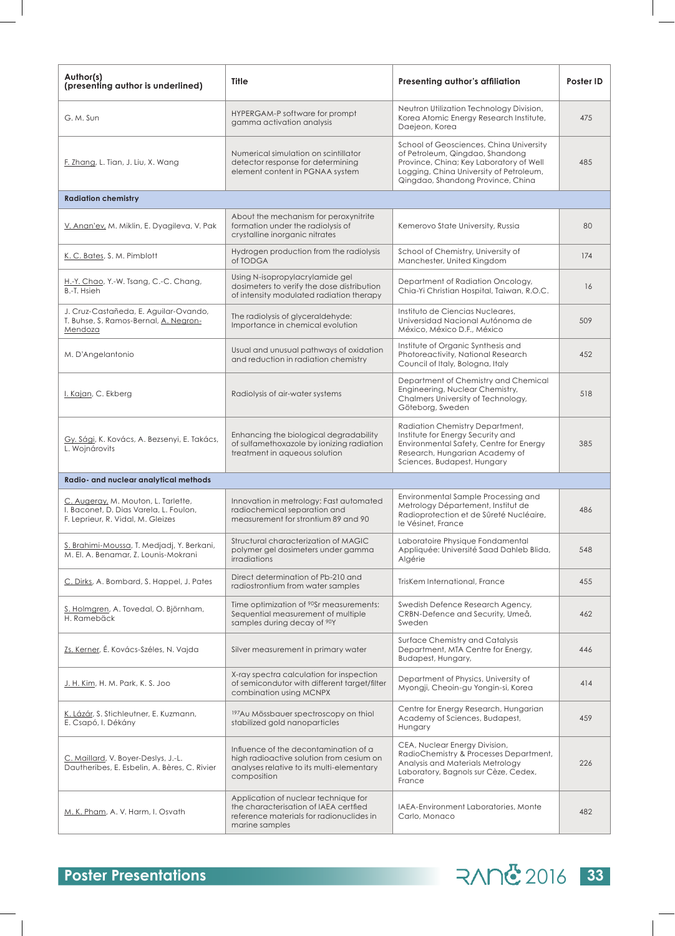| Author(s)<br>(presenting author is underlined)                                                                     | <b>Title</b>                                                                                                                                  | Presenting author's affiliation                                                                                                                                                                       | Poster ID |
|--------------------------------------------------------------------------------------------------------------------|-----------------------------------------------------------------------------------------------------------------------------------------------|-------------------------------------------------------------------------------------------------------------------------------------------------------------------------------------------------------|-----------|
| G. M. Sun                                                                                                          | HYPERGAM-P software for prompt<br>gamma activation analysis                                                                                   | Neutron Utilization Technology Division,<br>Korea Atomic Energy Research Institute,<br>Daejeon, Korea                                                                                                 | 475       |
| <u>F. Zhang</u> , L. Tian, J. Liu, X. Wang                                                                         | Numerical simulation on scintillator<br>detector response for determining<br>element content in PGNAA system                                  | School of Geosciences, China University<br>of Petroleum, Qingdao, Shandong<br>Province, China; Key Laboratory of Well<br>Logging, China University of Petroleum,<br>Qingdao, Shandong Province, China | 485       |
| <b>Radiation chemistry</b>                                                                                         |                                                                                                                                               |                                                                                                                                                                                                       |           |
| <u>V. Anan'ev,</u> M. Miklin, E. Dyagileva, V. Pak                                                                 | About the mechanism for peroxynitrite<br>formation under the radiolysis of<br>crystalline inorganic nitrates                                  | Kemerovo State University, Russia                                                                                                                                                                     | 80        |
| K. C. Bates, S. M. Pimblott                                                                                        | Hydrogen production from the radiolysis<br>of TODGA                                                                                           | School of Chemistry, University of<br>Manchester, United Kingdom                                                                                                                                      | 174       |
| H.-Y. Chao, Y.-W. Tsang, C.-C. Chang,<br>B.-T. Hsieh                                                               | Using N-isopropylacrylamide gel<br>dosimeters to verify the dose distribution<br>of intensity modulated radiation therapy                     | Department of Radiation Oncology,<br>Chia-Yi Christian Hospital, Taiwan, R.O.C.                                                                                                                       | 16        |
| J. Cruz-Castañeda, E. Aguilar-Ovando,<br>T. Buhse, S. Ramos-Bernal, A. Negron-<br>Mendoza                          | The radiolysis of glyceraldehyde:<br>Importance in chemical evolution                                                                         | Instituto de Ciencias Nucleares.<br>Universidad Nacional Autónoma de<br>México, México D.F., México                                                                                                   | 509       |
| M. D'Angelantonio                                                                                                  | Usual and unusual pathways of oxidation<br>and reduction in radiation chemistry                                                               | Institute of Organic Synthesis and<br>Photoreactivity, National Research<br>Council of Italy, Bologna, Italy                                                                                          | 452       |
| I. Kajan, C. Ekberg                                                                                                | Radiolysis of air-water systems                                                                                                               | Department of Chemistry and Chemical<br>Engineering, Nuclear Chemistry,<br>Chalmers University of Technology,<br>Göteborg, Sweden                                                                     | 518       |
| <u>Gy. Sági,</u> K. Kovács, A. Bezsenyi, E. Takács,<br>L. Wojnárovits                                              | Enhancing the biological degradability<br>of sulfamethoxazole by ionizing radiation<br>treatment in aqueous solution                          | Radiation Chemistry Department,<br>Institute for Energy Security and<br>Environmental Safety, Centre for Energy<br>Research, Hungarian Academy of<br>Sciences, Budapest, Hungary                      | 385       |
| Radio- and nuclear analytical methods                                                                              |                                                                                                                                               |                                                                                                                                                                                                       |           |
| C. Augeray, M. Mouton, L. Tarlette,<br>I. Baconet, D. Dias Varela, L. Foulon,<br>F. Leprieur, R. Vidal, M. Gleizes | Innovation in metrology: Fast automated<br>radiochemical separation and<br>measurement for strontium 89 and 90                                | Environmental Sample Processing and<br>Metrology Département, Institut de<br>Radioprotection et de Sûreté Nucléaire,<br>le Vésinet, France                                                            | 486       |
| S. Brahimi-Moussa, T. Medjadj, Y. Berkani,<br>M. El. A. Benamar, Z. Lounis-Mokrani                                 | Structural characterization of MAGIC<br>polymer gel dosimeters under gamma<br><i>irradiations</i>                                             | Laboratoire Physique Fondamental<br>Appliquée: Université Saad Dahleb Blida,<br>Algérie                                                                                                               | 548       |
| C. Dirks, A. Bombard, S. Happel, J. Pates                                                                          | Direct determination of Pb-210 and<br>radiostrontium from water samples                                                                       | TrisKem International, France                                                                                                                                                                         | 455       |
| <u>S. Holmgren</u> , A. Tovedal, O. Björnham,<br>H. Ramebäck                                                       | Time optimization of <sup>90</sup> Sr measurements:<br>Sequential measurement of multiple<br>samples during decay of <sup>90</sup> Y          | Swedish Defence Research Agency,<br>CRBN-Defence and Security, Umeå,<br>Sweden                                                                                                                        | 462       |
| <u>Zs. Kerner,</u> É. Kovács-Széles, N. Vajda                                                                      | Silver measurement in primary water                                                                                                           | Surface Chemistry and Catalysis<br>Department, MTA Centre for Energy,<br>Budapest, Hungary,                                                                                                           | 446       |
| <u> J. H. Kim,</u> H. M. Park, K. S. Joo                                                                           | X-ray spectra calculation for inspection<br>of semicondutor with different target/filter<br>combination using MCNPX                           | Department of Physics, University of<br>Myongji, Cheoin-gu Yongin-si, Korea                                                                                                                           | 414       |
| K. Lázár, S. Stichleutner, E. Kuzmann,<br>E. Csapó, I. Dékány                                                      | <sup>197</sup> Au Mössbauer spectroscopy on thiol<br>stabilized gold nanoparticles                                                            | Centre for Energy Research, Hungarian<br>Academy of Sciences, Budapest,<br>Hungary                                                                                                                    | 459       |
| C. Maillard, V. Boyer-Deslys, J.-L.<br>Dautheribes, E. Esbelin, A. Bères, C. Rivier                                | Influence of the decontamination of a<br>high radioactive solution from cesium on<br>analyses relative to its multi-elementary<br>composition | CEA, Nuclear Energy Division,<br>RadioChemistry & Processes Department,<br>Analysis and Materials Metrology<br>Laboratory, Bagnols sur Cèze, Cedex,<br>France                                         | 226       |
| M. K. Pham, A. V. Harm, I. Osvath                                                                                  | Application of nuclear technique for<br>the characterisation of IAEA certfied<br>reference materials for radionuclides in<br>marine samples   | IAEA-Environment Laboratories, Monte<br>Carlo, Monaco                                                                                                                                                 | 482       |

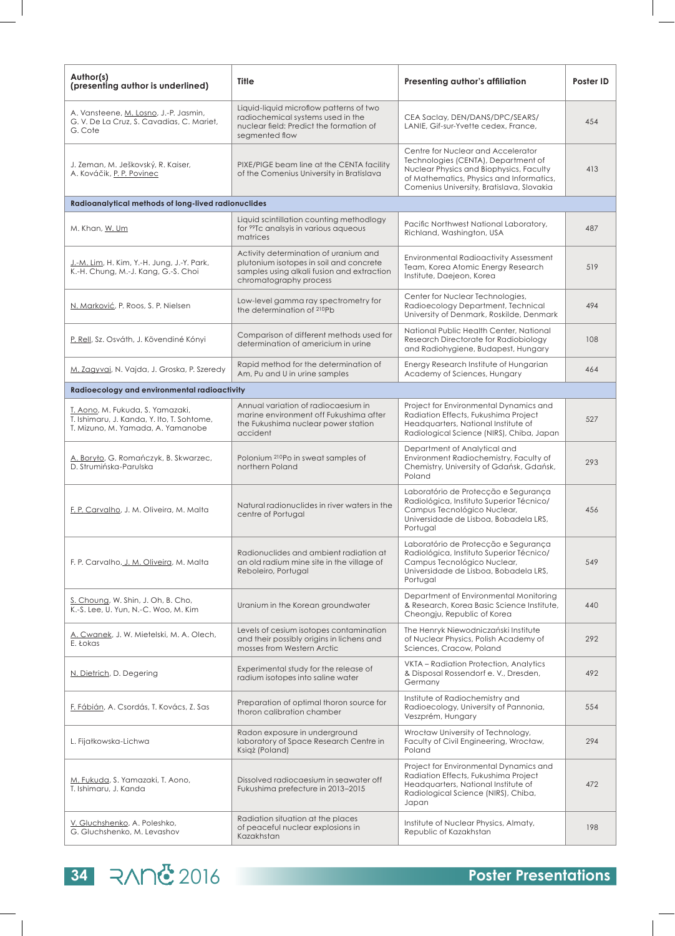| Author(s)<br>(presenting author is underlined)                                                                      | Title                                                                                                                                                    | Presenting author's affiliation                                                                                                                                                                               | Poster ID |
|---------------------------------------------------------------------------------------------------------------------|----------------------------------------------------------------------------------------------------------------------------------------------------------|---------------------------------------------------------------------------------------------------------------------------------------------------------------------------------------------------------------|-----------|
| A. Vansteene, M. Losno, J.-P. Jasmin,<br>G. V. De La Cruz, S. Cavadias, C. Mariet,<br>G. Cote                       | Liquid-liquid microflow patterns of two<br>radiochemical systems used in the<br>nuclear field: Predict the formation of<br>seamented flow                | CEA Saclay, DEN/DANS/DPC/SEARS/<br>LANIE, Gif-sur-Yvette cedex, France,                                                                                                                                       | 454       |
| J. Zeman, M. Ješkovský, R. Kaiser,<br>A. Kováčik, P. P. Povinec                                                     | PIXE/PIGE beam line at the CENTA facility<br>of the Comenius University in Bratislava                                                                    | Centre for Nuclear and Accelerator<br>Technologies (CENTA), Department of<br>Nuclear Physics and Biophysics, Faculty<br>of Mathematics, Physics and Informatics,<br>Comenius University, Bratislava, Slovakia | 413       |
| Radioanalytical methods of long-lived radionuclides                                                                 |                                                                                                                                                          |                                                                                                                                                                                                               |           |
| M. Khan, W. Um                                                                                                      | Liquid scintillation counting methodlogy<br>for <sup>99</sup> Tc analsyis in various aqueous<br>matrices                                                 | Pacific Northwest National Laboratory,<br>Richland, Washington, USA                                                                                                                                           | 487       |
| J.-M. Lim, H. Kim, Y.-H. Jung, J.-Y. Park,<br>K.-H. Chung, M.-J. Kang, G.-S. Choi                                   | Activity determination of uranium and<br>plutonium isotopes in soil and concrete<br>samples using alkali fusion and extraction<br>chromatography process | <b>Environmental Radioactivity Assessment</b><br>Team, Korea Atomic Energy Research<br>Institute, Daejeon, Korea                                                                                              | 519       |
| N. Marković, P. Roos, S. P. Nielsen                                                                                 | Low-level gamma ray spectrometry for<br>the determination of 210Pb                                                                                       | Center for Nuclear Technologies,<br>Radioecology Department, Technical<br>University of Denmark, Roskilde, Denmark                                                                                            | 494       |
| P. Rell, Sz. Osváth, J. Kövendiné Kónyi                                                                             | Comparison of different methods used for<br>determination of americium in urine                                                                          | National Public Health Center, National<br>Research Directorate for Radiobioloav<br>and Radiohygiene, Budapest, Hungary                                                                                       | 108       |
| M. Zagyvai, N. Vajda, J. Groska, P. Szeredy                                                                         | Rapid method for the determination of<br>Am, Pu and U in urine samples                                                                                   | Energy Research Institute of Hungarian<br>Academy of Sciences, Hungary                                                                                                                                        | 464       |
| Radioecology and environmental radioactivity                                                                        |                                                                                                                                                          |                                                                                                                                                                                                               |           |
| T. Aono, M. Fukuda, S. Yamazaki,<br>T. Ishimaru, J. Kanda, Y. Ito, T. Sohtome,<br>T. Mizuno, M. Yamada, A. Yamanobe | Annual variation of radiocaesium in<br>marine environment off Fukushima after<br>the Fukushima nuclear power station<br>accident                         | Project for Environmental Dynamics and<br>Radiation Effects, Fukushima Project<br>Headquarters, National Institute of<br>Radiological Science (NIRS), Chiba, Japan                                            | 527       |
| A. Boryło, G. Romańczyk, B. Skwarzec,<br>D. Strumińska-Parulska                                                     | Polonium 210Po in sweat samples of<br>northern Poland                                                                                                    | Department of Analytical and<br>Environment Radiochemistry, Faculty of<br>Chemistry, University of Gdańsk, Gdańsk,<br>Poland                                                                                  | 293       |
| F. P. Carvalho, J. M. Oliveira, M. Malta                                                                            | Natural radionuclides in river waters in the<br>centre of Portugal                                                                                       | Laboratório de Protecção e Segurança<br>Radiológica, Instituto Superior Técnico/<br>Campus Tecnológico Nuclear,<br>Universidade de Lisboa, Bobadela LRS,<br>Portugal                                          | 456       |
| F. P. Carvalho, J. M. Oliveira, M. Malta                                                                            | Radionuclides and ambient radiation at<br>an old radium mine site in the village of<br>Reboleiro, Portugal                                               | Laboratório de Protecção e Segurança<br>Radiológica, Instituto Superior Técnico/<br>Campus Tecnológico Nuclear,<br>Universidade de Lisboa, Bobadela LRS,<br>Portugal                                          | 549       |
| S. Choung, W. Shin, J. Oh, B. Cho,<br>K.-S. Lee, U. Yun, N.-C. Woo, M. Kim                                          | Uranium in the Korean groundwater                                                                                                                        | Department of Environmental Monitoring<br>& Research, Korea Basic Science Institute,<br>Cheongju, Republic of Korea                                                                                           | 440       |
| A. Cwanek, J. W. Mietelski, M. A. Olech,<br>E. Łokas                                                                | Levels of cesium isotopes contamination<br>and their possibly origins in lichens and<br>mosses from Western Arctic                                       | The Henryk Niewodniczański Institute<br>of Nuclear Physics, Polish Academy of<br>Sciences, Cracow, Poland                                                                                                     | 292       |
| N. Dietrich, D. Degering                                                                                            | Experimental study for the release of<br>radium isotopes into saline water                                                                               | VKTA - Radiation Protection, Analytics<br>& Disposal Rossendorf e. V., Dresden,<br>Germany                                                                                                                    | 492       |
| F. Fábián, A. Csordás, T. Kovács, Z. Sas                                                                            | Preparation of optimal thoron source for<br>thoron calibration chamber                                                                                   | Institute of Radiochemistry and<br>Radioecology, University of Pannonia,<br>Veszprém, Hungary                                                                                                                 | 554       |
| L. Fijałkowska-Lichwa                                                                                               | Radon exposure in underground<br>laboratory of Space Research Centre in<br>Ksigż (Poland)                                                                | Wrocław University of Technology,<br>Faculty of Civil Engineering, Wrocław,<br>Poland                                                                                                                         | 294       |
| M. Fukuda, S. Yamazaki, T. Aono,<br>T. Ishimaru, J. Kanda                                                           | Dissolved radiocaesium in seawater off<br>Fukushima prefecture in 2013-2015                                                                              | Project for Environmental Dynamics and<br>Radiation Effects, Fukushima Project<br>Headquarters, National Institute of<br>Radiological Science (NIRS), Chiba,<br>Japan                                         | 472       |
| V. Gluchshenko, A. Poleshko,<br>G. Gluchshenko, M. Levashov                                                         | Radiation situation at the places<br>of peaceful nuclear explosions in<br>Kazakhstan                                                                     | Institute of Nuclear Physics, Almaty,<br>Republic of Kazakhstan                                                                                                                                               | 198       |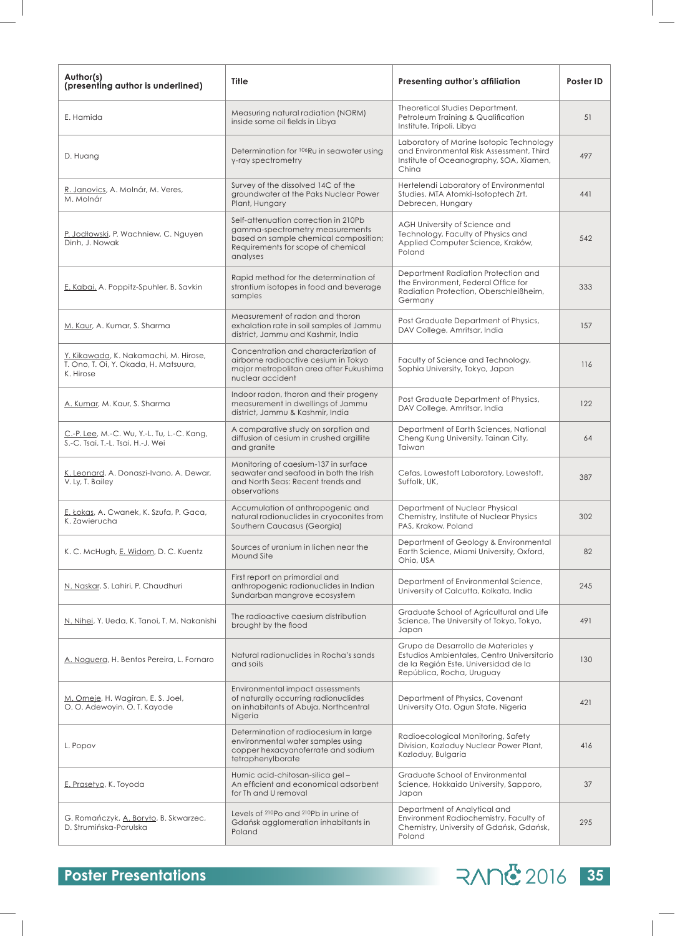| Author(s)<br>(presenting author is underlined)                                              | <b>Title</b>                                                                                                                                                       | Presenting author's affiliation                                                                                                                        | Poster ID |
|---------------------------------------------------------------------------------------------|--------------------------------------------------------------------------------------------------------------------------------------------------------------------|--------------------------------------------------------------------------------------------------------------------------------------------------------|-----------|
| E. Hamida                                                                                   | Measuring natural radiation (NORM)<br>inside some oil fields in Libya                                                                                              | Theoretical Studies Department,<br>Petroleum Training & Qualification<br>Institute, Tripoli, Libya                                                     | 51        |
| D. Huang                                                                                    | Determination for <sup>106</sup> Ru in seawater using<br>y-ray spectrometry                                                                                        | Laboratory of Marine Isotopic Technology<br>and Environmental Risk Assessment, Third<br>Institute of Oceanography, SOA, Xiamen,<br>China               | 497       |
| R. Janovics, A. Molnár, M. Veres,<br>M. Molnár                                              | Survey of the dissolved 14C of the<br>groundwater at the Paks Nuclear Power<br>Plant, Hungary                                                                      | Hertelendi Laboratory of Environmental<br>Studies, MTA Atomki-Isotoptech Zrt,<br>Debrecen, Hungary                                                     | 441       |
| P. Jodłowski, P. Wachniew, C. Nguyen<br>Dinh, J. Nowak                                      | Self-attenuation correction in 210Pb<br>gamma-spectrometry measurements<br>based on sample chemical composition;<br>Requirements for scope of chemical<br>analyses | AGH University of Science and<br>Technology, Faculty of Physics and<br>Applied Computer Science, Kraków,<br>Poland                                     | 542       |
| E. Kabai, A. Poppitz-Spuhler, B. Savkin                                                     | Rapid method for the determination of<br>strontium isotopes in food and beverage<br>samples                                                                        | Department Radiation Protection and<br>the Environment, Federal Office for<br>Radiation Protection, Oberschleißheim,<br>Germany                        | 333       |
| M. Kaur, A. Kumar, S. Sharma                                                                | Measurement of radon and thoron<br>exhalation rate in soil samples of Jammu<br>district, Jammu and Kashmir, India                                                  | Post Graduate Department of Physics,<br>DAV College, Amritsar, India                                                                                   | 157       |
| Y. Kikawada, K. Nakamachi, M. Hirose,<br>T. Ono, T. Oi, Y. Okada, H. Matsuura,<br>K. Hirose | Concentration and characterization of<br>airborne radioactive cesium in Tokyo<br>major metropolitan area after Fukushima<br>nuclear accident                       | Faculty of Science and Technology,<br>Sophia University, Tokyo, Japan                                                                                  | 116       |
| A. Kumar, M. Kaur, S. Sharma                                                                | Indoor radon, thoron and their progeny<br>measurement in dwellings of Jammu<br>district, Jammu & Kashmir, India                                                    | Post Graduate Department of Physics,<br>DAV College, Amritsar, India                                                                                   | 122       |
| C.-P. Lee, M.-C. Wu, Y.-L. Tu, L.-C. Kang,<br>S.-C. Tsai, T.-L. Tsai, H.-J. Wei             | A comparative study on sorption and<br>diffusion of cesium in crushed argillite<br>and granite                                                                     | Department of Earth Sciences, National<br>Cheng Kung University, Tainan City,<br>Taiwan                                                                | 64        |
| K. Leonard, A. Donaszi-Ivano, A. Dewar,<br>V. Ly, T. Bailey                                 | Monitoring of caesium-137 in surface<br>seawater and seafood in both the Irish<br>and North Seas: Recent trends and<br>observations                                | Cefas, Lowestoft Laboratory, Lowestoft,<br>Suffolk, UK,                                                                                                | 387       |
| E. Łokas, A. Cwanek, K. Szufa, P. Gaca,<br>K. Zawierucha                                    | Accumulation of anthropogenic and<br>natural radionuclides in cryoconites from<br>Southern Caucasus (Georgia)                                                      | Department of Nuclear Physical<br>Chemistry, Institute of Nuclear Physics<br>PAS, Krakow, Poland                                                       | 302       |
| K. C. McHugh, E. Widom, D. C. Kuentz                                                        | Sources of uranium in lichen near the<br>Mound Site                                                                                                                | Department of Geology & Environmental<br>Earth Science, Miami University, Oxford,<br>Ohio, USA                                                         | 82        |
| N. Naskar, S. Lahiri, P. Chaudhuri                                                          | First report on primordial and<br>anthropogenic radionuclides in Indian<br>Sundarban mangrove ecosystem                                                            | Department of Environmental Science,<br>University of Calcutta, Kolkata, India                                                                         | 245       |
| N. Nihei, Y. Ueda, K. Tanoi, T. M. Nakanishi                                                | The radioactive caesium distribution<br>brought by the flood                                                                                                       | Graduate School of Agricultural and Life<br>Science, The University of Tokyo, Tokyo,<br>Japan                                                          | 491       |
| A. Noguera, H. Bentos Pereira, L. Fornaro                                                   | Natural radionuclides in Rocha's sands<br>and soils                                                                                                                | Grupo de Desarrollo de Materiales y<br>Estudios Ambientales, Centro Universitario<br>de la Región Este, Universidad de la<br>República, Rocha, Uruguay | 130       |
| M. Omeje, H. Wagiran, E. S. Joel,<br>O. O. Adewoyin, O. T. Kayode                           | Environmental impact assessments<br>of naturally occurring radionuclides<br>on inhabitants of Abuja, Northcentral<br>Nigeria                                       | Department of Physics, Covenant<br>University Ota, Ogun State, Nigeria                                                                                 | 421       |
| L. Popov                                                                                    | Determination of radiocesium in large<br>environmental water samples using<br>copper hexacyanoferrate and sodium<br>tetraphenylborate                              | Radioecological Monitoring, Safety<br>Division, Kozloduy Nuclear Power Plant,<br>Kozloduy, Bulgaria                                                    | 416       |
| E. Prasetyo, K. Toyoda                                                                      | Humic acid-chitosan-silica gel-<br>An efficient and economical adsorbent<br>for Th and U removal                                                                   | Graduate School of Environmental<br>Science, Hokkaido University, Sapporo,<br>Japan                                                                    | 37        |
| G. Romańczyk, A. Boryło, B. Skwarzec,<br>D. Strumińska-Parulska                             | Levels of 210Po and 210Pb in urine of<br>Gdańsk agglomeration inhabitants in<br>Poland                                                                             | Department of Analytical and<br>Environment Radiochemistry, Faculty of<br>Chemistry, University of Gdańsk, Gdańsk,<br>Poland                           | 295       |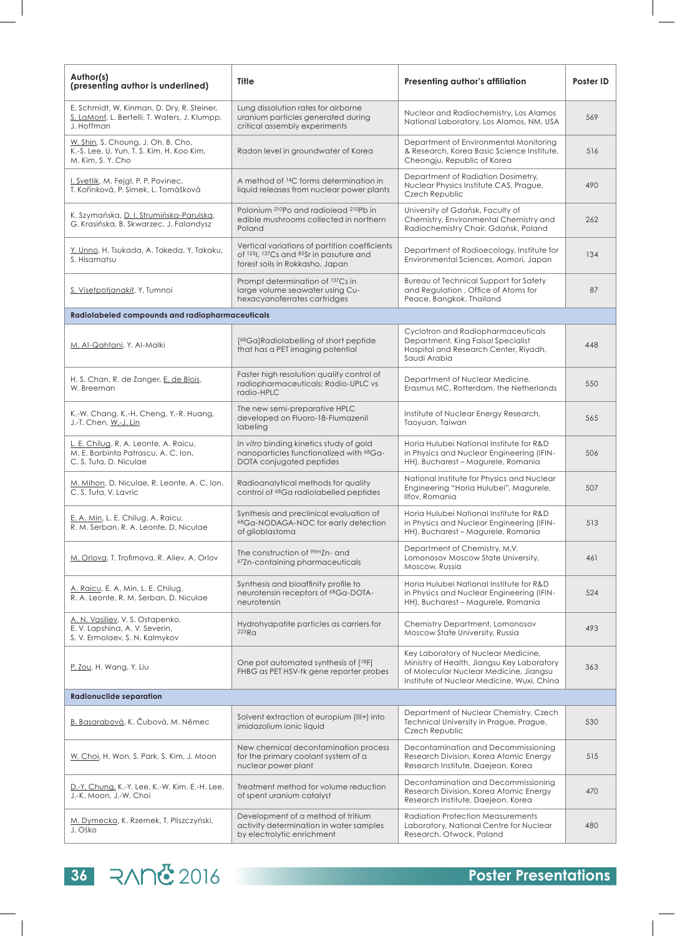| Author(s)<br>(presenting author is underlined)                                                            | Title                                                                                                                       | Presenting author's affiliation                                                                                                                                           | Poster ID |
|-----------------------------------------------------------------------------------------------------------|-----------------------------------------------------------------------------------------------------------------------------|---------------------------------------------------------------------------------------------------------------------------------------------------------------------------|-----------|
| E. Schmidt, W. Kinman, D. Dry, R. Steiner,<br>S. LaMont, L. Bertelli, T. Waters, J. Klumpp,<br>J. Hoffman | Lung dissolution rates for airborne<br>uranium particles generated during<br>critical assembly experiments                  | Nuclear and Radiochemistry, Los Alamos<br>National Laboratory, Los Alamos, NM, USA                                                                                        | 569       |
| W. Shin, S. Choung, J. Oh, B. Cho,<br>K.-S. Lee, U. Yun, T. S. Kim, H. Koo Kim,<br>M. Kim, S. Y. Cho      | Radon level in groundwater of Korea                                                                                         | Department of Environmental Monitoring<br>& Research, Korea Basic Science Institute,<br>Cheongju, Republic of Korea                                                       | 516       |
| I. Svetlik, M. Fejgl, P. P. Povinec,<br>T. Kořínková, P. Simek, L. Tomášková                              | A method of <sup>14</sup> C forms determination in<br>liquid releases from nuclear power plants                             | Department of Radiation Dosimetry,<br>Nuclear Physics Institute CAS, Prague,<br>Czech Republic                                                                            | 490       |
| K. Szymańska, D. I. Strumińska-Parulska,<br>G. Krasińska, B. Skwarzec, J. Falandysz                       | Polonium <sup>210</sup> Po and radiolead <sup>210</sup> Pb in<br>edible mushrooms collected in northern<br>Poland           | University of Gdańsk, Faculty of<br>Chemistry, Environmental Chemistry and<br>Radiochemistry Chair, Gdańsk, Poland                                                        | 262       |
| Y. Unno, H. Tsukada, A. Takeda, Y. Takaku,<br>S. Hisamatsu                                                | Vertical variations of partition coefficients<br>of 1251, 137Cs and 85Sr in pasuture and<br>forest soils in Rokkasho, Japan | Department of Radioecology, Institute for<br>Environmental Sciences, Aomori, Japan                                                                                        | 134       |
| S. Visetpotjanakit, Y. Tumnoi                                                                             | Prompt determination of 137Cs in<br>large volume seawater using Cu-<br>hexacyanoferrates cartridges                         | Bureau of Technical Support for Safety<br>and Regulation, Office of Atoms for<br>Peace, Bangkok, Thailand                                                                 | 87        |
| Radiolabeled compounds and radiopharmaceuticals                                                           |                                                                                                                             |                                                                                                                                                                           |           |
| M. Al-Qahtani, Y. Al-Malki                                                                                | [68Ga]Radiolabelling of short peptide<br>that has a PET imaging potential                                                   | Cyclotron and Radiopharmaceuticals<br>Department, King Faisal Specialist<br>Hospital and Research Center, Riyadh,<br>Saudi Arabia                                         | 448       |
| H. S. Chan, R. de Zanger, E. de Blois,<br>W. Breeman                                                      | Faster high resolution quality control of<br>radiopharmaceuticals: Radio-UPLC vs<br>radio-HPLC                              | Department of Nuclear Medicine,<br>Erasmus MC, Rotterdam, the Netherlands                                                                                                 | 550       |
| K.-W. Chang, K.-H. Cheng, Y.-R. Huang,<br>J.-T. Chen, W.-J. Lin                                           | The new semi-preparative HPLC<br>developed on Fluoro-18-Flumazenil<br>labeling                                              | Institute of Nuclear Energy Research,<br>Taoyuan, Taiwan                                                                                                                  | 565       |
| L. E. Chilug, R. A. Leonte, A. Raicu,<br>M. E. Barbinta Patrascu, A. C. Ion,<br>C.S.Tuta, D. Niculae      | In vitro binding kinetics study of gold<br>nanoparticles functionalized with <sup>68</sup> Ga-<br>DOTA conjugated peptides  | Horia Hulubei National Institute for R&D<br>in Physics and Nuclear Engineering (IFIN-<br>HH), Bucharest - Magurele, Romania                                               | 506       |
| M. Mihon, D. Niculae, R. Leonte, A. C. Ion,<br>C.S.Tuta, V. Lavric                                        | Radioanalytical methods for quality<br>control of <sup>68</sup> Ga radiolabelled peptides                                   | National Institute for Physics and Nuclear<br>Engineering "Horia Hulubei", Magurele,<br>Ilfov, Romania                                                                    | 507       |
| E. A. Min, L. E. Chilug, A. Raicu,<br>R. M. Serban, R. A. Leonte, D. Niculae                              | Synthesis and preclinical evaluation of<br>68Ga-NODAGA-NOC for early detection<br>of glioblastoma                           | Horia Hulubei National Institute for R&D<br>in Physics and Nuclear Engineering (IFIN-<br>HH), Bucharest - Magurele, Romania                                               | 513       |
| M. Orlova, T. Trofimova, R. Aliev, A. Orlov                                                               | The construction of <sup>99m</sup> Zn- and<br>67Zn-containing pharmaceuticals                                               | Department of Chemistry, M.V.<br>Lomonosov Moscow State University,<br>Moscow, Russia                                                                                     | 461       |
| A. Raicu, E. A. Min, L. E. Chilug,<br>R. A. Leonte, R. M. Serban, D. Niculae                              | Synthesis and bioaffinity profile to<br>neurotensin receptors of 68Ga-DOTA-<br>neurotensin                                  | Horia Hulubei National Institute for R&D<br>in Physics and Nuclear Engineering (IFIN-<br>HH), Bucharest - Magurele, Romania                                               | 524       |
| A. N. Vasiliev, V. S. Ostapenko,<br>E. V. Lapshina, A. V. Severin,<br>S. V. Ermolaev, S. N. Kalmykov      | Hydrohyapatite particles as carriers for<br>223R <sub>G</sub>                                                               | Chemistry Department, Lomonosov<br>Moscow State University, Russia                                                                                                        | 493       |
| P. Zou, H. Wang, Y. Liu                                                                                   | One pot automated synthesis of [18F]<br>FHBG as PET HSV-tk gene reporter probes                                             | Key Laboratory of Nuclear Medicine,<br>Ministry of Health, Jiangsu Key Laboratory<br>of Molecular Nuclear Medicine, Jiangsu<br>Institute of Nuclear Medicine, Wuxi, China | 363       |
| <b>Radionuclide separation</b>                                                                            |                                                                                                                             |                                                                                                                                                                           |           |
| B. Basarabová, K. Čubová, M. Němec                                                                        | Solvent extraction of europium (III+) into<br>imidazolium ionic liquid                                                      | Department of Nuclear Chemistry, Czech<br>Technical University in Prague, Prague,<br>Czech Republic                                                                       | 530       |
| W. Choi, H. Won, S. Park, S. Kim, J. Moon                                                                 | New chemical decontamination process<br>for the primary coolant system of a<br>nuclear power plant                          | Decontamination and Decommissioning<br>Research Division, Korea Atomic Energy<br>Research Institute, Daejeon, Korea                                                       | 515       |
| D.-Y. Chung, K.-Y. Lee, K.-W. Kim, E.-H. Lee,<br>J.-K. Moon, J.-W. Choi                                   | Treatment method for volume reduction<br>of spent uranium catalyst                                                          | Decontamination and Decommissioning<br>Research Division, Korea Atomic Energy<br>Research Institute, Daejeon, Korea                                                       | 470       |
| M. Dymecka, K. Rzemek, T. Pliszczyński,<br>J. Ośko                                                        | Development of a method of tritium<br>activity determination in water samples<br>by electrolytic enrichment                 | <b>Radiation Protection Measurements</b><br>Laboratory, National Centre for Nuclear<br>Research, Otwock, Poland                                                           | 480       |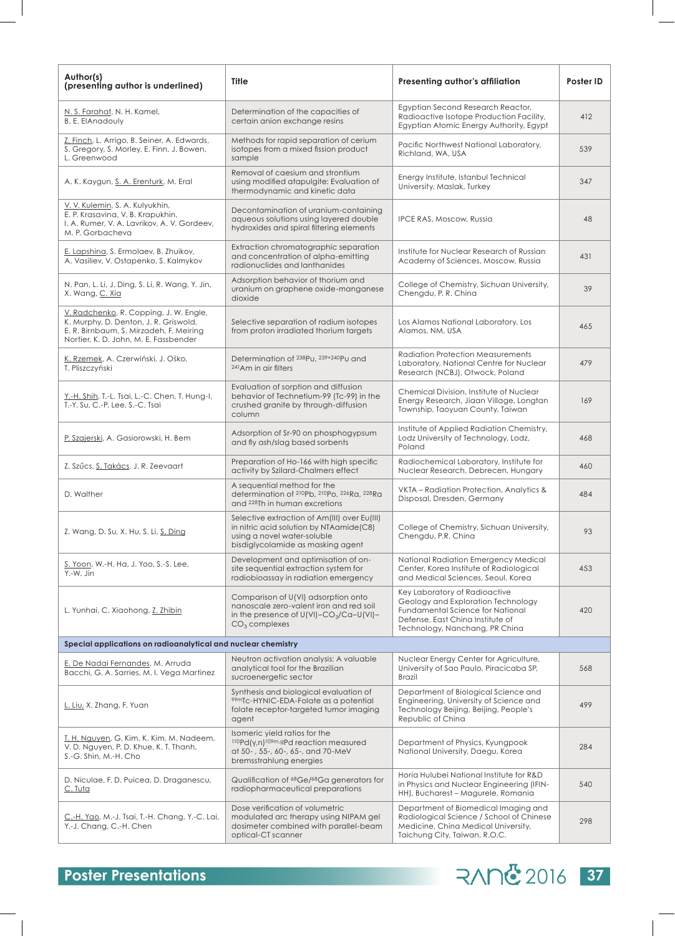| Author(s)<br>(presenting author is underlined)                                                                                                                      | Title                                                                                                                                                          | Presenting author's affiliation                                                                                                                                               | Poster ID |
|---------------------------------------------------------------------------------------------------------------------------------------------------------------------|----------------------------------------------------------------------------------------------------------------------------------------------------------------|-------------------------------------------------------------------------------------------------------------------------------------------------------------------------------|-----------|
| N. S. Farahat, N. H. Kamel,<br><b>B. E. ElAnadouly</b>                                                                                                              | Determination of the capacities of<br>certain anion exchange resins                                                                                            | Egyptian Second Research Reactor,<br>Radioactive Isotope Production Facility,<br>Egyptian Atomic Energy Authority, Egypt                                                      | 412       |
| Z. Finch, L. Arrigo, B. Seiner, A. Edwards,<br>S. Gregory, S. Morley, E. Finn, J. Bowen,<br>L. Greenwood                                                            | Methods for rapid separation of cerium<br>isotopes from a mixed fission product<br>sample                                                                      | Pacific Northwest National Laboratory,<br>Richland, WA, USA                                                                                                                   | 539       |
| A. K. Kaygun, S. A. Erenturk, M. Eral                                                                                                                               | Removal of caesium and strontium<br>using modified atapulgite: Evaluation of<br>thermodynamic and kinetic data                                                 | Energy Institute, Istanbul Technical<br>University, Maslak, Turkey                                                                                                            | 347       |
| V. V. Kulemin, S. A. Kulyukhin,<br>E. P. Krasavina, V. B. Krapukhin,<br>I. A. Rumer, V. A. Lavrikov, A. V. Gordeev,<br>M. P. Gorbacheva                             | Decontamination of uranium-containing<br>aqueous solutions using layered double<br>hydroxides and spiral filtering elements                                    | <b>IPCE RAS, Moscow, Russia</b>                                                                                                                                               | 48        |
| E. Lapshina, S. Ermolaev, B. Zhuikov,<br>A. Vasiliev, V. Ostapenko, S. Kalmykov                                                                                     | Extraction chromatographic separation<br>and concentration of alpha-emitting<br>radionuclides and lanthanides                                                  | Institute for Nuclear Research of Russian<br>Academy of Sciences, Moscow, Russia                                                                                              | 431       |
| N. Pan, L. Li, J. Ding, S. Li, R. Wang, Y. Jin,<br>X. Wang, C. Xia                                                                                                  | Adsorption behavior of thorium and<br>uranium on graphene oxide-manganese<br>dioxide                                                                           | College of Chemistry, Sichuan University,<br>Chengdu, P. R. China                                                                                                             | 39        |
| V. Radchenko, R. Copping, J. W. Engle,<br>K. Murphy, D. Denton, J. R. Griswold,<br>E. R. Birnbaum, S. Mirzadeh, F. Meiring<br>Nortier, K. D. John, M. E. Fassbender | Selective separation of radium isotopes<br>from proton irradiated thorium targets                                                                              | Los Alamos National Laboratory, Los<br>Alamos, NM, USA                                                                                                                        | 465       |
| K. Rzemek, A. Czerwiński, J. Ośko,<br>T. Pliszczyński                                                                                                               | Determination of 238Pu, 239+240Pu and<br><sup>241</sup> Am in air filters                                                                                      | <b>Radiation Protection Measurements</b><br>Laboratory, National Centre for Nuclear<br>Research (NCBJ), Otwock, Poland                                                        | 479       |
| <u>Y.-H. Shih</u> , T.-L. Tsai, L.-C. Chen, T. Hung-I,<br>T.-Y. Su, C.-P. Lee, S.-C. Tsai                                                                           | Evaluation of sorption and diffusion<br>behavior of Technetium-99 (Tc-99) in the<br>crushed granite by through-diffusion<br>column                             | Chemical Division, Institute of Nuclear<br>Energy Research, Jiaan Village, Longtan<br>Township, Taoyuan County, Taiwan                                                        | 169       |
| P. Szajerski, A. Gasiorowski, H. Bem                                                                                                                                | Adsorption of Sr-90 on phosphogypsum<br>and fly ash/slag based sorbents                                                                                        | Institute of Applied Radiation Chemistry,<br>Lodz University of Technology, Lodz,<br>Poland                                                                                   | 468       |
| Z. Szűcs, S. Takács, J. R. Zeevaart                                                                                                                                 | Preparation of Ho-166 with high specific<br>activity by Szilard-Chalmers effect                                                                                | Radiochemical Laboratory, Institute for<br>Nuclear Research, Debrecen, Hungary                                                                                                | 460       |
| D. Walther                                                                                                                                                          | A sequential method for the<br>determination of 210Pb, 210Po, 226Ra, 228Ra<br>and 228Th in human excretions                                                    | VKTA - Radiation Protection, Analytics &<br>Disposal, Dresden, Germany                                                                                                        | 484       |
| Z. Wang, D. Su, X. Hu, S. Li, S. Ding                                                                                                                               | Selective extraction of Am(III) over Eu(III)<br>in nitric acid solution by NTAamide(C8)<br>using a novel water-soluble<br>bisdiglycolamide as masking agent    | College of Chemistry, Sichuan University,<br>Chengdu, P.R. China                                                                                                              | 93        |
| S. Yoon, W.-H. Ha, J. Yoo, S.-S. Lee,<br>Y.-W. Jin                                                                                                                  | Development and optimisation of on-<br>site sequential extraction system for<br>radiobioassay in radiation emergency                                           | National Radiation Emergency Medical<br>Center, Korea Institute of Radiological<br>and Medical Sciences, Seoul, Korea                                                         | 453       |
| L. Yunhai, C. Xiaohong, Z. Zhibin                                                                                                                                   | Comparison of U(VI) adsorption onto<br>nanoscale zero-valent iron and red soil<br>in the presence of $U(VI)$ -CO <sub>3</sub> /Ca-U(VI)-<br>$CO3$ complexes    | Key Laboratory of Radioactive<br>Geology and Exploration Technology<br>Fundamental Science for National<br>Defense, East China Institute of<br>Technology, Nanchang, PR China | 420       |
| Special applications on radioanalytical and nuclear chemistry                                                                                                       |                                                                                                                                                                |                                                                                                                                                                               |           |
| E. De Nadai Fernandes, M. Arruda<br>Bacchi, G. A. Sarries, M. I. Vega Martinez                                                                                      | Neutron activation analysis: A valuable<br>analytical tool for the Brazilian<br>sucroenergetic sector                                                          | Nuclear Energy Center for Agriculture,<br>University of Sao Paulo, Piracicaba SP,<br>Brazil                                                                                   | 568       |
| <u>L. Liu,</u> X. Zhang, F. Yuan                                                                                                                                    | Synthesis and biological evaluation of<br>99mTc-HYNIC-EDA-Folate as a potential<br>folate receptor-targeted tumor imaging<br>agent                             | Department of Biological Science and<br>Engineering, University of Science and<br>Technology Beijing, Beijing, People's<br>Republic of China                                  | 499       |
| <u>T. H. Nguyen, G. Kim, K. Kim, M. Nadeem,</u><br>V. D. Nguyen, P. D. Khue, K. T. Thanh,<br>S.-G. Shin, M.-H. Cho                                                  | Isomeric yield ratios for the<br><sup>110</sup> Pd(y,n) <sup>109m,g</sup> Pd reaction measured<br>at 50-, 55-, 60-, 65-, and 70-MeV<br>bremsstrahlung energies | Department of Physics, Kyungpook<br>National University, Daegu, Korea                                                                                                         | 284       |
| D. Niculae, F. D. Puicea, D. Draganescu,<br><u>C. Tuta</u>                                                                                                          | Qualification of <sup>68</sup> Ge/ <sup>68</sup> Ga generators for<br>radiopharmaceutical preparations                                                         | Horia Hulubei National Institute for R&D<br>in Physics and Nuclear Engineering (IFIN-<br>HH), Bucharest - Magurele, Romania                                                   | 540       |
| C.-H. Yao, M.-J. Tsai, T.-H. Chang, Y.-C. Lai,<br>Y.-J. Chang, C.-H. Chen                                                                                           | Dose verification of volumetric<br>modulated arc therapy using NIPAM gel<br>dosimeter combined with parallel-beam<br>optical-CT scanner                        | Department of Biomedical Imaging and<br>Radiological Science / School of Chinese<br>Medicine, China Medical University,<br>Taichung City, Taiwan, R.O.C.                      | 298       |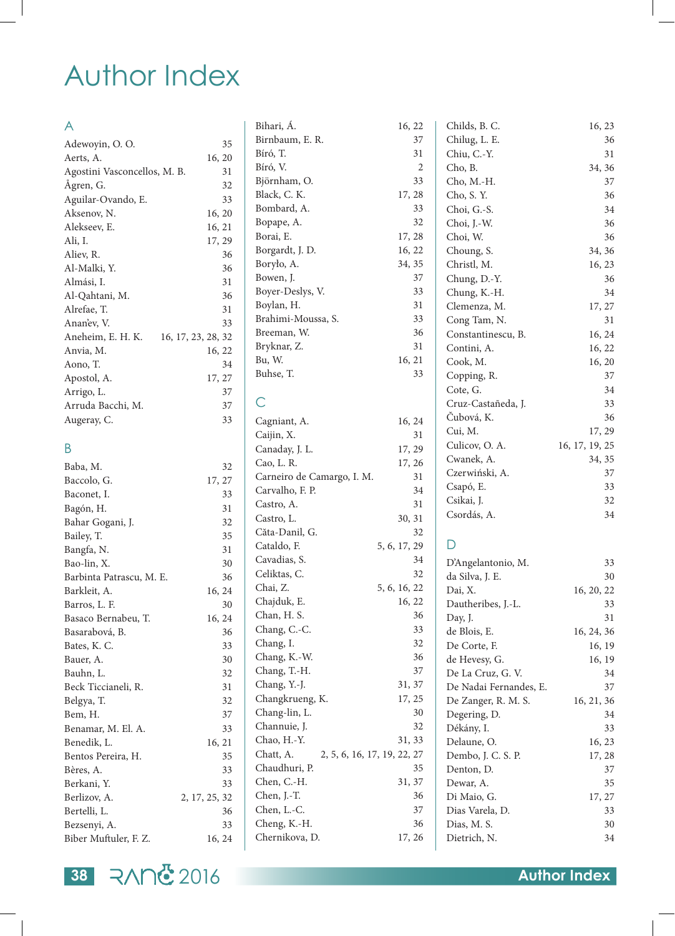### Author Index

### A

| Adewoyin, O. O.              | 35                 |
|------------------------------|--------------------|
| Aerts, A.                    | 16, 20             |
| Agostini Vasconcellos, M. B. | 31                 |
| Ågren, G.                    | 32                 |
| Aguilar-Ovando, E.           | 33                 |
| Aksenov, N.                  | 16, 20             |
| Alekseev, E.                 | 16, 21             |
| Ali, I.                      | 17, 29             |
| Aliev, R.                    | 36                 |
| Al-Malki, Y.                 | 36                 |
| Almási, I.                   | 31                 |
| Al-Qahtani, M.               | 36                 |
| Alrefae, T.                  | 31                 |
| Ananev, V.                   | 33                 |
| Aneheim, E. H. K.            | 16, 17, 23, 28, 32 |
| Anvia, M.                    | 16, 22             |
| Aono, T.                     | 34                 |
| Apostol, A.                  | 17, 27             |
| Arrigo, L.                   | 37                 |
| Arruda Bacchi, M.            | 37                 |
| Augeray, C.                  | 33                 |

### B

| 32            |
|---------------|
| 17, 27        |
| 33            |
| 31            |
| 32            |
| 35            |
| 31            |
| 30            |
| 36            |
| 16, 24        |
| 30            |
| 16, 24        |
| 36            |
| 33            |
| 30            |
| 32            |
| 31            |
| 32            |
| 37            |
| 33            |
| 16, 21        |
| 35            |
| 33            |
| 33            |
| 2, 17, 25, 32 |
| 36            |
| 33            |
| 16, 24        |
|               |

| Bihari, Á.                               | 16, 22 |    |
|------------------------------------------|--------|----|
| Birnbaum, E. R.                          |        | 37 |
| Bíró, T.                                 |        | 31 |
| Bíró, V.                                 |        | 2  |
| Björnham, O.                             |        | 33 |
| Black, C. K.                             | 17, 28 |    |
| Bombard, A.                              |        | 33 |
| Bopape, A.                               |        | 32 |
| Borai, E.                                | 17, 28 |    |
| Borgardt, J. D.                          | 16, 22 |    |
| Boryło, A.                               | 34, 35 |    |
| Bowen, J.                                |        | 37 |
| Boyer-Deslys, V.                         |        | 33 |
| Boylan, H.                               |        | 31 |
| Brahimi-Moussa, S.                       |        | 33 |
| Breeman, W.                              |        | 36 |
| Bryknar, Z.                              |        | 31 |
| Bu, W.                                   | 16, 21 |    |
| Buhse, T.                                |        | 33 |
|                                          |        |    |
| С                                        |        |    |
| Cagniant, A.                             | 16, 24 |    |
| Caijin, X.                               |        | 31 |
| Canaday, J. L.                           | 17, 29 |    |
| Cao, L. R.                               | 17, 26 |    |
| Carneiro de Camargo, I. M.               |        | 31 |
| Carvalho, F. P.                          |        | 34 |
| Castro, A.                               |        | 31 |
| Castro, L.                               | 30, 31 |    |
| Căta-Danil, G.                           |        | 32 |
| Cataldo, F.<br>5, 6, 17, 29              |        |    |
| Cavadias, S.                             |        | 34 |
| Celiktas, C.                             |        | 32 |
|                                          |        |    |
| Chai, Z.<br>5, 6, 16, 22                 |        |    |
| Chajduk, E.                              | 16, 22 | 36 |
| Chan, H. S.                              |        |    |
| Chang, C.-C.                             |        | 33 |
| Chang, I.                                |        | 32 |
| Chang, K.-W.                             |        | 36 |
| Chang, T.-H.                             |        | 37 |
| Chang, Y.-J.                             | 31, 37 |    |
| Changkrueng, K.                          | 17, 25 |    |
| Chang-lin, L.                            |        | 30 |
| Channuie, J.                             |        | 32 |
| Chao, H.-Y.                              | 31, 33 |    |
| Chatt, A.<br>2, 5, 6, 16, 17, 19, 22, 27 |        |    |
| Chaudhuri, P.                            |        | 35 |
| Chen, C.-H.                              | 31, 37 |    |
| Chen, J.-T.                              |        | 36 |
| Chen, L.-C.                              |        | 37 |
| Cheng, K.-H.                             |        | 36 |
| Chernikova, D.                           | 17, 26 |    |
|                                          |        |    |

| 16, 22   | Childs, B. C.                         | 16, 23         |
|----------|---------------------------------------|----------------|
| 37       | Chilug, L. E.                         | 36             |
| 31       | Chiu, C.-Y.                           | 31             |
| 2        | Cho, B.                               | 34, 36         |
| 33       | Cho, M.-H.                            | 37             |
| 17, 28   | Cho, S.Y.                             | 36             |
| 33       | Choi, G.-S.                           | 34             |
| 32       | Choi, J.-W.                           | 36             |
| 17, 28   | Choi, W.                              | 36             |
| 16, 22   | Choung, S.                            | 34, 36         |
| 34, 35   | Christl, M.                           | 16, 23         |
| 37       | Chung, D.-Y.                          | 36             |
| 33       | Chung, K.-H.                          | 34             |
| 31       | Clemenza, M.                          | 17, 27         |
| 33       | Cong Tam, N.                          | 31             |
| 36       | Constantinescu, B.                    | 16, 24         |
| 31       | Contini, A.                           | 16, 22         |
| 16, 21   | Cook, M.                              | 16, 20         |
| 33       | Copping, R.                           | 37             |
|          | Cote, G.                              | 34             |
|          | Cruz-Castañeda, J.                    | 33             |
| 16, 24   | Čubová, K.                            | 36             |
| 31       | Cui, M.                               | 17, 29         |
| 17, 29   | Culicov, O. A.                        | 16, 17, 19, 25 |
| 17, 26   | Cwanek, A.                            | 34, 35         |
| 31       | Czerwiński, A.                        | 37             |
| 34       | Csapó, E.                             | 33             |
| 31       | Csikai, J.                            | 32             |
| 30, 31   | Csordás, A.                           | 34             |
| 32       |                                       |                |
| , 17, 29 |                                       |                |
| 34       |                                       | 33             |
| 32       | D'Angelantonio, M.<br>da Silva, J. E. | 30             |
| , 16, 22 | Dai, X.                               | 16, 20, 22     |
| 16, 22   | Dautheribes, J.-L.                    | 33             |
| 36       | Day, J.                               | 31             |
| 33       | de Blois, E.                          | 16, 24, 36     |
| 32       | De Corte, F.                          | 16, 19         |
| 36       | de Hevesy, G.                         | 16, 19         |
| 37       | De La Cruz, G. V.                     | 34             |
| 31, 37   | De Nadai Fernandes, E.                | 37             |
| 17, 25   | De Zanger, R. M. S.                   | 16, 21, 36     |
| 30       | Degering, D.                          | 34             |
| 32       | Dékány, I.                            | 33             |
| 31, 33   | Delaune, O.                           | 16, 23         |
| , 22, 27 | Dembo, J. C. S. P.                    | 17, 28         |
| 35       | Denton, D.                            | 37             |
| 31, 37   | Dewar, A.                             | 35             |
| 36       | Di Maio, G.                           | 17, 27         |
| 37       | Dias Varela, D.                       | 33             |
| 36       | Dias, M. S.                           | 30             |
| 17, 26   | Dietrich, N.                          | 34             |
|          |                                       |                |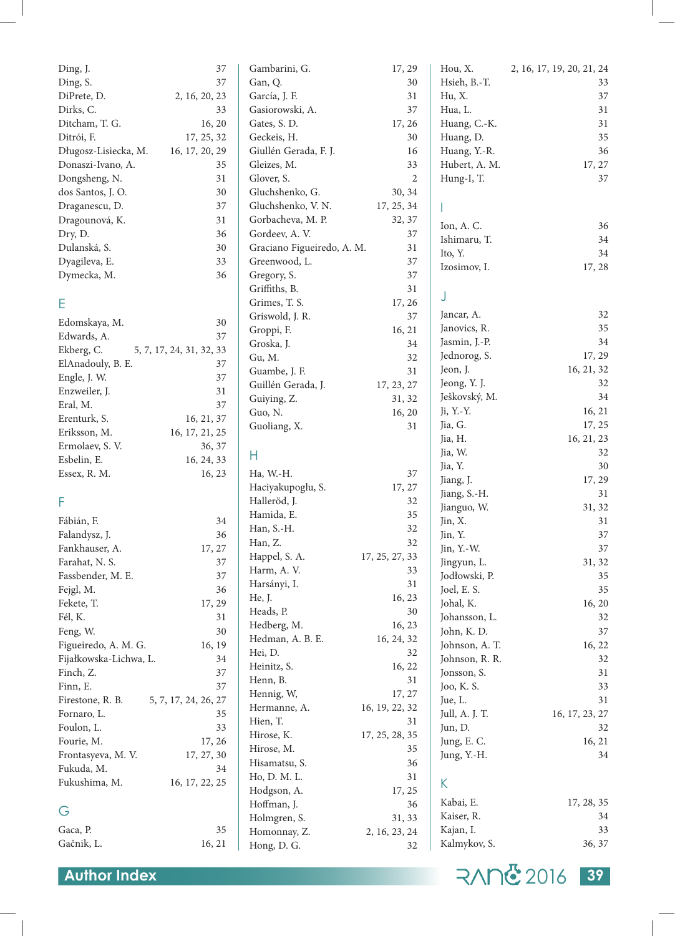| Ding, J.               | 37                       | Gambarini, G.              | 17, 29         | Hou, X.        | 2, 16, 17, 19, 20, 21, 24 |
|------------------------|--------------------------|----------------------------|----------------|----------------|---------------------------|
| Ding, S.               | 37                       | Gan, Q.                    | 30             | Hsieh, B.-T.   | 33                        |
| DiPrete, D.            | 2, 16, 20, 23            | García, J. F.              | 31             | Hu, X.         | 37                        |
| Dirks, C.              | 33                       | Gasiorowski, A.            | 37             | Hua, L.        | 31                        |
| Ditcham, T. G.         | 16, 20                   | Gates, S. D.               | 17, 26         | Huang, C.-K.   | 31                        |
| Ditrói, F.             | 17, 25, 32               | Geckeis, H.                | 30             | Huang, D.      | 35                        |
| Długosz-Lisiecka, M.   | 16, 17, 20, 29           | Giullén Gerada, F. J.      | 16             | Huang, Y.-R.   | 36                        |
| Donaszi-Ivano, A.      | 35                       | Gleizes, M.                | 33             | Hubert, A. M.  | 17, 27                    |
| Dongsheng, N.          | 31                       | Glover, S.                 | 2              | Hung-I, T.     | 37                        |
| dos Santos, J. O.      | 30                       | Gluchshenko, G.            | 30, 34         |                |                           |
| Draganescu, D.         | 37                       | Gluchshenko, V. N.         | 17, 25, 34     |                |                           |
| Dragounová, K.         | 31                       | Gorbacheva, M. P.          | 32, 37         |                |                           |
| Dry, D.                | 36                       | Gordeev, A.V.              | 37             | Ion, A.C.      | 36                        |
| Dulanská, S.           | 30                       | Graciano Figueiredo, A. M. | 31             | Ishimaru, T.   | 34                        |
| Dyagileva, E.          | 33                       | Greenwood, L.              | 37             | Ito, Y.        | 34                        |
| Dymecka, M.            | 36                       | Gregory, S.                | 37             | Izosimov, I.   | 17, 28                    |
|                        |                          | Griffiths, B.              | 31             |                |                           |
|                        |                          | Grimes, T. S.              | 17, 26         | J              |                           |
| Ε                      |                          | Griswold, J. R.            | 37             | Jancar, A.     | 32                        |
| Edomskaya, M.          | 30                       | Groppi, F.                 | 16, 21         | Janovics, R.   | 35                        |
| Edwards, A.            | 37                       |                            |                | Jasmin, J.-P.  | 34                        |
| Ekberg, C.             | 5, 7, 17, 24, 31, 32, 33 | Groska, J.                 | 34             | Jednorog, S.   | 17, 29                    |
| ElAnadouly, B. E.      | 37                       | Gu, M.                     | 32             | Jeon, J.       | 16, 21, 32                |
| Engle, J. W.           | 37                       | Guambe, J. F.              | 31             |                | 32                        |
| Enzweiler, J.          | 31                       | Guillén Gerada, J.         | 17, 23, 27     | Jeong, Y. J.   | 34                        |
| Eral, M.               | 37                       | Guiying, Z.                | 31, 32         | Ješkovský, M.  |                           |
| Erenturk, S.           | 16, 21, 37               | Guo, N.                    | 16, 20         | Ji, Y.-Y.      | 16, 21                    |
| Eriksson, M.           | 16, 17, 21, 25           | Guoliang, X.               | 31             | Jia, G.        | 17, 25                    |
| Ermolaev, S. V.        | 36, 37                   |                            |                | Jia, H.        | 16, 21, 23                |
| Esbelin, E.            | 16, 24, 33               | Н                          |                | Jia, W.        | 32                        |
| Essex, R. M.           | 16, 23                   | Ha, W.-H.                  | 37             | Jia, Y.        | 30                        |
|                        |                          | Haciyakupoglu, S.          | 17, 27         | Jiang, J.      | 17, 29                    |
| F                      |                          | Halleröd, J.               | 32             | Jiang, S.-H.   | 31                        |
|                        |                          | Hamida, E.                 | 35             | Jianguo, W.    | 31, 32                    |
| Fábián, F.             | 34                       | Han, S.-H.                 | 32             | Jin, X.        | 31                        |
| Falandysz, J.          | 36                       | Han, Z.                    | 32             | Jin, Y.        | 37                        |
| Fankhauser, A.         | 17, 27                   | Happel, S. A.              | 17, 25, 27, 33 | Jin, Y.-W.     | 37                        |
| Farahat, N. S.         | 37                       | Harm, A.V.                 | 33             | Jingyun, L.    | 31, 32                    |
| Fassbender, M. E.      | 37                       | Harsányi, I.               | 31             | Jodłowski, P.  | 35                        |
| Fejgl, M.              | 36                       | He, J.                     | 16, 23         | Joel, E. S.    | 35                        |
| Fekete, T.             | 17, 29                   | Heads, P.                  | 30             | Johal, K.      | 16, 20                    |
| Fél, K.                | 31                       | Hedberg, M.                | 16, 23         | Johansson, L.  | 32                        |
| Feng, W.               | 30                       | Hedman, A. B. E.           | 16, 24, 32     | John, K. D.    | 37                        |
| Figueiredo, A. M. G.   | 16, 19                   | Hei, D.                    | 32             | Johnson, A. T. | 16, 22                    |
| Fijałkowska-Lichwa, L. | 34                       | Heinitz, S.                | 16, 22         | Johnson, R. R. | 32                        |
| Finch, Z.              | 37                       | Henn, B.                   | 31             | Jonsson, S.    | 31                        |
| Finn, E.               | 37                       |                            |                | Joo, K. S.     | 33                        |
| Firestone, R. B.       | 5, 7, 17, 24, 26, 27     | Hennig, W,                 | 17, 27         | Jue, L.        | 31                        |
| Fornaro, L.            | 35                       | Hermanne, A.               | 16, 19, 22, 32 | Jull, A. J. T. | 16, 17, 23, 27            |
| Foulon, L.             | 33                       | Hien, T.                   | 31             | Jun, D.        | 32                        |
| Fourie, M.             | 17, 26                   | Hirose, K.                 | 17, 25, 28, 35 | Jung, E. C.    | 16, 21                    |
| Frontasyeva, M. V.     | 17, 27, 30               | Hirose, M.                 | 35             | Jung, Y.-H.    | 34                        |
| Fukuda, M.             | 34                       | Hisamatsu, S.              | 36             |                |                           |
| Fukushima, M.          | 16, 17, 22, 25           | Ho, D. M. L.               | 31             | K              |                           |
|                        |                          | Hodgson, A.                | 17, 25         |                |                           |
| G                      |                          | Hoffman, J.                | 36             | Kabai, E.      | 17, 28, 35                |
|                        |                          | Holmgren, S.               | 31, 33         | Kaiser, R.     | 34                        |
| Gaca, P.               | 35                       | Homonnay, Z.               | 2, 16, 23, 24  | Kajan, I.      | 33                        |
| Gačnik, L.             | 16, 21                   | Hong, D. G.                | 32             | Kalmykov, S.   | 36, 37                    |

| <b>Author Index</b> | RANG 2016 39 |  |
|---------------------|--------------|--|
|                     |              |  |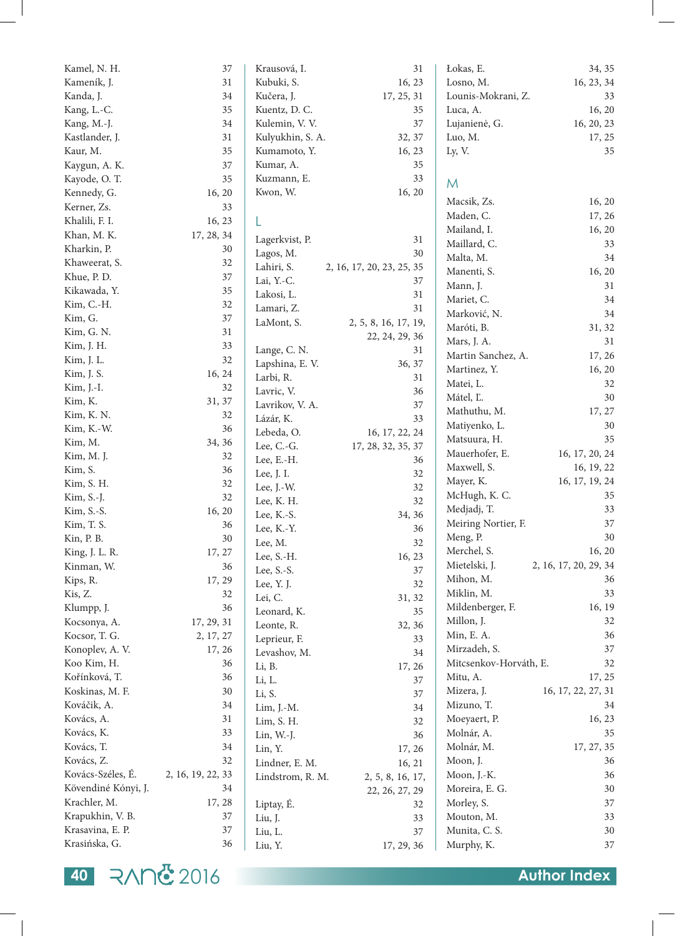| Kamel, N. H.        | 37                | Krausová, I.     | 31                        | Łokas, E.              | 34, 35                |
|---------------------|-------------------|------------------|---------------------------|------------------------|-----------------------|
| Kameník, J.         | 31                | Kubuki, S.       | 16, 23                    | Losno, M.              | 16, 23, 34            |
| Kanda, J.           | 34                | Kučera, J.       | 17, 25, 31                | Lounis-Mokrani, Z.     | 33                    |
| Kang, L.-C.         | 35                | Kuentz, D. C.    | 35                        | Luca, A.               | 16, 20                |
| Kang, M.-J.         | 34                | Kulemin, V. V.   | 37                        | Lujanienė, G.          | 16, 20, 23            |
| Kastlander, J.      | 31                | Kulyukhin, S. A. | 32, 37                    | Luo, M.                | 17, 25                |
| Kaur, M.            | 35                | Kumamoto, Y.     | 16, 23                    | Ly, V.                 | 35                    |
| Kaygun, A. K.       | 37                | Kumar, A.        | 35                        |                        |                       |
| Kayode, O.T.        | 35                | Kuzmann, E.      | 33                        | M                      |                       |
| Kennedy, G.         | 16, 20            | Kwon, W.         | 16, 20                    |                        |                       |
| Kerner, Zs.         | 33                |                  |                           | Macsik, Zs.            | 16, 20                |
| Khalili, F. I.      | 16, 23            | L                |                           | Maden, C.              | 17, 26                |
| Khan, M. K.         | 17, 28, 34        |                  |                           | Mailand, I.            | 16, 20                |
| Kharkin, P.         | 30                | Lagerkvist, P.   | 31                        | Maillard, C.           | 33                    |
| Khaweerat, S.       | 32                | Lagos, M.        | 30                        | Malta, M.              | 34                    |
| Khue, P. D.         | 37                | Lahiri, S.       | 2, 16, 17, 20, 23, 25, 35 | Manenti, S.            | 16, 20                |
|                     |                   | Lai, Y.-C.       | 37                        | Mann, J.               | 31                    |
| Kikawada, Y.        | 35                | Lakosi, L.       | 31                        | Mariet, C.             | 34                    |
| Kim, C.-H.          | 32                | Lamari, Z.       | 31                        | Marković, N.           | 34                    |
| Kim, G.             | 37                | LaMont, S.       | 2, 5, 8, 16, 17, 19,      | Maróti, B.             | 31, 32                |
| Kim, G. N.          | 31                |                  | 22, 24, 29, 36            | Mars, J. A.            | 31                    |
| Kim, J. H.          | 33                | Lange, C. N.     | 31                        | Martin Sanchez, A.     | 17, 26                |
| Kim, J. L.          | 32                | Lapshina, E.V.   | 36, 37                    | Martinez, Y.           | 16, 20                |
| Kim, J. S.          | 16, 24            | Larbi, R.        | 31                        |                        |                       |
| Kim, J.-I.          | 32                | Lavric, V.       | 36                        | Matei, L.              | 32                    |
| Kim, K.             | 31, 37            | Lavrikov, V. A.  | 37                        | Mátel, L.              | 30                    |
| Kim, K. N.          | 32                | Lázár, K.        | 33                        | Mathuthu, M.           | 17, 27                |
| Kim, K.-W.          | 36                | Lebeda, O.       | 16, 17, 22, 24            | Matiyenko, L.          | 30                    |
| Kim, M.             | 34, 36            | Lee, C.-G.       | 17, 28, 32, 35, 37        | Matsuura, H.           | 35                    |
| Kim, M. J.          | 32                | Lee, E.-H.       | 36                        | Mauerhofer, E.         | 16, 17, 20, 24        |
| Kim, S.             | 36                | Lee, J. I.       | 32                        | Maxwell, S.            | 16, 19, 22            |
| Kim, S. H.          | 32                | Lee, J.-W.       | 32                        | Mayer, K.              | 16, 17, 19, 24        |
| Kim, S.-J.          | 32                | Lee, K. H.       | 32                        | McHugh, K. C.          | 35                    |
| Kim, S.-S.          | 16, 20            | Lee, K.-S.       | 34, 36                    | Medjadj, T.            | 33                    |
| Kim, T. S.          | 36                | Lee, K.-Y.       | 36                        | Meiring Nortier, F.    | 37                    |
| Kin, P. B.          | $30\,$            | Lee, M.          | 32                        | Meng, P.               | $30\,$                |
| King, J. L. R.      | 17, 27            | Lee, S.-H.       | 16, 23                    | Merchel, S.            | 16, 20                |
| Kinman, W.          | 36                | Lee, S.-S.       | 37                        | Mietelski, J.          | 2, 16, 17, 20, 29, 34 |
| Kips, R.            | 17, 29            |                  |                           | Mihon, M.              | 36                    |
| Kis, Z.             | 32                | Lee, Y. J.       | 32                        | Miklin, M.             | 33                    |
| Klumpp, J.          | 36                | Lei, C.          | 31, 32                    | Mildenberger, F.       | 16, 19                |
| Kocsonya, A.        | 17, 29, 31        | Leonard, K.      | 35                        | Millon, J.             | 32                    |
| Kocsor, T. G.       | 2, 17, 27         | Leonte, R.       | 32, 36                    | Min, E. A.             | 36                    |
| Konoplev, A. V.     | 17, 26            | Leprieur, F.     | 33                        | Mirzadeh, S.           | 37                    |
| Koo Kim, H.         | 36                | Levashov, M.     | 34                        | Mitcsenkov-Horváth, E. | 32                    |
|                     |                   | Li, B.           | 17, 26                    | Mitu, A.               |                       |
| Kořínková, T.       | 36                | Li, L.           | 37                        |                        | 17, 25                |
| Koskinas, M. F.     | 30                | Li, S.           | 37                        | Mizera, J.             | 16, 17, 22, 27, 31    |
| Kováčik, A.         | 34                | Lim, J.-M.       | $34\,$                    | Mizuno, T.             | 34                    |
| Kovács, A.          | 31                | Lim, S. H.       | 32                        | Moeyaert, P.           | 16, 23                |
| Kovács, K.          | 33                | Lin, W.-J.       | 36                        | Molnár, A.             | 35                    |
| Kovács, T.          | 34                | Lin, Y.          | 17, 26                    | Molnár, M.             | 17, 27, 35            |
| Kovács, Z.          | 32                | Lindner, E. M.   | 16, 21                    | Moon, J.               | 36                    |
| Kovács-Széles, É.   | 2, 16, 19, 22, 33 | Lindstrom, R. M. | 2, 5, 8, 16, 17,          | Moon, J.-K.            | 36                    |
| Kövendiné Kónyi, J. | 34                |                  | 22, 26, 27, 29            | Moreira, E. G.         | $30\,$                |
| Krachler, M.        | 17, 28            | Liptay, É.       | 32                        | Morley, S.             | 37                    |
| Krapukhin, V. B.    | 37                | Liu, J.          | 33                        | Mouton, M.             | 33                    |
| Krasavina, E. P.    | 37                | Liu, L.          | 37                        | Munita, C. S.          | $30\,$                |
| Krasińska, G.       | 36                | Liu, Y.          | 17, 29, 36                | Murphy, K.             | $37\,$                |
|                     |                   |                  |                           |                        |                       |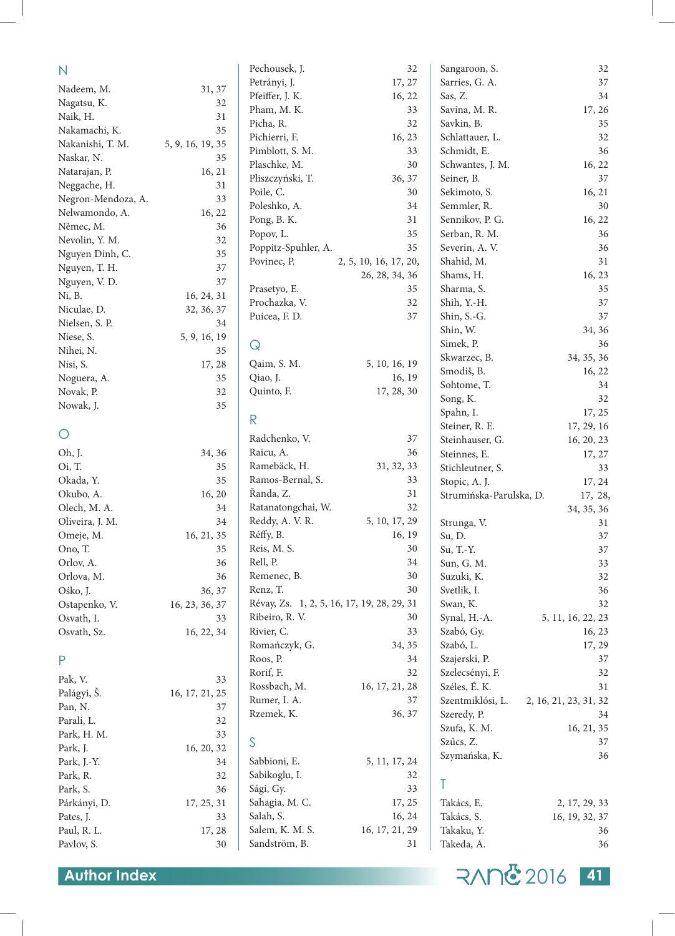| Petrányi, J.<br>Sarries, G. A.<br>37<br>17, 27<br>Nadeem, M.<br>31, 37<br>Pfeiffer, J. K.<br>Sas, Z.<br>34<br>16, 22<br>Nagatsu, K.<br>32<br>Pham, M. K.<br>Savina, M. R.<br>33<br>17, 26<br>Naik, H.<br>31<br>Savkin, B.<br>35<br>Picha, R.<br>32<br>Nakamachi, K.<br>35<br>Pichierri, F.<br>Schlattauer, L.<br>$32\,$<br>16, 23<br>Nakanishi, T. M.<br>5, 9, 16, 19, 35<br>Pimblott, S. M.<br>Schmidt, E.<br>36<br>33<br>Naskar, N.<br>35<br>Plaschke, M.<br>30<br>Schwantes, J. M.<br>16, 22<br>Natarajan, P.<br>16, 21<br>Pliszczyński, T.<br>Seiner, B.<br>36, 37<br>37<br>Neggache, H.<br>31<br>Poile, C.<br>Sekimoto, S.<br>30<br>16, 21<br>Negron-Mendoza, A.<br>33<br>Poleshko, A.<br>Semmler, R.<br>30<br>34<br>Nelwamondo, A.<br>16, 22<br>Pong, B. K.<br>31<br>Sennikov, P. G.<br>16, 22<br>Němec, M.<br>36<br>Popov, L.<br>35<br>Serban, R. M.<br>36<br>Nevolin, Y. M.<br>32<br>Poppitz-Spuhler, A.<br>35<br>Severin, A.V.<br>36<br>35<br>Nguyen Dinh, C.<br>Shahid, M.<br>31<br>Povinec, P.<br>2, 5, 10, 16, 17, 20,<br>Nguyen, T. H.<br>37<br>Shams, H.<br>26, 28, 34, 36<br>16, 23<br>Nguyen, V. D.<br>37<br>35<br>Prasetyo, E.<br>Sharma, S.<br>35<br>Ni, B.<br>16, 24, 31<br>Prochazka, V.<br>Shih, Y.-H.<br>37<br>32<br>Niculae, D.<br>32, 36, 37<br>Puicea, F. D.<br>37<br>Shin, S.-G.<br>37<br>Nielsen, S. P.<br>34<br>Shin, W.<br>34, 36<br>Niese, S.<br>5, 9, 16, 19<br>Simek, P.<br>36<br>$\mathsf Q$<br>Nihei, N.<br>35<br>Skwarzec, B.<br>34, 35, 36<br>Qaim, S. M.<br>5, 10, 16, 19<br>Nisi, S.<br>17, 28<br>Smodiš, B.<br>16, 22<br>Qiao, J.<br>16, 19<br>Noguera, A.<br>35<br>Sohtome, T.<br>34<br>Quinto, F.<br>17, 28, 30<br>Novak, P.<br>32<br>Song, K.<br>32<br>35<br>Nowak, J.<br>Spahn, I.<br>17, 25<br>$\mathsf{R}$<br>Steiner, R. E.<br>17, 29, 16<br>O<br>Radchenko, V.<br>37<br>Steinhauser, G.<br>16, 20, 23<br>Oh, J.<br>Raicu, A.<br>36<br>34, 36<br>Steinnes, E.<br>17, 27<br>Ramebäck, H.<br>Oi, T.<br>35<br>31, 32, 33<br>Stichleutner, S.<br>33<br>Ramos-Bernal, S.<br>35<br>33<br>Okada, Y.<br>Stopic, A. J.<br>17, 24<br>Řanda, Z.<br>31<br>Okubo, A.<br>16, 20<br>Strumińska-Parulska, D.<br>17, 28,<br>Ratanatongchai, W.<br>Olech, M. A.<br>32<br>34<br>34, 35, 36<br>Reddy, A. V. R.<br>5, 10, 17, 29<br>Oliveira, J. M.<br>34<br>Strunga, V.<br>31<br>Réffy, B.<br>16, 19<br>Omeje, M.<br>16, 21, 35<br>Su, D.<br>37<br>Reis, M. S.<br>Ono, T.<br>30<br>Su, T.-Y.<br>$37\,$<br>35<br>Rell, P.<br>34<br>33<br>Orlov, A.<br>36<br>Sun, G. M.<br>Remenec, B.<br>30<br>36<br>32<br>Orlova, M.<br>Suzuki, K.<br>Renz, T.<br>30<br>Svetlik, I.<br>36<br>Ośko, J.<br>36, 37<br>Ostapenko, V.<br>Révay, Zs. 1, 2, 5, 16, 17, 19, 28, 29, 31<br>Swan, K.<br>32<br>16, 23, 36, 37<br>Ribeiro, R. V.<br>Synal, H.-A.<br>Osvath, I.<br>30<br>5, 11, 16, 22, 23<br>33<br>Rivier, C.<br>33<br>Szabó, Gy.<br>Osvath, Sz.<br>16, 22, 34<br>16, 23<br>Romańczyk, G.<br>34, 35<br>Szabó, L.<br>17, 29<br>Roos, P.<br>Szajerski, P.<br>$\mathsf{P}$<br>34<br>37<br>Rorif, F.<br>32<br>Szelecsényi, F.<br>32<br>Pak, V.<br>33<br>Rossbach, M.<br>16, 17, 21, 28<br>Széles, É. K.<br>31<br>Palágyi, Š.<br>16, 17, 21, 25<br>Rumer, I. A.<br>Szentmiklósi, L.<br>37<br>2, 16, 21, 23, 31, 32<br>Pan, N.<br>37<br>Rzemek, K.<br>36, 37<br>Szeredy, P.<br>34<br>Parali, L.<br>32<br>Szufa, K. M.<br>16, 21, 35<br>Park, H. M.<br>33<br>S<br>Szűcs, Z.<br>37<br>Park, J.<br>16, 20, 32<br>Szymańska, K.<br>36<br>Sabbioni, E.<br>5, 11, 17, 24<br>Park, J.-Y.<br>34<br>Sabikoglu, I.<br>Park, R.<br>32<br>32<br>Τ<br>Sági, Gy.<br>33<br>Park, S.<br>36<br>Sahagia, M. C.<br>17, 25<br>Takács, E.<br>2, 17, 29, 33<br>Párkányi, D.<br>17, 25, 31<br>Salah, S.<br>16, 24<br>Takács, S.<br>16, 19, 32, 37<br>Pates, J.<br>33<br>Salem, K. M. S.<br>16, 17, 21, 29<br>Takaku, Y.<br>Paul, R. L.<br>17, 28<br>36<br>Sandström, B.<br>36<br>Pavlov, S.<br>31<br>Takeda, A.<br>30 | $\mathsf{N}$ | Pechousek, J. | 32 | Sangaroon, S. | 32 |
|--------------------------------------------------------------------------------------------------------------------------------------------------------------------------------------------------------------------------------------------------------------------------------------------------------------------------------------------------------------------------------------------------------------------------------------------------------------------------------------------------------------------------------------------------------------------------------------------------------------------------------------------------------------------------------------------------------------------------------------------------------------------------------------------------------------------------------------------------------------------------------------------------------------------------------------------------------------------------------------------------------------------------------------------------------------------------------------------------------------------------------------------------------------------------------------------------------------------------------------------------------------------------------------------------------------------------------------------------------------------------------------------------------------------------------------------------------------------------------------------------------------------------------------------------------------------------------------------------------------------------------------------------------------------------------------------------------------------------------------------------------------------------------------------------------------------------------------------------------------------------------------------------------------------------------------------------------------------------------------------------------------------------------------------------------------------------------------------------------------------------------------------------------------------------------------------------------------------------------------------------------------------------------------------------------------------------------------------------------------------------------------------------------------------------------------------------------------------------------------------------------------------------------------------------------------------------------------------------------------------------------------------------------------------------------------------------------------------------------------------------------------------------------------------------------------------------------------------------------------------------------------------------------------------------------------------------------------------------------------------------------------------------------------------------------------------------------------------------------------------------------------------------------------------------------------------------------------------------------------------------------------------------------------------------------------------------------------------------------------------------------------------------------------------------------------------------------------------------------------------------------------------------------------------------------------------------------------------------------------------------------------------------------------------------------------------------------------------------------------------------------------------------------------------------------------------------------------------------------------------------------------------------------|--------------|---------------|----|---------------|----|
|                                                                                                                                                                                                                                                                                                                                                                                                                                                                                                                                                                                                                                                                                                                                                                                                                                                                                                                                                                                                                                                                                                                                                                                                                                                                                                                                                                                                                                                                                                                                                                                                                                                                                                                                                                                                                                                                                                                                                                                                                                                                                                                                                                                                                                                                                                                                                                                                                                                                                                                                                                                                                                                                                                                                                                                                                                                                                                                                                                                                                                                                                                                                                                                                                                                                                                                                                                                                                                                                                                                                                                                                                                                                                                                                                                                                                                                                                                        |              |               |    |               |    |
|                                                                                                                                                                                                                                                                                                                                                                                                                                                                                                                                                                                                                                                                                                                                                                                                                                                                                                                                                                                                                                                                                                                                                                                                                                                                                                                                                                                                                                                                                                                                                                                                                                                                                                                                                                                                                                                                                                                                                                                                                                                                                                                                                                                                                                                                                                                                                                                                                                                                                                                                                                                                                                                                                                                                                                                                                                                                                                                                                                                                                                                                                                                                                                                                                                                                                                                                                                                                                                                                                                                                                                                                                                                                                                                                                                                                                                                                                                        |              |               |    |               |    |
|                                                                                                                                                                                                                                                                                                                                                                                                                                                                                                                                                                                                                                                                                                                                                                                                                                                                                                                                                                                                                                                                                                                                                                                                                                                                                                                                                                                                                                                                                                                                                                                                                                                                                                                                                                                                                                                                                                                                                                                                                                                                                                                                                                                                                                                                                                                                                                                                                                                                                                                                                                                                                                                                                                                                                                                                                                                                                                                                                                                                                                                                                                                                                                                                                                                                                                                                                                                                                                                                                                                                                                                                                                                                                                                                                                                                                                                                                                        |              |               |    |               |    |
|                                                                                                                                                                                                                                                                                                                                                                                                                                                                                                                                                                                                                                                                                                                                                                                                                                                                                                                                                                                                                                                                                                                                                                                                                                                                                                                                                                                                                                                                                                                                                                                                                                                                                                                                                                                                                                                                                                                                                                                                                                                                                                                                                                                                                                                                                                                                                                                                                                                                                                                                                                                                                                                                                                                                                                                                                                                                                                                                                                                                                                                                                                                                                                                                                                                                                                                                                                                                                                                                                                                                                                                                                                                                                                                                                                                                                                                                                                        |              |               |    |               |    |
|                                                                                                                                                                                                                                                                                                                                                                                                                                                                                                                                                                                                                                                                                                                                                                                                                                                                                                                                                                                                                                                                                                                                                                                                                                                                                                                                                                                                                                                                                                                                                                                                                                                                                                                                                                                                                                                                                                                                                                                                                                                                                                                                                                                                                                                                                                                                                                                                                                                                                                                                                                                                                                                                                                                                                                                                                                                                                                                                                                                                                                                                                                                                                                                                                                                                                                                                                                                                                                                                                                                                                                                                                                                                                                                                                                                                                                                                                                        |              |               |    |               |    |
|                                                                                                                                                                                                                                                                                                                                                                                                                                                                                                                                                                                                                                                                                                                                                                                                                                                                                                                                                                                                                                                                                                                                                                                                                                                                                                                                                                                                                                                                                                                                                                                                                                                                                                                                                                                                                                                                                                                                                                                                                                                                                                                                                                                                                                                                                                                                                                                                                                                                                                                                                                                                                                                                                                                                                                                                                                                                                                                                                                                                                                                                                                                                                                                                                                                                                                                                                                                                                                                                                                                                                                                                                                                                                                                                                                                                                                                                                                        |              |               |    |               |    |
|                                                                                                                                                                                                                                                                                                                                                                                                                                                                                                                                                                                                                                                                                                                                                                                                                                                                                                                                                                                                                                                                                                                                                                                                                                                                                                                                                                                                                                                                                                                                                                                                                                                                                                                                                                                                                                                                                                                                                                                                                                                                                                                                                                                                                                                                                                                                                                                                                                                                                                                                                                                                                                                                                                                                                                                                                                                                                                                                                                                                                                                                                                                                                                                                                                                                                                                                                                                                                                                                                                                                                                                                                                                                                                                                                                                                                                                                                                        |              |               |    |               |    |
|                                                                                                                                                                                                                                                                                                                                                                                                                                                                                                                                                                                                                                                                                                                                                                                                                                                                                                                                                                                                                                                                                                                                                                                                                                                                                                                                                                                                                                                                                                                                                                                                                                                                                                                                                                                                                                                                                                                                                                                                                                                                                                                                                                                                                                                                                                                                                                                                                                                                                                                                                                                                                                                                                                                                                                                                                                                                                                                                                                                                                                                                                                                                                                                                                                                                                                                                                                                                                                                                                                                                                                                                                                                                                                                                                                                                                                                                                                        |              |               |    |               |    |
|                                                                                                                                                                                                                                                                                                                                                                                                                                                                                                                                                                                                                                                                                                                                                                                                                                                                                                                                                                                                                                                                                                                                                                                                                                                                                                                                                                                                                                                                                                                                                                                                                                                                                                                                                                                                                                                                                                                                                                                                                                                                                                                                                                                                                                                                                                                                                                                                                                                                                                                                                                                                                                                                                                                                                                                                                                                                                                                                                                                                                                                                                                                                                                                                                                                                                                                                                                                                                                                                                                                                                                                                                                                                                                                                                                                                                                                                                                        |              |               |    |               |    |
|                                                                                                                                                                                                                                                                                                                                                                                                                                                                                                                                                                                                                                                                                                                                                                                                                                                                                                                                                                                                                                                                                                                                                                                                                                                                                                                                                                                                                                                                                                                                                                                                                                                                                                                                                                                                                                                                                                                                                                                                                                                                                                                                                                                                                                                                                                                                                                                                                                                                                                                                                                                                                                                                                                                                                                                                                                                                                                                                                                                                                                                                                                                                                                                                                                                                                                                                                                                                                                                                                                                                                                                                                                                                                                                                                                                                                                                                                                        |              |               |    |               |    |
|                                                                                                                                                                                                                                                                                                                                                                                                                                                                                                                                                                                                                                                                                                                                                                                                                                                                                                                                                                                                                                                                                                                                                                                                                                                                                                                                                                                                                                                                                                                                                                                                                                                                                                                                                                                                                                                                                                                                                                                                                                                                                                                                                                                                                                                                                                                                                                                                                                                                                                                                                                                                                                                                                                                                                                                                                                                                                                                                                                                                                                                                                                                                                                                                                                                                                                                                                                                                                                                                                                                                                                                                                                                                                                                                                                                                                                                                                                        |              |               |    |               |    |
|                                                                                                                                                                                                                                                                                                                                                                                                                                                                                                                                                                                                                                                                                                                                                                                                                                                                                                                                                                                                                                                                                                                                                                                                                                                                                                                                                                                                                                                                                                                                                                                                                                                                                                                                                                                                                                                                                                                                                                                                                                                                                                                                                                                                                                                                                                                                                                                                                                                                                                                                                                                                                                                                                                                                                                                                                                                                                                                                                                                                                                                                                                                                                                                                                                                                                                                                                                                                                                                                                                                                                                                                                                                                                                                                                                                                                                                                                                        |              |               |    |               |    |
|                                                                                                                                                                                                                                                                                                                                                                                                                                                                                                                                                                                                                                                                                                                                                                                                                                                                                                                                                                                                                                                                                                                                                                                                                                                                                                                                                                                                                                                                                                                                                                                                                                                                                                                                                                                                                                                                                                                                                                                                                                                                                                                                                                                                                                                                                                                                                                                                                                                                                                                                                                                                                                                                                                                                                                                                                                                                                                                                                                                                                                                                                                                                                                                                                                                                                                                                                                                                                                                                                                                                                                                                                                                                                                                                                                                                                                                                                                        |              |               |    |               |    |
|                                                                                                                                                                                                                                                                                                                                                                                                                                                                                                                                                                                                                                                                                                                                                                                                                                                                                                                                                                                                                                                                                                                                                                                                                                                                                                                                                                                                                                                                                                                                                                                                                                                                                                                                                                                                                                                                                                                                                                                                                                                                                                                                                                                                                                                                                                                                                                                                                                                                                                                                                                                                                                                                                                                                                                                                                                                                                                                                                                                                                                                                                                                                                                                                                                                                                                                                                                                                                                                                                                                                                                                                                                                                                                                                                                                                                                                                                                        |              |               |    |               |    |
|                                                                                                                                                                                                                                                                                                                                                                                                                                                                                                                                                                                                                                                                                                                                                                                                                                                                                                                                                                                                                                                                                                                                                                                                                                                                                                                                                                                                                                                                                                                                                                                                                                                                                                                                                                                                                                                                                                                                                                                                                                                                                                                                                                                                                                                                                                                                                                                                                                                                                                                                                                                                                                                                                                                                                                                                                                                                                                                                                                                                                                                                                                                                                                                                                                                                                                                                                                                                                                                                                                                                                                                                                                                                                                                                                                                                                                                                                                        |              |               |    |               |    |
|                                                                                                                                                                                                                                                                                                                                                                                                                                                                                                                                                                                                                                                                                                                                                                                                                                                                                                                                                                                                                                                                                                                                                                                                                                                                                                                                                                                                                                                                                                                                                                                                                                                                                                                                                                                                                                                                                                                                                                                                                                                                                                                                                                                                                                                                                                                                                                                                                                                                                                                                                                                                                                                                                                                                                                                                                                                                                                                                                                                                                                                                                                                                                                                                                                                                                                                                                                                                                                                                                                                                                                                                                                                                                                                                                                                                                                                                                                        |              |               |    |               |    |
|                                                                                                                                                                                                                                                                                                                                                                                                                                                                                                                                                                                                                                                                                                                                                                                                                                                                                                                                                                                                                                                                                                                                                                                                                                                                                                                                                                                                                                                                                                                                                                                                                                                                                                                                                                                                                                                                                                                                                                                                                                                                                                                                                                                                                                                                                                                                                                                                                                                                                                                                                                                                                                                                                                                                                                                                                                                                                                                                                                                                                                                                                                                                                                                                                                                                                                                                                                                                                                                                                                                                                                                                                                                                                                                                                                                                                                                                                                        |              |               |    |               |    |
|                                                                                                                                                                                                                                                                                                                                                                                                                                                                                                                                                                                                                                                                                                                                                                                                                                                                                                                                                                                                                                                                                                                                                                                                                                                                                                                                                                                                                                                                                                                                                                                                                                                                                                                                                                                                                                                                                                                                                                                                                                                                                                                                                                                                                                                                                                                                                                                                                                                                                                                                                                                                                                                                                                                                                                                                                                                                                                                                                                                                                                                                                                                                                                                                                                                                                                                                                                                                                                                                                                                                                                                                                                                                                                                                                                                                                                                                                                        |              |               |    |               |    |
|                                                                                                                                                                                                                                                                                                                                                                                                                                                                                                                                                                                                                                                                                                                                                                                                                                                                                                                                                                                                                                                                                                                                                                                                                                                                                                                                                                                                                                                                                                                                                                                                                                                                                                                                                                                                                                                                                                                                                                                                                                                                                                                                                                                                                                                                                                                                                                                                                                                                                                                                                                                                                                                                                                                                                                                                                                                                                                                                                                                                                                                                                                                                                                                                                                                                                                                                                                                                                                                                                                                                                                                                                                                                                                                                                                                                                                                                                                        |              |               |    |               |    |
|                                                                                                                                                                                                                                                                                                                                                                                                                                                                                                                                                                                                                                                                                                                                                                                                                                                                                                                                                                                                                                                                                                                                                                                                                                                                                                                                                                                                                                                                                                                                                                                                                                                                                                                                                                                                                                                                                                                                                                                                                                                                                                                                                                                                                                                                                                                                                                                                                                                                                                                                                                                                                                                                                                                                                                                                                                                                                                                                                                                                                                                                                                                                                                                                                                                                                                                                                                                                                                                                                                                                                                                                                                                                                                                                                                                                                                                                                                        |              |               |    |               |    |
|                                                                                                                                                                                                                                                                                                                                                                                                                                                                                                                                                                                                                                                                                                                                                                                                                                                                                                                                                                                                                                                                                                                                                                                                                                                                                                                                                                                                                                                                                                                                                                                                                                                                                                                                                                                                                                                                                                                                                                                                                                                                                                                                                                                                                                                                                                                                                                                                                                                                                                                                                                                                                                                                                                                                                                                                                                                                                                                                                                                                                                                                                                                                                                                                                                                                                                                                                                                                                                                                                                                                                                                                                                                                                                                                                                                                                                                                                                        |              |               |    |               |    |
|                                                                                                                                                                                                                                                                                                                                                                                                                                                                                                                                                                                                                                                                                                                                                                                                                                                                                                                                                                                                                                                                                                                                                                                                                                                                                                                                                                                                                                                                                                                                                                                                                                                                                                                                                                                                                                                                                                                                                                                                                                                                                                                                                                                                                                                                                                                                                                                                                                                                                                                                                                                                                                                                                                                                                                                                                                                                                                                                                                                                                                                                                                                                                                                                                                                                                                                                                                                                                                                                                                                                                                                                                                                                                                                                                                                                                                                                                                        |              |               |    |               |    |
|                                                                                                                                                                                                                                                                                                                                                                                                                                                                                                                                                                                                                                                                                                                                                                                                                                                                                                                                                                                                                                                                                                                                                                                                                                                                                                                                                                                                                                                                                                                                                                                                                                                                                                                                                                                                                                                                                                                                                                                                                                                                                                                                                                                                                                                                                                                                                                                                                                                                                                                                                                                                                                                                                                                                                                                                                                                                                                                                                                                                                                                                                                                                                                                                                                                                                                                                                                                                                                                                                                                                                                                                                                                                                                                                                                                                                                                                                                        |              |               |    |               |    |
|                                                                                                                                                                                                                                                                                                                                                                                                                                                                                                                                                                                                                                                                                                                                                                                                                                                                                                                                                                                                                                                                                                                                                                                                                                                                                                                                                                                                                                                                                                                                                                                                                                                                                                                                                                                                                                                                                                                                                                                                                                                                                                                                                                                                                                                                                                                                                                                                                                                                                                                                                                                                                                                                                                                                                                                                                                                                                                                                                                                                                                                                                                                                                                                                                                                                                                                                                                                                                                                                                                                                                                                                                                                                                                                                                                                                                                                                                                        |              |               |    |               |    |
|                                                                                                                                                                                                                                                                                                                                                                                                                                                                                                                                                                                                                                                                                                                                                                                                                                                                                                                                                                                                                                                                                                                                                                                                                                                                                                                                                                                                                                                                                                                                                                                                                                                                                                                                                                                                                                                                                                                                                                                                                                                                                                                                                                                                                                                                                                                                                                                                                                                                                                                                                                                                                                                                                                                                                                                                                                                                                                                                                                                                                                                                                                                                                                                                                                                                                                                                                                                                                                                                                                                                                                                                                                                                                                                                                                                                                                                                                                        |              |               |    |               |    |
|                                                                                                                                                                                                                                                                                                                                                                                                                                                                                                                                                                                                                                                                                                                                                                                                                                                                                                                                                                                                                                                                                                                                                                                                                                                                                                                                                                                                                                                                                                                                                                                                                                                                                                                                                                                                                                                                                                                                                                                                                                                                                                                                                                                                                                                                                                                                                                                                                                                                                                                                                                                                                                                                                                                                                                                                                                                                                                                                                                                                                                                                                                                                                                                                                                                                                                                                                                                                                                                                                                                                                                                                                                                                                                                                                                                                                                                                                                        |              |               |    |               |    |
|                                                                                                                                                                                                                                                                                                                                                                                                                                                                                                                                                                                                                                                                                                                                                                                                                                                                                                                                                                                                                                                                                                                                                                                                                                                                                                                                                                                                                                                                                                                                                                                                                                                                                                                                                                                                                                                                                                                                                                                                                                                                                                                                                                                                                                                                                                                                                                                                                                                                                                                                                                                                                                                                                                                                                                                                                                                                                                                                                                                                                                                                                                                                                                                                                                                                                                                                                                                                                                                                                                                                                                                                                                                                                                                                                                                                                                                                                                        |              |               |    |               |    |
|                                                                                                                                                                                                                                                                                                                                                                                                                                                                                                                                                                                                                                                                                                                                                                                                                                                                                                                                                                                                                                                                                                                                                                                                                                                                                                                                                                                                                                                                                                                                                                                                                                                                                                                                                                                                                                                                                                                                                                                                                                                                                                                                                                                                                                                                                                                                                                                                                                                                                                                                                                                                                                                                                                                                                                                                                                                                                                                                                                                                                                                                                                                                                                                                                                                                                                                                                                                                                                                                                                                                                                                                                                                                                                                                                                                                                                                                                                        |              |               |    |               |    |
|                                                                                                                                                                                                                                                                                                                                                                                                                                                                                                                                                                                                                                                                                                                                                                                                                                                                                                                                                                                                                                                                                                                                                                                                                                                                                                                                                                                                                                                                                                                                                                                                                                                                                                                                                                                                                                                                                                                                                                                                                                                                                                                                                                                                                                                                                                                                                                                                                                                                                                                                                                                                                                                                                                                                                                                                                                                                                                                                                                                                                                                                                                                                                                                                                                                                                                                                                                                                                                                                                                                                                                                                                                                                                                                                                                                                                                                                                                        |              |               |    |               |    |
|                                                                                                                                                                                                                                                                                                                                                                                                                                                                                                                                                                                                                                                                                                                                                                                                                                                                                                                                                                                                                                                                                                                                                                                                                                                                                                                                                                                                                                                                                                                                                                                                                                                                                                                                                                                                                                                                                                                                                                                                                                                                                                                                                                                                                                                                                                                                                                                                                                                                                                                                                                                                                                                                                                                                                                                                                                                                                                                                                                                                                                                                                                                                                                                                                                                                                                                                                                                                                                                                                                                                                                                                                                                                                                                                                                                                                                                                                                        |              |               |    |               |    |
|                                                                                                                                                                                                                                                                                                                                                                                                                                                                                                                                                                                                                                                                                                                                                                                                                                                                                                                                                                                                                                                                                                                                                                                                                                                                                                                                                                                                                                                                                                                                                                                                                                                                                                                                                                                                                                                                                                                                                                                                                                                                                                                                                                                                                                                                                                                                                                                                                                                                                                                                                                                                                                                                                                                                                                                                                                                                                                                                                                                                                                                                                                                                                                                                                                                                                                                                                                                                                                                                                                                                                                                                                                                                                                                                                                                                                                                                                                        |              |               |    |               |    |
|                                                                                                                                                                                                                                                                                                                                                                                                                                                                                                                                                                                                                                                                                                                                                                                                                                                                                                                                                                                                                                                                                                                                                                                                                                                                                                                                                                                                                                                                                                                                                                                                                                                                                                                                                                                                                                                                                                                                                                                                                                                                                                                                                                                                                                                                                                                                                                                                                                                                                                                                                                                                                                                                                                                                                                                                                                                                                                                                                                                                                                                                                                                                                                                                                                                                                                                                                                                                                                                                                                                                                                                                                                                                                                                                                                                                                                                                                                        |              |               |    |               |    |
|                                                                                                                                                                                                                                                                                                                                                                                                                                                                                                                                                                                                                                                                                                                                                                                                                                                                                                                                                                                                                                                                                                                                                                                                                                                                                                                                                                                                                                                                                                                                                                                                                                                                                                                                                                                                                                                                                                                                                                                                                                                                                                                                                                                                                                                                                                                                                                                                                                                                                                                                                                                                                                                                                                                                                                                                                                                                                                                                                                                                                                                                                                                                                                                                                                                                                                                                                                                                                                                                                                                                                                                                                                                                                                                                                                                                                                                                                                        |              |               |    |               |    |
|                                                                                                                                                                                                                                                                                                                                                                                                                                                                                                                                                                                                                                                                                                                                                                                                                                                                                                                                                                                                                                                                                                                                                                                                                                                                                                                                                                                                                                                                                                                                                                                                                                                                                                                                                                                                                                                                                                                                                                                                                                                                                                                                                                                                                                                                                                                                                                                                                                                                                                                                                                                                                                                                                                                                                                                                                                                                                                                                                                                                                                                                                                                                                                                                                                                                                                                                                                                                                                                                                                                                                                                                                                                                                                                                                                                                                                                                                                        |              |               |    |               |    |
|                                                                                                                                                                                                                                                                                                                                                                                                                                                                                                                                                                                                                                                                                                                                                                                                                                                                                                                                                                                                                                                                                                                                                                                                                                                                                                                                                                                                                                                                                                                                                                                                                                                                                                                                                                                                                                                                                                                                                                                                                                                                                                                                                                                                                                                                                                                                                                                                                                                                                                                                                                                                                                                                                                                                                                                                                                                                                                                                                                                                                                                                                                                                                                                                                                                                                                                                                                                                                                                                                                                                                                                                                                                                                                                                                                                                                                                                                                        |              |               |    |               |    |
|                                                                                                                                                                                                                                                                                                                                                                                                                                                                                                                                                                                                                                                                                                                                                                                                                                                                                                                                                                                                                                                                                                                                                                                                                                                                                                                                                                                                                                                                                                                                                                                                                                                                                                                                                                                                                                                                                                                                                                                                                                                                                                                                                                                                                                                                                                                                                                                                                                                                                                                                                                                                                                                                                                                                                                                                                                                                                                                                                                                                                                                                                                                                                                                                                                                                                                                                                                                                                                                                                                                                                                                                                                                                                                                                                                                                                                                                                                        |              |               |    |               |    |
|                                                                                                                                                                                                                                                                                                                                                                                                                                                                                                                                                                                                                                                                                                                                                                                                                                                                                                                                                                                                                                                                                                                                                                                                                                                                                                                                                                                                                                                                                                                                                                                                                                                                                                                                                                                                                                                                                                                                                                                                                                                                                                                                                                                                                                                                                                                                                                                                                                                                                                                                                                                                                                                                                                                                                                                                                                                                                                                                                                                                                                                                                                                                                                                                                                                                                                                                                                                                                                                                                                                                                                                                                                                                                                                                                                                                                                                                                                        |              |               |    |               |    |
|                                                                                                                                                                                                                                                                                                                                                                                                                                                                                                                                                                                                                                                                                                                                                                                                                                                                                                                                                                                                                                                                                                                                                                                                                                                                                                                                                                                                                                                                                                                                                                                                                                                                                                                                                                                                                                                                                                                                                                                                                                                                                                                                                                                                                                                                                                                                                                                                                                                                                                                                                                                                                                                                                                                                                                                                                                                                                                                                                                                                                                                                                                                                                                                                                                                                                                                                                                                                                                                                                                                                                                                                                                                                                                                                                                                                                                                                                                        |              |               |    |               |    |
|                                                                                                                                                                                                                                                                                                                                                                                                                                                                                                                                                                                                                                                                                                                                                                                                                                                                                                                                                                                                                                                                                                                                                                                                                                                                                                                                                                                                                                                                                                                                                                                                                                                                                                                                                                                                                                                                                                                                                                                                                                                                                                                                                                                                                                                                                                                                                                                                                                                                                                                                                                                                                                                                                                                                                                                                                                                                                                                                                                                                                                                                                                                                                                                                                                                                                                                                                                                                                                                                                                                                                                                                                                                                                                                                                                                                                                                                                                        |              |               |    |               |    |
|                                                                                                                                                                                                                                                                                                                                                                                                                                                                                                                                                                                                                                                                                                                                                                                                                                                                                                                                                                                                                                                                                                                                                                                                                                                                                                                                                                                                                                                                                                                                                                                                                                                                                                                                                                                                                                                                                                                                                                                                                                                                                                                                                                                                                                                                                                                                                                                                                                                                                                                                                                                                                                                                                                                                                                                                                                                                                                                                                                                                                                                                                                                                                                                                                                                                                                                                                                                                                                                                                                                                                                                                                                                                                                                                                                                                                                                                                                        |              |               |    |               |    |
|                                                                                                                                                                                                                                                                                                                                                                                                                                                                                                                                                                                                                                                                                                                                                                                                                                                                                                                                                                                                                                                                                                                                                                                                                                                                                                                                                                                                                                                                                                                                                                                                                                                                                                                                                                                                                                                                                                                                                                                                                                                                                                                                                                                                                                                                                                                                                                                                                                                                                                                                                                                                                                                                                                                                                                                                                                                                                                                                                                                                                                                                                                                                                                                                                                                                                                                                                                                                                                                                                                                                                                                                                                                                                                                                                                                                                                                                                                        |              |               |    |               |    |
|                                                                                                                                                                                                                                                                                                                                                                                                                                                                                                                                                                                                                                                                                                                                                                                                                                                                                                                                                                                                                                                                                                                                                                                                                                                                                                                                                                                                                                                                                                                                                                                                                                                                                                                                                                                                                                                                                                                                                                                                                                                                                                                                                                                                                                                                                                                                                                                                                                                                                                                                                                                                                                                                                                                                                                                                                                                                                                                                                                                                                                                                                                                                                                                                                                                                                                                                                                                                                                                                                                                                                                                                                                                                                                                                                                                                                                                                                                        |              |               |    |               |    |
|                                                                                                                                                                                                                                                                                                                                                                                                                                                                                                                                                                                                                                                                                                                                                                                                                                                                                                                                                                                                                                                                                                                                                                                                                                                                                                                                                                                                                                                                                                                                                                                                                                                                                                                                                                                                                                                                                                                                                                                                                                                                                                                                                                                                                                                                                                                                                                                                                                                                                                                                                                                                                                                                                                                                                                                                                                                                                                                                                                                                                                                                                                                                                                                                                                                                                                                                                                                                                                                                                                                                                                                                                                                                                                                                                                                                                                                                                                        |              |               |    |               |    |
|                                                                                                                                                                                                                                                                                                                                                                                                                                                                                                                                                                                                                                                                                                                                                                                                                                                                                                                                                                                                                                                                                                                                                                                                                                                                                                                                                                                                                                                                                                                                                                                                                                                                                                                                                                                                                                                                                                                                                                                                                                                                                                                                                                                                                                                                                                                                                                                                                                                                                                                                                                                                                                                                                                                                                                                                                                                                                                                                                                                                                                                                                                                                                                                                                                                                                                                                                                                                                                                                                                                                                                                                                                                                                                                                                                                                                                                                                                        |              |               |    |               |    |
|                                                                                                                                                                                                                                                                                                                                                                                                                                                                                                                                                                                                                                                                                                                                                                                                                                                                                                                                                                                                                                                                                                                                                                                                                                                                                                                                                                                                                                                                                                                                                                                                                                                                                                                                                                                                                                                                                                                                                                                                                                                                                                                                                                                                                                                                                                                                                                                                                                                                                                                                                                                                                                                                                                                                                                                                                                                                                                                                                                                                                                                                                                                                                                                                                                                                                                                                                                                                                                                                                                                                                                                                                                                                                                                                                                                                                                                                                                        |              |               |    |               |    |
|                                                                                                                                                                                                                                                                                                                                                                                                                                                                                                                                                                                                                                                                                                                                                                                                                                                                                                                                                                                                                                                                                                                                                                                                                                                                                                                                                                                                                                                                                                                                                                                                                                                                                                                                                                                                                                                                                                                                                                                                                                                                                                                                                                                                                                                                                                                                                                                                                                                                                                                                                                                                                                                                                                                                                                                                                                                                                                                                                                                                                                                                                                                                                                                                                                                                                                                                                                                                                                                                                                                                                                                                                                                                                                                                                                                                                                                                                                        |              |               |    |               |    |
|                                                                                                                                                                                                                                                                                                                                                                                                                                                                                                                                                                                                                                                                                                                                                                                                                                                                                                                                                                                                                                                                                                                                                                                                                                                                                                                                                                                                                                                                                                                                                                                                                                                                                                                                                                                                                                                                                                                                                                                                                                                                                                                                                                                                                                                                                                                                                                                                                                                                                                                                                                                                                                                                                                                                                                                                                                                                                                                                                                                                                                                                                                                                                                                                                                                                                                                                                                                                                                                                                                                                                                                                                                                                                                                                                                                                                                                                                                        |              |               |    |               |    |
|                                                                                                                                                                                                                                                                                                                                                                                                                                                                                                                                                                                                                                                                                                                                                                                                                                                                                                                                                                                                                                                                                                                                                                                                                                                                                                                                                                                                                                                                                                                                                                                                                                                                                                                                                                                                                                                                                                                                                                                                                                                                                                                                                                                                                                                                                                                                                                                                                                                                                                                                                                                                                                                                                                                                                                                                                                                                                                                                                                                                                                                                                                                                                                                                                                                                                                                                                                                                                                                                                                                                                                                                                                                                                                                                                                                                                                                                                                        |              |               |    |               |    |
|                                                                                                                                                                                                                                                                                                                                                                                                                                                                                                                                                                                                                                                                                                                                                                                                                                                                                                                                                                                                                                                                                                                                                                                                                                                                                                                                                                                                                                                                                                                                                                                                                                                                                                                                                                                                                                                                                                                                                                                                                                                                                                                                                                                                                                                                                                                                                                                                                                                                                                                                                                                                                                                                                                                                                                                                                                                                                                                                                                                                                                                                                                                                                                                                                                                                                                                                                                                                                                                                                                                                                                                                                                                                                                                                                                                                                                                                                                        |              |               |    |               |    |
|                                                                                                                                                                                                                                                                                                                                                                                                                                                                                                                                                                                                                                                                                                                                                                                                                                                                                                                                                                                                                                                                                                                                                                                                                                                                                                                                                                                                                                                                                                                                                                                                                                                                                                                                                                                                                                                                                                                                                                                                                                                                                                                                                                                                                                                                                                                                                                                                                                                                                                                                                                                                                                                                                                                                                                                                                                                                                                                                                                                                                                                                                                                                                                                                                                                                                                                                                                                                                                                                                                                                                                                                                                                                                                                                                                                                                                                                                                        |              |               |    |               |    |
|                                                                                                                                                                                                                                                                                                                                                                                                                                                                                                                                                                                                                                                                                                                                                                                                                                                                                                                                                                                                                                                                                                                                                                                                                                                                                                                                                                                                                                                                                                                                                                                                                                                                                                                                                                                                                                                                                                                                                                                                                                                                                                                                                                                                                                                                                                                                                                                                                                                                                                                                                                                                                                                                                                                                                                                                                                                                                                                                                                                                                                                                                                                                                                                                                                                                                                                                                                                                                                                                                                                                                                                                                                                                                                                                                                                                                                                                                                        |              |               |    |               |    |
|                                                                                                                                                                                                                                                                                                                                                                                                                                                                                                                                                                                                                                                                                                                                                                                                                                                                                                                                                                                                                                                                                                                                                                                                                                                                                                                                                                                                                                                                                                                                                                                                                                                                                                                                                                                                                                                                                                                                                                                                                                                                                                                                                                                                                                                                                                                                                                                                                                                                                                                                                                                                                                                                                                                                                                                                                                                                                                                                                                                                                                                                                                                                                                                                                                                                                                                                                                                                                                                                                                                                                                                                                                                                                                                                                                                                                                                                                                        |              |               |    |               |    |
|                                                                                                                                                                                                                                                                                                                                                                                                                                                                                                                                                                                                                                                                                                                                                                                                                                                                                                                                                                                                                                                                                                                                                                                                                                                                                                                                                                                                                                                                                                                                                                                                                                                                                                                                                                                                                                                                                                                                                                                                                                                                                                                                                                                                                                                                                                                                                                                                                                                                                                                                                                                                                                                                                                                                                                                                                                                                                                                                                                                                                                                                                                                                                                                                                                                                                                                                                                                                                                                                                                                                                                                                                                                                                                                                                                                                                                                                                                        |              |               |    |               |    |
|                                                                                                                                                                                                                                                                                                                                                                                                                                                                                                                                                                                                                                                                                                                                                                                                                                                                                                                                                                                                                                                                                                                                                                                                                                                                                                                                                                                                                                                                                                                                                                                                                                                                                                                                                                                                                                                                                                                                                                                                                                                                                                                                                                                                                                                                                                                                                                                                                                                                                                                                                                                                                                                                                                                                                                                                                                                                                                                                                                                                                                                                                                                                                                                                                                                                                                                                                                                                                                                                                                                                                                                                                                                                                                                                                                                                                                                                                                        |              |               |    |               |    |
|                                                                                                                                                                                                                                                                                                                                                                                                                                                                                                                                                                                                                                                                                                                                                                                                                                                                                                                                                                                                                                                                                                                                                                                                                                                                                                                                                                                                                                                                                                                                                                                                                                                                                                                                                                                                                                                                                                                                                                                                                                                                                                                                                                                                                                                                                                                                                                                                                                                                                                                                                                                                                                                                                                                                                                                                                                                                                                                                                                                                                                                                                                                                                                                                                                                                                                                                                                                                                                                                                                                                                                                                                                                                                                                                                                                                                                                                                                        |              |               |    |               |    |
|                                                                                                                                                                                                                                                                                                                                                                                                                                                                                                                                                                                                                                                                                                                                                                                                                                                                                                                                                                                                                                                                                                                                                                                                                                                                                                                                                                                                                                                                                                                                                                                                                                                                                                                                                                                                                                                                                                                                                                                                                                                                                                                                                                                                                                                                                                                                                                                                                                                                                                                                                                                                                                                                                                                                                                                                                                                                                                                                                                                                                                                                                                                                                                                                                                                                                                                                                                                                                                                                                                                                                                                                                                                                                                                                                                                                                                                                                                        |              |               |    |               |    |

**Author Index** 2016 **41**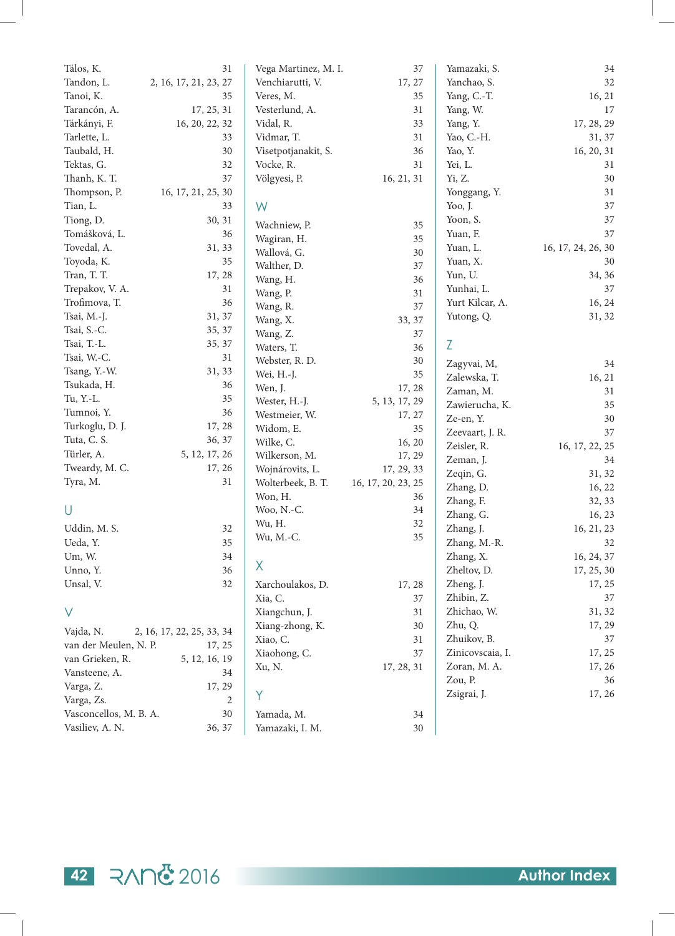| Tálos, K.              | 31                        | Vega Martinez, M. I. | 37                 | Yamazaki, S.     | 34                 |
|------------------------|---------------------------|----------------------|--------------------|------------------|--------------------|
| Tandon, L.             | 2, 16, 17, 21, 23, 27     | Venchiarutti, V.     | 17, 27             | Yanchao, S.      | 32                 |
| Tanoi, K.              | 35                        | Veres, M.            | 35                 | Yang, C.-T.      | 16, 21             |
| Tarancón, A.           | 17, 25, 31                | Vesterlund, A.       | 31                 | Yang, W.         | 17                 |
| Tárkányi, F.           | 16, 20, 22, 32            | Vidal, R.            | 33                 | Yang, Y.         | 17, 28, 29         |
| Tarlette, L.           | 33                        | Vidmar, T.           | 31                 | Yao, C.-H.       | 31, 37             |
| Taubald, H.            | 30                        | Visetpotjanakit, S.  | 36                 | Yao, Y.          | 16, 20, 31         |
| Tektas, G.             | 32                        | Vocke, R.            | 31                 | Yei, L.          | 31                 |
| Thanh, K. T.           | 37                        | Völgyesi, P.         | 16, 21, 31         | Yi, Z.           | 30                 |
| Thompson, P.           | 16, 17, 21, 25, 30        |                      |                    | Yonggang, Y.     | 31                 |
| Tian, L.               | 33                        | W                    |                    | Yoo, J.          | 37                 |
| Tiong, D.              | 30, 31                    | Wachniew, P.         |                    | Yoon, S.         | 37                 |
| Tomášková, L.          | 36                        |                      | 35<br>35           | Yuan, F.         | 37                 |
| Tovedal, A.            | 31, 33                    | Wagiran, H.          |                    | Yuan, L.         | 16, 17, 24, 26, 30 |
| Toyoda, K.             | 35                        | Wallová, G.          | 30<br>37           | Yuan, X.         | 30                 |
| Tran, T. T.            | 17, 28                    | Walther, D.          | 36                 | Yun, U.          | 34, 36             |
| Trepakov, V. A.        | 31                        | Wang, H.             | 31                 | Yunhai, L.       | 37                 |
| Trofimova, T.          | 36                        | Wang, P.             | 37                 | Yurt Kilcar, A.  | 16, 24             |
| Tsai, M.-J.            | 31, 37                    | Wang, R.<br>Wang, X. | 33, 37             | Yutong, Q.       | 31, 32             |
| Tsai, S.-C.            | 35, 37                    | Wang, Z.             | 37                 |                  |                    |
| Tsai, T.-L.            | 35, 37                    | Waters, T.           | 36                 | Z                |                    |
| Tsai, W.-C.            | 31                        | Webster, R. D.       | 30                 |                  |                    |
| Tsang, Y.-W.           | 31, 33                    | Wei, H.-J.           | 35                 | Zagyvai, M,      | 34                 |
| Tsukada, H.            | 36                        | Wen, J.              | 17, 28             | Zalewska, T.     | 16, 21             |
| Tu, Y.-L.              | 35                        | Wester, H.-J.        | 5, 13, 17, 29      | Zaman, M.        | 31                 |
| Tumnoi, Y.             | 36                        | Westmeier, W.        | 17, 27             | Zawierucha, K.   | 35                 |
| Turkoglu, D. J.        | 17, 28                    | Widom, E.            | 35                 | Ze-en, Y.        | 30                 |
| Tuta, C. S.            | 36, 37                    | Wilke, C.            | 16, 20             | Zeevaart, J. R.  | 37                 |
| Türler, A.             | 5, 12, 17, 26             | Wilkerson, M.        | 17, 29             | Zeisler, R.      | 16, 17, 22, 25     |
| Tweardy, M. C.         | 17, 26                    | Wojnárovits, L.      | 17, 29, 33         | Zeman, J.        | 34                 |
| Tyra, M.               | 31                        | Wolterbeek, B. T.    | 16, 17, 20, 23, 25 | Zeqin, G.        | 31, 32             |
|                        |                           | Won, H.              | 36                 | Zhang, D.        | 16, 22             |
| U                      |                           | Woo, N.-C.           | 34                 | Zhang, F.        | 32, 33             |
|                        |                           | Wu, H.               | 32                 | Zhang, G.        | 16, 23             |
| Uddin, M. S.           | 32                        | Wu, M.-C.            | 35                 | Zhang, J.        | 16, 21, 23         |
| Ueda, Y.               | 35                        |                      |                    | Zhang, M.-R.     | 32                 |
| Um, W.                 | 34                        | X                    |                    | Zhang, X.        | 16, 24, 37         |
| Unno, Y.               | 36                        |                      |                    | Zheltov, D.      | 17, 25, 30         |
| Unsal, V.              | 32                        | Xarchoulakos, D.     | 17, 28             | Zheng, J.        | 17, 25             |
|                        |                           | Xia, C.              | 37                 | Zhibin, Z.       | 37                 |
| V                      |                           | Xiangchun, J.        | 31                 | Zhichao, W.      | 31, 32             |
| Vajda, N.              | 2, 16, 17, 22, 25, 33, 34 | Xiang-zhong, K.      | 30                 | Zhu, Q.          | 17, 29             |
| van der Meulen, N. P.  | 17, 25                    | Xiao, C.             | 31                 | Zhuikov, B.      | 37                 |
| van Grieken, R.        | 5, 12, 16, 19             | Xiaohong, C.         | 37                 | Zinicovscaia, I. | 17, 25             |
| Vansteene, A.          | 34                        | Xu, N.               | 17, 28, 31         | Zoran, M. A.     | 17, 26             |
| Varga, Z.              | 17, 29                    |                      |                    | Zou, P.          | 36                 |
| Varga, Zs.             | 2                         | Y                    |                    | Zsigrai, J.      | 17, 26             |
| Vasconcellos, M. B. A. | $30\,$                    | Yamada, M.           | 34                 |                  |                    |
| Vasiliev, A. N.        | 36, 37                    | Yamazaki, I. M.      | 30                 |                  |                    |
|                        |                           |                      |                    |                  |                    |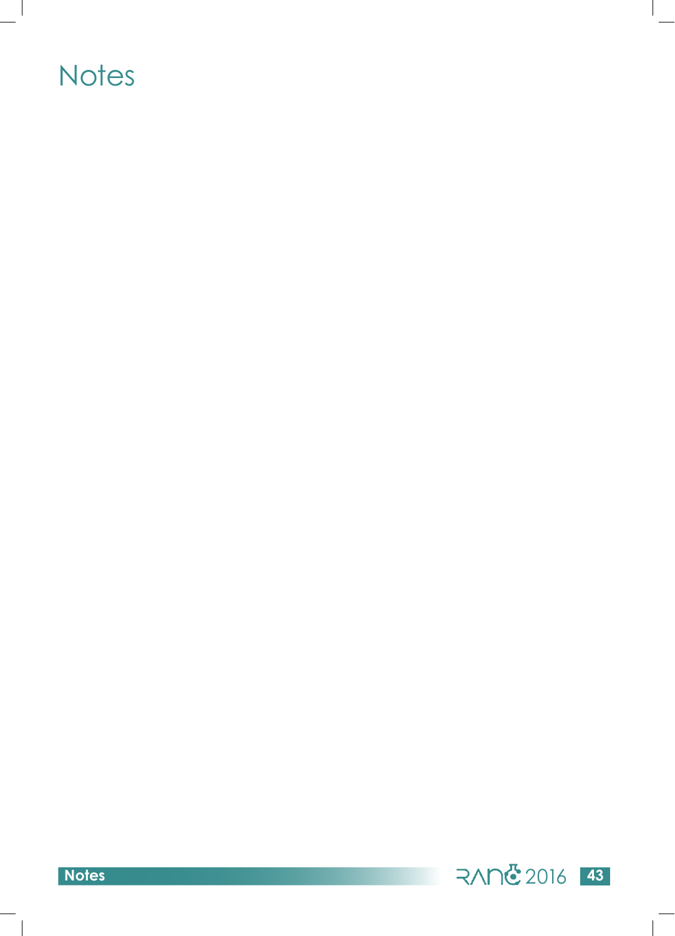### **Notes**